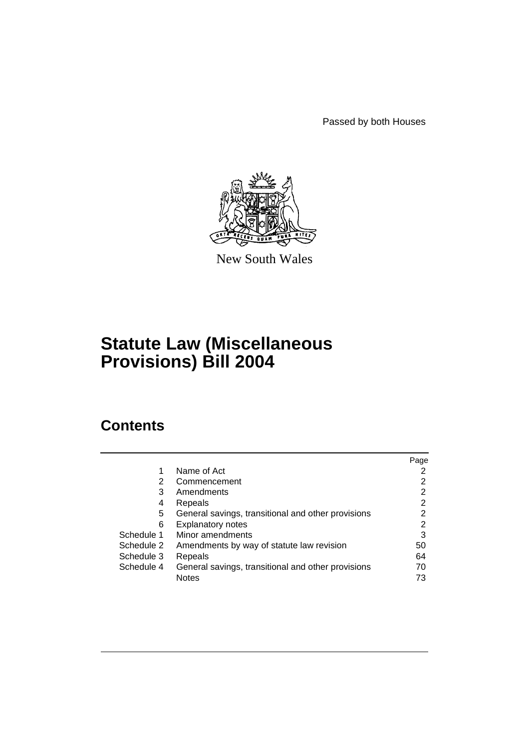Passed by both Houses



New South Wales

# **Statute Law (Miscellaneous Provisions) Bill 2004**

# **Contents**

|            |                                                    | Page |
|------------|----------------------------------------------------|------|
| 1          | Name of Act                                        |      |
| 2          | Commencement                                       | 2    |
| 3          | Amendments                                         | 2    |
| 4          | Repeals                                            | 2    |
| 5          | General savings, transitional and other provisions | 2    |
| 6          | <b>Explanatory notes</b>                           | 2    |
| Schedule 1 | Minor amendments                                   | 3    |
| Schedule 2 | Amendments by way of statute law revision          | 50   |
| Schedule 3 | Repeals                                            | 64   |
| Schedule 4 | General savings, transitional and other provisions | 70   |
|            | <b>Notes</b>                                       | 73   |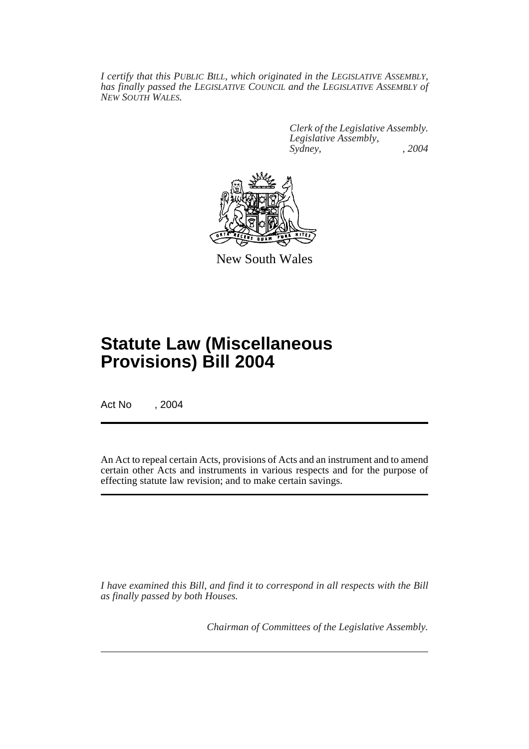*I certify that this PUBLIC BILL, which originated in the LEGISLATIVE ASSEMBLY, has finally passed the LEGISLATIVE COUNCIL and the LEGISLATIVE ASSEMBLY of NEW SOUTH WALES.*

> *Clerk of the Legislative Assembly. Legislative Assembly, Sydney, , 2004*



New South Wales

# **Statute Law (Miscellaneous Provisions) Bill 2004**

Act No , 2004

An Act to repeal certain Acts, provisions of Acts and an instrument and to amend certain other Acts and instruments in various respects and for the purpose of effecting statute law revision; and to make certain savings.

*I have examined this Bill, and find it to correspond in all respects with the Bill as finally passed by both Houses.*

*Chairman of Committees of the Legislative Assembly.*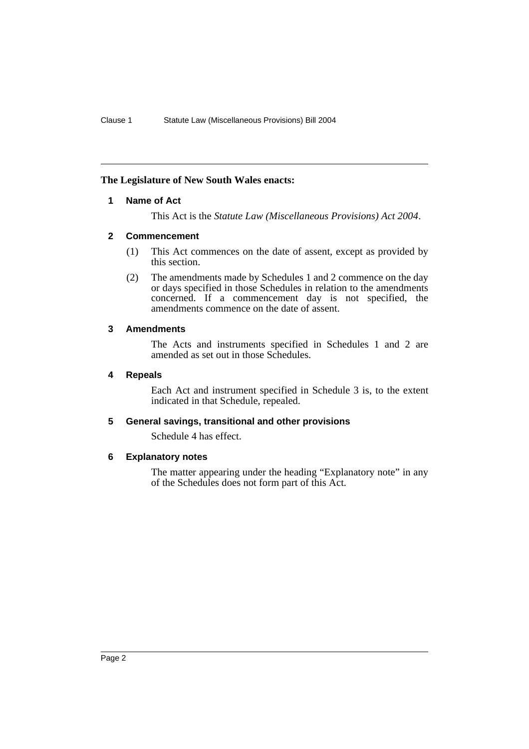# **The Legislature of New South Wales enacts:**

# **1 Name of Act**

This Act is the *Statute Law (Miscellaneous Provisions) Act 2004*.

# **2 Commencement**

- (1) This Act commences on the date of assent, except as provided by this section.
- (2) The amendments made by Schedules 1 and 2 commence on the day or days specified in those Schedules in relation to the amendments concerned. If a commencement day is not specified, the amendments commence on the date of assent.

# **3 Amendments**

The Acts and instruments specified in Schedules 1 and 2 are amended as set out in those Schedules.

# **4 Repeals**

Each Act and instrument specified in Schedule 3 is, to the extent indicated in that Schedule, repealed.

# **5 General savings, transitional and other provisions**

Schedule 4 has effect.

# **6 Explanatory notes**

The matter appearing under the heading "Explanatory note" in any of the Schedules does not form part of this Act.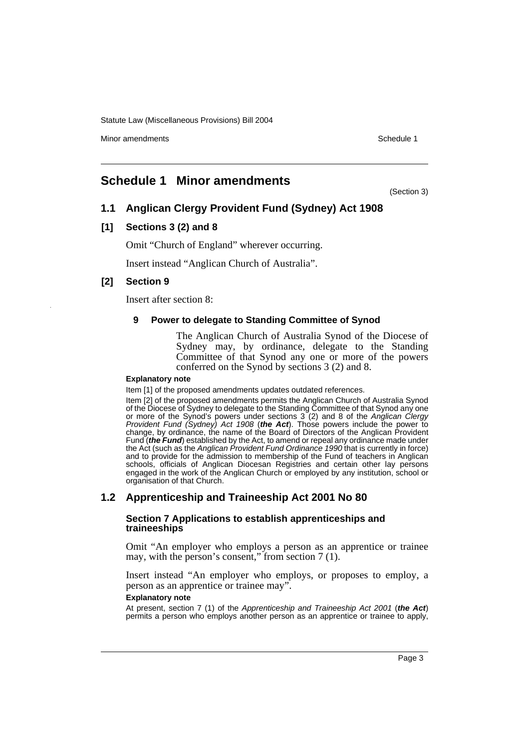Minor amendments **Schedule 1** and the state of the state of the state of the Schedule 1

# **Schedule 1 Minor amendments**

(Section 3)

# **1.1 Anglican Clergy Provident Fund (Sydney) Act 1908**

# **[1] Sections 3 (2) and 8**

Omit "Church of England" wherever occurring.

Insert instead "Anglican Church of Australia".

# **[2] Section 9**

Insert after section 8:

# **9 Power to delegate to Standing Committee of Synod**

The Anglican Church of Australia Synod of the Diocese of Sydney may, by ordinance, delegate to the Standing Committee of that Synod any one or more of the powers conferred on the Synod by sections 3 (2) and 8.

### **Explanatory note**

Item [1] of the proposed amendments updates outdated references.

Item [2] of the proposed amendments permits the Anglican Church of Australia Synod of the Diocese of Sydney to delegate to the Standing Committee of that Synod any one or more of the Synod's powers under sections 3 (2) and 8 of the *Anglican Clergy Provident Fund (Sydney) Act 1908* (*the Act*). Those powers include the power to change, by ordinance, the name of the Board of Directors of the Anglican Provident Fund (*the Fund*) established by the Act, to amend or repeal any ordinance made under the Act (such as the *Anglican Provident Fund Ordinance 1990* that is currently in force) and to provide for the admission to membership of the Fund of teachers in Anglican schools, officials of Anglican Diocesan Registries and certain other lay persons engaged in the work of the Anglican Church or employed by any institution, school or organisation of that Church.

# **1.2 Apprenticeship and Traineeship Act 2001 No 80**

### **Section 7 Applications to establish apprenticeships and traineeships**

Omit "An employer who employs a person as an apprentice or trainee may, with the person's consent," from section 7 (1).

Insert instead "An employer who employs, or proposes to employ, a person as an apprentice or trainee may".

### **Explanatory note**

At present, section 7 (1) of the *Apprenticeship and Traineeship Act 2001* (*the Act*) permits a person who employs another person as an apprentice or trainee to apply,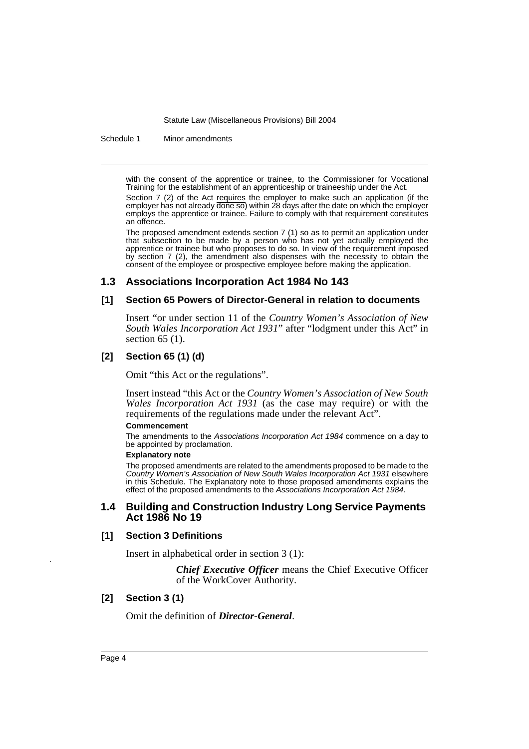Schedule 1 Minor amendments

with the consent of the apprentice or trainee, to the Commissioner for Vocational Training for the establishment of an apprenticeship or traineeship under the Act.

Section 7 (2) of the Act requires the employer to make such an application (if the employer has not already done so) within 28 days after the date on which the employer employs the apprentice or trainee. Failure to comply with that requirement constitutes an offence.

The proposed amendment extends section 7 (1) so as to permit an application under that subsection to be made by a person who has not yet actually employed the apprentice or trainee but who proposes to do so. In view of the requirement imposed by section 7 (2), the amendment also dispenses with the necessity to obtain the consent of the employee or prospective employee before making the application.

# **1.3 Associations Incorporation Act 1984 No 143**

### **[1] Section 65 Powers of Director-General in relation to documents**

Insert "or under section 11 of the *Country Women's Association of New South Wales Incorporation Act 1931*" after "lodgment under this Act" in section 65 (1).

# **[2] Section 65 (1) (d)**

Omit "this Act or the regulations".

Insert instead "this Act or the *Country Women's Association of New South Wales Incorporation Act 1931* (as the case may require) or with the requirements of the regulations made under the relevant Act".

#### **Commencement**

The amendments to the *Associations Incorporation Act 1984* commence on a day to be appointed by proclamation.

#### **Explanatory note**

The proposed amendments are related to the amendments proposed to be made to the *Country Women's Association of New South Wales Incorporation Act 1931* elsewhere in this Schedule. The Explanatory note to those proposed amendments explains the effect of the proposed amendments to the *Associations Incorporation Act 1984*.

### **1.4 Building and Construction Industry Long Service Payments Act 1986 No 19**

## **[1] Section 3 Definitions**

Insert in alphabetical order in section 3 (1):

*Chief Executive Officer* means the Chief Executive Officer of the WorkCover Authority.

# **[2] Section 3 (1)**

Omit the definition of *Director-General*.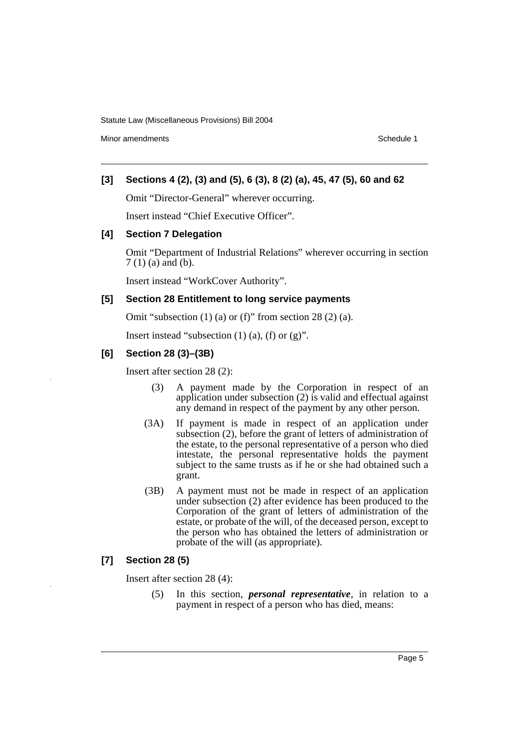Minor amendments **Schedule 1** and the state of the state of the state of the Schedule 1

# **[3] Sections 4 (2), (3) and (5), 6 (3), 8 (2) (a), 45, 47 (5), 60 and 62**

Omit "Director-General" wherever occurring.

Insert instead "Chief Executive Officer".

### **[4] Section 7 Delegation**

Omit "Department of Industrial Relations" wherever occurring in section 7 (1) (a) and (b).

Insert instead "WorkCover Authority".

# **[5] Section 28 Entitlement to long service payments**

Omit "subsection (1) (a) or (f)" from section 28 (2) (a).

Insert instead "subsection  $(1)$   $(a)$ ,  $(f)$  or  $(g)$ ".

# **[6] Section 28 (3)–(3B)**

Insert after section 28 (2):

- (3) A payment made by the Corporation in respect of an application under subsection (2) is valid and effectual against any demand in respect of the payment by any other person.
- (3A) If payment is made in respect of an application under subsection (2), before the grant of letters of administration of the estate, to the personal representative of a person who died intestate, the personal representative holds the payment subject to the same trusts as if he or she had obtained such a grant.
- (3B) A payment must not be made in respect of an application under subsection (2) after evidence has been produced to the Corporation of the grant of letters of administration of the estate, or probate of the will, of the deceased person, except to the person who has obtained the letters of administration or probate of the will (as appropriate).

# **[7] Section 28 (5)**

Insert after section 28 (4):

(5) In this section, *personal representative*, in relation to a payment in respect of a person who has died, means: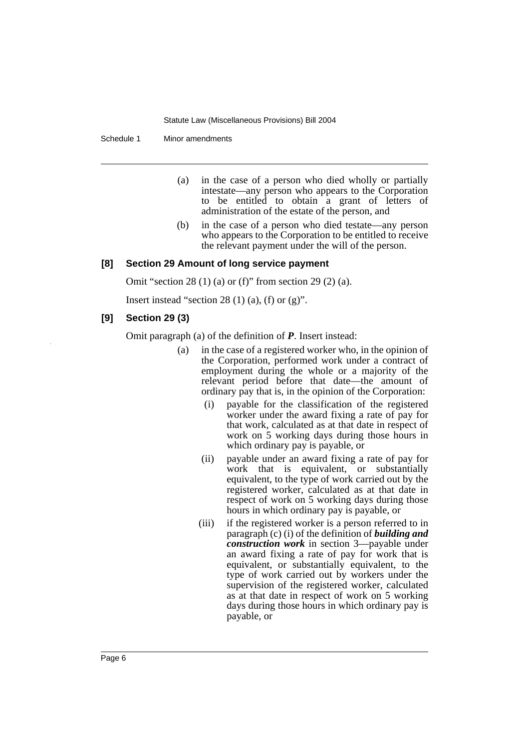Schedule 1 Minor amendments

- (a) in the case of a person who died wholly or partially intestate—any person who appears to the Corporation to be entitled to obtain a grant of letters of administration of the estate of the person, and
- (b) in the case of a person who died testate—any person who appears to the Corporation to be entitled to receive the relevant payment under the will of the person.

### **[8] Section 29 Amount of long service payment**

Omit "section 28 (1) (a) or (f)" from section 29 (2) (a).

Insert instead "section 28  $(1)$   $(a)$ ,  $(f)$  or  $(g)$ ".

### **[9] Section 29 (3)**

Omit paragraph (a) of the definition of *P*. Insert instead:

- (a) in the case of a registered worker who, in the opinion of the Corporation, performed work under a contract of employment during the whole or a majority of the relevant period before that date—the amount of ordinary pay that is, in the opinion of the Corporation:
	- (i) payable for the classification of the registered worker under the award fixing a rate of pay for that work, calculated as at that date in respect of work on 5 working days during those hours in which ordinary pay is payable, or
	- (ii) payable under an award fixing a rate of pay for work that is equivalent, or substantially equivalent, to the type of work carried out by the registered worker, calculated as at that date in respect of work on 5 working days during those hours in which ordinary pay is payable, or
	- (iii) if the registered worker is a person referred to in paragraph (c) (i) of the definition of *building and construction work* in section 3—payable under an award fixing a rate of pay for work that is equivalent, or substantially equivalent, to the type of work carried out by workers under the supervision of the registered worker, calculated as at that date in respect of work on 5 working days during those hours in which ordinary pay is payable, or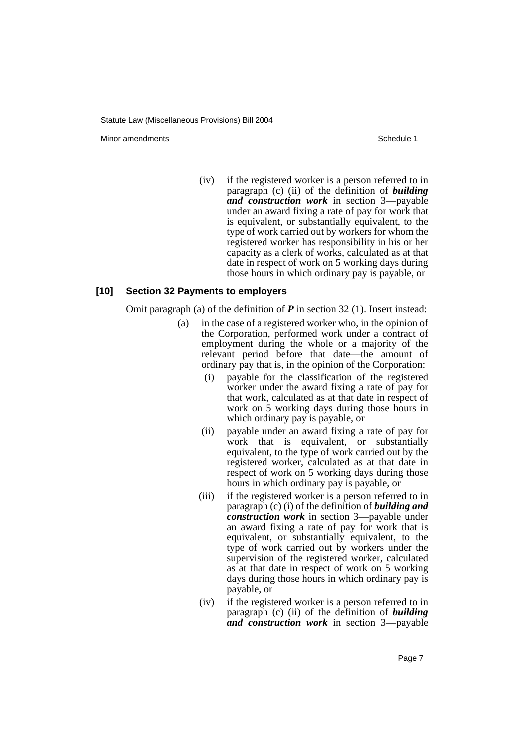Minor amendments **Schedule 1** and the state of the state of the state of the Schedule 1

(iv) if the registered worker is a person referred to in paragraph (c) (ii) of the definition of *building and construction work* in section 3—payable under an award fixing a rate of pay for work that is equivalent, or substantially equivalent, to the type of work carried out by workers for whom the registered worker has responsibility in his or her capacity as a clerk of works, calculated as at that date in respect of work on 5 working days during those hours in which ordinary pay is payable, or

### **[10] Section 32 Payments to employers**

Omit paragraph (a) of the definition of *P* in section 32 (1). Insert instead:

- (a) in the case of a registered worker who, in the opinion of the Corporation, performed work under a contract of employment during the whole or a majority of the relevant period before that date—the amount of ordinary pay that is, in the opinion of the Corporation:
	- (i) payable for the classification of the registered worker under the award fixing a rate of pay for that work, calculated as at that date in respect of work on 5 working days during those hours in which ordinary pay is payable, or
	- (ii) payable under an award fixing a rate of pay for work that is equivalent, or substantially equivalent, to the type of work carried out by the registered worker, calculated as at that date in respect of work on 5 working days during those hours in which ordinary pay is payable, or
	- (iii) if the registered worker is a person referred to in paragraph (c) (i) of the definition of *building and construction work* in section 3—payable under an award fixing a rate of pay for work that is equivalent, or substantially equivalent, to the type of work carried out by workers under the supervision of the registered worker, calculated as at that date in respect of work on 5 working days during those hours in which ordinary pay is payable, or
	- (iv) if the registered worker is a person referred to in paragraph (c) (ii) of the definition of *building and construction work* in section 3—payable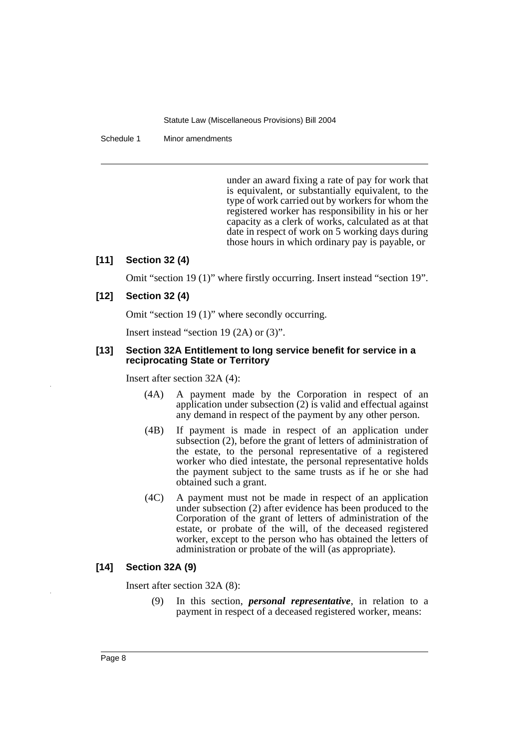Schedule 1 Minor amendments

under an award fixing a rate of pay for work that is equivalent, or substantially equivalent, to the type of work carried out by workers for whom the registered worker has responsibility in his or her capacity as a clerk of works, calculated as at that date in respect of work on 5 working days during those hours in which ordinary pay is payable, or

# **[11] Section 32 (4)**

Omit "section 19 (1)" where firstly occurring. Insert instead "section 19".

# **[12] Section 32 (4)**

Omit "section 19 (1)" where secondly occurring.

Insert instead "section 19 (2A) or (3)".

### **[13] Section 32A Entitlement to long service benefit for service in a reciprocating State or Territory**

Insert after section 32A (4):

- (4A) A payment made by the Corporation in respect of an application under subsection (2) is valid and effectual against any demand in respect of the payment by any other person.
- (4B) If payment is made in respect of an application under subsection (2), before the grant of letters of administration of the estate, to the personal representative of a registered worker who died intestate, the personal representative holds the payment subject to the same trusts as if he or she had obtained such a grant.
- (4C) A payment must not be made in respect of an application under subsection (2) after evidence has been produced to the Corporation of the grant of letters of administration of the estate, or probate of the will, of the deceased registered worker, except to the person who has obtained the letters of administration or probate of the will (as appropriate).

# **[14] Section 32A (9)**

Insert after section 32A (8):

(9) In this section, *personal representative*, in relation to a payment in respect of a deceased registered worker, means: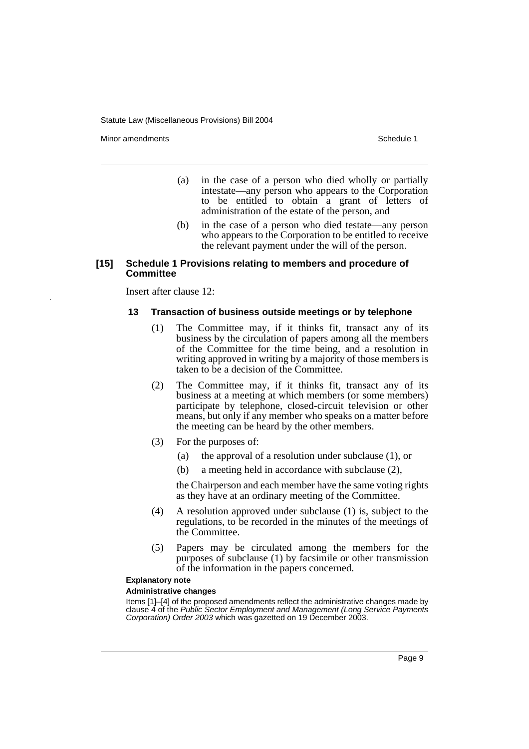Minor amendments **Schedule 1** and the state of the state of the state of the Schedule 1

- (a) in the case of a person who died wholly or partially intestate—any person who appears to the Corporation to be entitled to obtain a grant of letters of administration of the estate of the person, and
- (b) in the case of a person who died testate—any person who appears to the Corporation to be entitled to receive the relevant payment under the will of the person.

### **[15] Schedule 1 Provisions relating to members and procedure of Committee**

Insert after clause 12:

### **13 Transaction of business outside meetings or by telephone**

- (1) The Committee may, if it thinks fit, transact any of its business by the circulation of papers among all the members of the Committee for the time being, and a resolution in writing approved in writing by a majority of those members is taken to be a decision of the Committee.
- (2) The Committee may, if it thinks fit, transact any of its business at a meeting at which members (or some members) participate by telephone, closed-circuit television or other means, but only if any member who speaks on a matter before the meeting can be heard by the other members.
- (3) For the purposes of:
	- (a) the approval of a resolution under subclause (1), or
	- (b) a meeting held in accordance with subclause (2),

the Chairperson and each member have the same voting rights as they have at an ordinary meeting of the Committee.

- (4) A resolution approved under subclause (1) is, subject to the regulations, to be recorded in the minutes of the meetings of the Committee.
- (5) Papers may be circulated among the members for the purposes of subclause (1) by facsimile or other transmission of the information in the papers concerned.

### **Explanatory note**

#### **Administrative changes**

Items [1]–[4] of the proposed amendments reflect the administrative changes made by clause 4 of the *Public Sector Employment and Management (Long Service Payments Corporation) Order 2003* which was gazetted on 19 December 2003.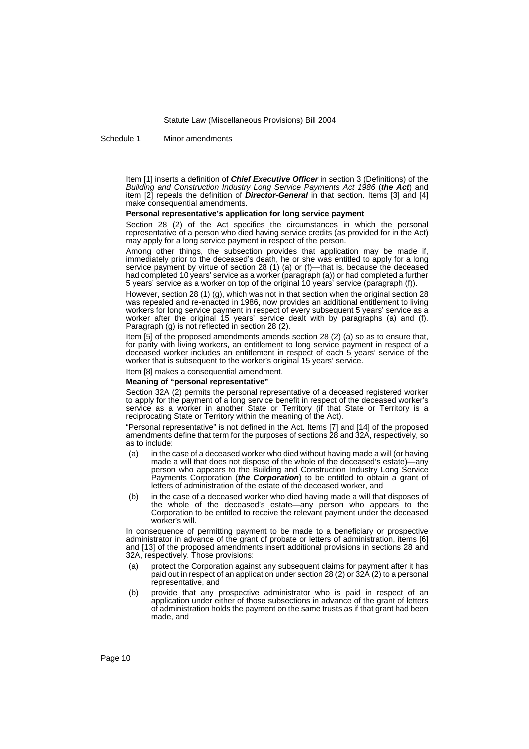Schedule 1 Minor amendments

Item [1] inserts a definition of *Chief Executive Officer* in section 3 (Definitions) of the *Building and Construction Industry Long Service Payments Act 1986* (*the Act*) and item [2] repeals the definition of *Director-General* in that section. Items [3] and [4] make consequential amendments.

#### **Personal representative's application for long service payment**

Section 28 (2) of the Act specifies the circumstances in which the personal representative of a person who died having service credits (as provided for in the Act) may apply for a long service payment in respect of the person.

Among other things, the subsection provides that application may be made if, immediately prior to the deceased's death, he or she was entitled to apply for a long service payment by virtue of section 28 (1) (a) or (f)—that is, because the deceased had completed 10 years' service as a worker (paragraph (a)) or had completed a further 5 years' service as a worker on top of the original 10 years' service (paragraph (f)).

However, section 28 (1) (g), which was not in that section when the original section 28 was repealed and re-enacted in 1986, now provides an additional entitlement to living workers for long service payment in respect of every subsequent 5 years' service as a worker after the original 15 years' service dealt with by paragraphs (a) and (f). Paragraph (g) is not reflected in section 28 (2).

Item [5] of the proposed amendments amends section 28 (2) (a) so as to ensure that, for parity with living workers, an entitlement to long service payment in respect of a deceased worker includes an entitlement in respect of each 5 years' service of the worker that is subsequent to the worker's original 15 years' service.

Item [8] makes a consequential amendment.

#### **Meaning of "personal representative"**

Section 32A (2) permits the personal representative of a deceased registered worker to apply for the payment of a long service benefit in respect of the deceased worker's service as a worker in another State or Territory (if that State or Territory is a reciprocating State or Territory within the meaning of the Act).

"Personal representative" is not defined in the Act. Items [7] and [14] of the proposed amendments define that term for the purposes of sections 28 and 32A, respectively, so as to include:

- in the case of a deceased worker who died without having made a will (or having made a will that does not dispose of the whole of the deceased's estate)—any person who appears to the Building and Construction Industry Long Service Payments Corporation (*the Corporation*) to be entitled to obtain a grant of letters of administration of the estate of the deceased worker, and
- (b) in the case of a deceased worker who died having made a will that disposes of the whole of the deceased's estate—any person who appears to the Corporation to be entitled to receive the relevant payment under the deceased worker's will.

In consequence of permitting payment to be made to a beneficiary or prospective administrator in advance of the grant of probate or letters of administration, items [6] and [13] of the proposed amendments insert additional provisions in sections 28 and 32A, respectively. Those provisions:

- (a) protect the Corporation against any subsequent claims for payment after it has paid out in respect of an application under section 28 (2) or 32A (2) to a personal representative, and
- (b) provide that any prospective administrator who is paid in respect of an application under either of those subsections in advance of the grant of letters of administration holds the payment on the same trusts as if that grant had been made, and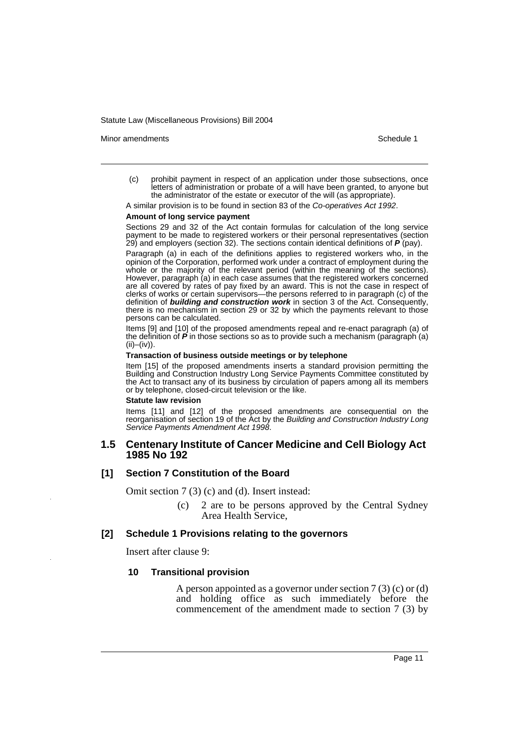Minor amendments **Schedule 1** and the state of the state of the state of the Schedule 1

(c) prohibit payment in respect of an application under those subsections, once letters of administration or probate of a will have been granted, to anyone but the administrator of the estate or executor of the will (as appropriate).

A similar provision is to be found in section 83 of the *Co-operatives Act 1992*.

#### **Amount of long service payment**

Sections 29 and 32 of the Act contain formulas for calculation of the long service payment to be made to registered workers or their personal representatives (section 29) and employers (section 32). The sections contain identical definitions of *P* (pay).

Paragraph (a) in each of the definitions applies to registered workers who, in the opinion of the Corporation, performed work under a contract of employment during the whole or the majority of the relevant period (within the meaning of the sections). However, paragraph (a) in each case assumes that the registered workers concerned are all covered by rates of pay fixed by an award. This is not the case in respect of clerks of works or certain supervisors—the persons referred to in paragraph (c) of the definition of *building and construction work* in section 3 of the Act. Consequently, there is no mechanism in section 29 or 32 by which the payments relevant to those persons can be calculated.

Items [9] and [10] of the proposed amendments repeal and re-enact paragraph (a) of the definition of *P* in those sections so as to provide such a mechanism (paragraph (a)  $(ii)$ – $(iv)$ ).

#### **Transaction of business outside meetings or by telephone**

Item [15] of the proposed amendments inserts a standard provision permitting the Building and Construction Industry Long Service Payments Committee constituted by the Act to transact any of its business by circulation of papers among all its members or by telephone, closed-circuit television or the like.

#### **Statute law revision**

Items [11] and [12] of the proposed amendments are consequential on the reorganisation of section 19 of the Act by the *Building and Construction Industry Long Service Payments Amendment Act 1998*.

# **1.5 Centenary Institute of Cancer Medicine and Cell Biology Act 1985 No 192**

### **[1] Section 7 Constitution of the Board**

Omit section 7 (3) (c) and (d). Insert instead:

(c) 2 are to be persons approved by the Central Sydney Area Health Service,

### **[2] Schedule 1 Provisions relating to the governors**

Insert after clause 9:

### **10 Transitional provision**

A person appointed as a governor under section 7 (3) (c) or (d) and holding office as such immediately before the commencement of the amendment made to section 7 (3) by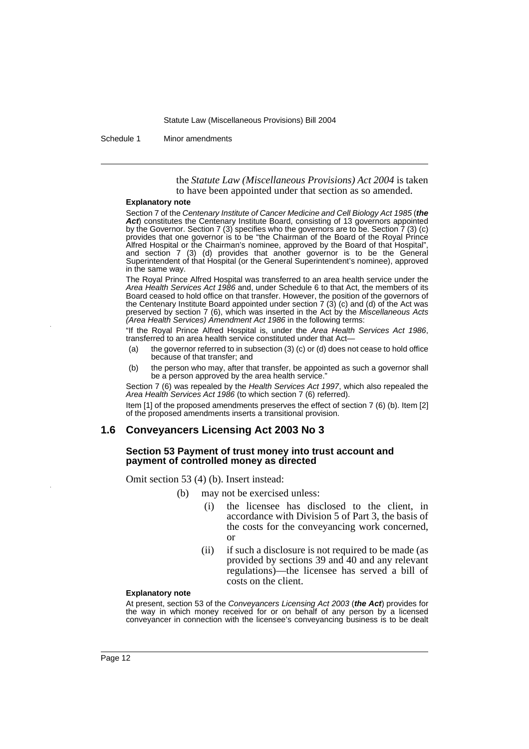Schedule 1 Minor amendments

the *Statute Law (Miscellaneous Provisions) Act 2004* is taken to have been appointed under that section as so amended.

#### **Explanatory note**

Section 7 of the *Centenary Institute of Cancer Medicine and Cell Biology Act 1985* (*the* Act) constitutes the Centenary Institute Board, consisting of 13 governors appointed by the Governor. Section 7 (3) specifies who the governors are to be. Section 7 (3) (c) provides that one governor is to be "the Chairman of the Board of the Royal Prince Alfred Hospital or the Chairman's nominee, approved by the Board of that Hospital", and section 7 (3) (d) provides that another governor is to be the General Superintendent of that Hospital (or the General Superintendent's nominee), approved in the same way.

The Royal Prince Alfred Hospital was transferred to an area health service under the *Area Health Services Act 1986* and, under Schedule 6 to that Act, the members of its Board ceased to hold office on that transfer. However, the position of the governors of the Centenary Institute Board appointed under section 7 (3) (c) and (d) of the Act was preserved by section 7 (6), which was inserted in the Act by the *Miscellaneous Acts (Area Health Services) Amendment Act 1986* in the following terms:

"If the Royal Prince Alfred Hospital is, under the *Area Health Services Act 1986*, transferred to an area health service constituted under that Act—

- (a) the governor referred to in subsection (3) (c) or (d) does not cease to hold office because of that transfer; and
- (b) the person who may, after that transfer, be appointed as such a governor shall be a person approved by the area health service."

Section 7 (6) was repealed by the *Health Services Act 1997*, which also repealed the *Area Health Services Act 1986* (to which section 7 (6) referred).

Item [1] of the proposed amendments preserves the effect of section 7 (6) (b). Item [2] of the proposed amendments inserts a transitional provision.

### **1.6 Conveyancers Licensing Act 2003 No 3**

### **Section 53 Payment of trust money into trust account and payment of controlled money as directed**

Omit section 53 (4) (b). Insert instead:

- (b) may not be exercised unless:
	- the licensee has disclosed to the client, in accordance with Division 5 of Part 3, the basis of the costs for the conveyancing work concerned, or
	- (ii) if such a disclosure is not required to be made (as provided by sections 39 and 40 and any relevant regulations)—the licensee has served a bill of costs on the client.

#### **Explanatory note**

At present, section 53 of the *Conveyancers Licensing Act 2003* (*the Act*) provides for the way in which money received for or on behalf of any person by a licensed conveyancer in connection with the licensee's conveyancing business is to be dealt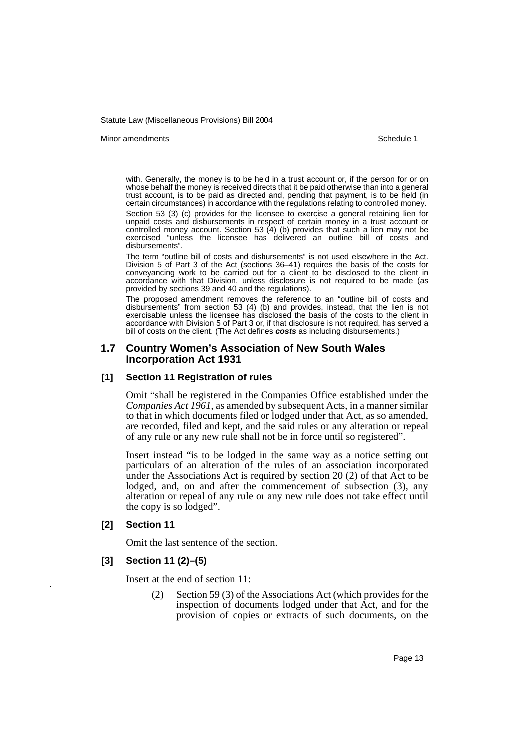#### Minor amendments **Schedule 1** and the state of the state of the state of the Schedule 1

with. Generally, the money is to be held in a trust account or, if the person for or on whose behalf the money is received directs that it be paid otherwise than into a general trust account, is to be paid as directed and, pending that payment, is to be held (in certain circumstances) in accordance with the regulations relating to controlled money.

Section 53 (3) (c) provides for the licensee to exercise a general retaining lien for unpaid costs and disbursements in respect of certain money in a trust account or controlled money account. Section 53 (4) (b) provides that such a lien may not be exercised "unless the licensee has delivered an outline bill of costs and disbursements".

The term "outline bill of costs and disbursements" is not used elsewhere in the Act. Division 5 of Part 3 of the Act (sections 36–41) requires the basis of the costs for conveyancing work to be carried out for a client to be disclosed to the client in accordance with that Division, unless disclosure is not required to be made (as provided by sections 39 and 40 and the regulations).

The proposed amendment removes the reference to an "outline bill of costs and disbursements" from section 53 (4) (b) and provides, instead, that the lien is not exercisable unless the licensee has disclosed the basis of the costs to the client in accordance with Division 5 of Part 3 or, if that disclosure is not required, has served a bill of costs on the client. (The Act defines *costs* as including disbursements.)

# **1.7 Country Women's Association of New South Wales Incorporation Act 1931**

# **[1] Section 11 Registration of rules**

Omit "shall be registered in the Companies Office established under the *Companies Act 1961*, as amended by subsequent Acts, in a manner similar to that in which documents filed or lodged under that Act, as so amended, are recorded, filed and kept, and the said rules or any alteration or repeal of any rule or any new rule shall not be in force until so registered".

Insert instead "is to be lodged in the same way as a notice setting out particulars of an alteration of the rules of an association incorporated under the Associations Act is required by section 20 (2) of that Act to be lodged, and, on and after the commencement of subsection (3), any alteration or repeal of any rule or any new rule does not take effect until the copy is so lodged".

# **[2] Section 11**

Omit the last sentence of the section.

# **[3] Section 11 (2)–(5)**

Insert at the end of section 11:

(2) Section 59 (3) of the Associations Act (which provides for the inspection of documents lodged under that Act, and for the provision of copies or extracts of such documents, on the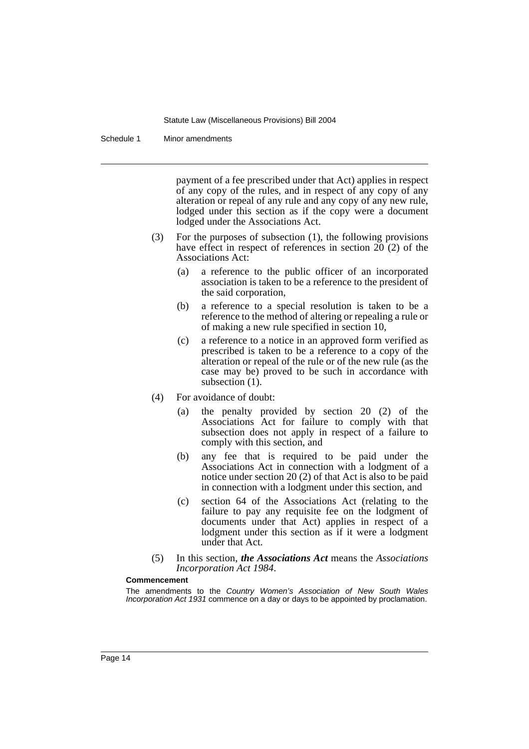Schedule 1 Minor amendments

payment of a fee prescribed under that Act) applies in respect of any copy of the rules, and in respect of any copy of any alteration or repeal of any rule and any copy of any new rule, lodged under this section as if the copy were a document lodged under the Associations Act.

- (3) For the purposes of subsection (1), the following provisions have effect in respect of references in section 20 (2) of the Associations Act:
	- (a) a reference to the public officer of an incorporated association is taken to be a reference to the president of the said corporation,
	- (b) a reference to a special resolution is taken to be a reference to the method of altering or repealing a rule or of making a new rule specified in section 10,
	- (c) a reference to a notice in an approved form verified as prescribed is taken to be a reference to a copy of the alteration or repeal of the rule or of the new rule (as the case may be) proved to be such in accordance with subsection  $(1)$ .
- (4) For avoidance of doubt:
	- (a) the penalty provided by section 20 (2) of the Associations Act for failure to comply with that subsection does not apply in respect of a failure to comply with this section, and
	- (b) any fee that is required to be paid under the Associations Act in connection with a lodgment of a notice under section 20 (2) of that Act is also to be paid in connection with a lodgment under this section, and
	- (c) section 64 of the Associations Act (relating to the failure to pay any requisite fee on the lodgment of documents under that Act) applies in respect of a lodgment under this section as if it were a lodgment under that Act.
- (5) In this section, *the Associations Act* means the *Associations Incorporation Act 1984*.

#### **Commencement**

The amendments to the *Country Women's Association of New South Wales Incorporation Act 1931* commence on a day or days to be appointed by proclamation.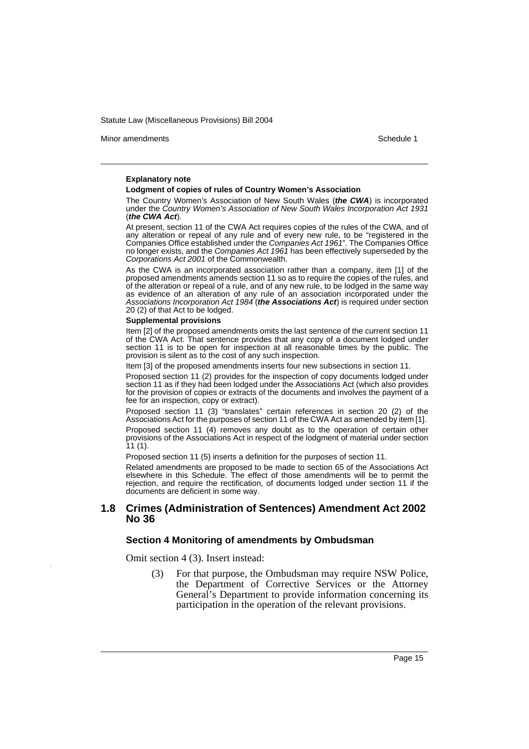Minor amendments **Schedule 1** and the state of the state of the state of the Schedule 1

#### **Explanatory note**

#### **Lodgment of copies of rules of Country Women's Association**

The Country Women's Association of New South Wales (*the CWA*) is incorporated under the *Country Women's Association of New South Wales Incorporation Act 1931* (*the CWA Act*).

At present, section 11 of the CWA Act requires copies of the rules of the CWA, and of any alteration or repeal of any rule and of every new rule, to be "registered in the Companies Office established under the *Companies Act 1961*". The Companies Office no longer exists, and the *Companies Act 1961* has been effectively superseded by the *Corporations Act 2001* of the Commonwealth.

As the CWA is an incorporated association rather than a company, item [1] of the proposed amendments amends section 11 so as to require the copies of the rules, and of the alteration or repeal of a rule, and of any new rule, to be lodged in the same way as evidence of an alteration of any rule of an association incorporated under the *Associations Incorporation Act 1984* (*the Associations Act*) is required under section 20 (2) of that Act to be lodged.

#### **Supplemental provisions**

Item [2] of the proposed amendments omits the last sentence of the current section 11 of the CWA Act. That sentence provides that any copy of a document lodged under section 11 is to be open for inspection at all reasonable times by the public. The provision is silent as to the cost of any such inspection.

Item [3] of the proposed amendments inserts four new subsections in section 11.

Proposed section 11 (2) provides for the inspection of copy documents lodged under section 11 as if they had been lodged under the Associations Act (which also provides for the provision of copies or extracts of the documents and involves the payment of a fee for an inspection, copy or extract).

Proposed section 11 (3) "translates" certain references in section 20 (2) of the Associations Act for the purposes of section 11 of the CWA Act as amended by item [1].

Proposed section 11 (4) removes any doubt as to the operation of certain other provisions of the Associations Act in respect of the lodgment of material under section 11 (1).

Proposed section 11 (5) inserts a definition for the purposes of section 11.

Related amendments are proposed to be made to section 65 of the Associations Act elsewhere in this Schedule. The effect of those amendments will be to permit the rejection, and require the rectification, of documents lodged under section 11 if the documents are deficient in some way.

### **1.8 Crimes (Administration of Sentences) Amendment Act 2002 No 36**

#### **Section 4 Monitoring of amendments by Ombudsman**

Omit section 4 (3). Insert instead:

(3) For that purpose, the Ombudsman may require NSW Police, the Department of Corrective Services or the Attorney General's Department to provide information concerning its participation in the operation of the relevant provisions.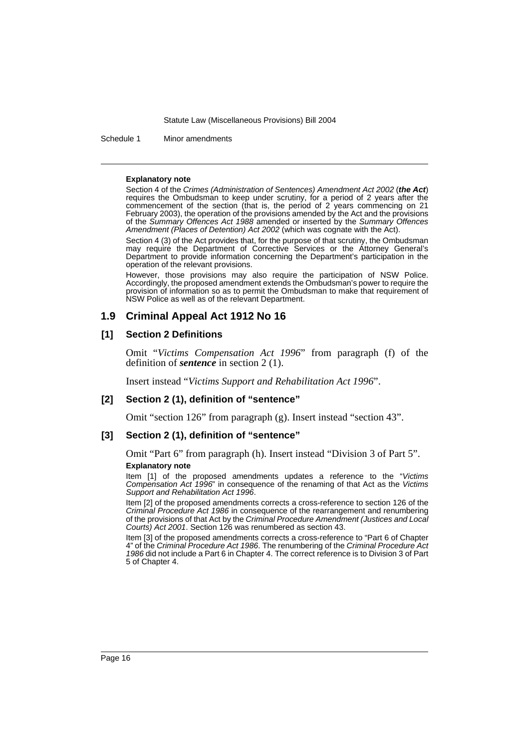Schedule 1 Minor amendments

#### **Explanatory note**

Section 4 of the *Crimes (Administration of Sentences) Amendment Act 2002* (*the Act*) requires the Ombudsman to keep under scrutiny, for a period of 2 years after the commencement of the section (that is, the period of 2 years commencing on 21 February 2003), the operation of the provisions amended by the Act and the provisions of the *Summary Offences Act 1988* amended or inserted by the *Summary Offences Amendment (Places of Detention) Act 2002* (which was cognate with the Act).

Section 4 (3) of the Act provides that, for the purpose of that scrutiny, the Ombudsman may require the Department of Corrective Services or the Attorney General's Department to provide information concerning the Department's participation in the operation of the relevant provisions.

However, those provisions may also require the participation of NSW Police. Accordingly, the proposed amendment extends the Ombudsman's power to require the provision of information so as to permit the Ombudsman to make that requirement of NSW Police as well as of the relevant Department.

# **1.9 Criminal Appeal Act 1912 No 16**

# **[1] Section 2 Definitions**

Omit "*Victims Compensation Act 1996*" from paragraph (f) of the definition of *sentence* in section 2 (1).

Insert instead "*Victims Support and Rehabilitation Act 1996*".

# **[2] Section 2 (1), definition of "sentence"**

Omit "section 126" from paragraph (g). Insert instead "section 43".

### **[3] Section 2 (1), definition of "sentence"**

Omit "Part 6" from paragraph (h). Insert instead "Division 3 of Part 5". **Explanatory note**

Item [1] of the proposed amendments updates a reference to the "*Victims Compensation Act 1996*" in consequence of the renaming of that Act as the *Victims Support and Rehabilitation Act 1996*.

Item [2] of the proposed amendments corrects a cross-reference to section 126 of the *Criminal Procedure Act 1986* in consequence of the rearrangement and renumbering of the provisions of that Act by the *Criminal Procedure Amendment (Justices and Local Courts) Act 2001*. Section 126 was renumbered as section 43.

Item [3] of the proposed amendments corrects a cross-reference to "Part 6 of Chapter 4" of the *Criminal Procedure Act 1986*. The renumbering of the *Criminal Procedure Act 1986* did not include a Part 6 in Chapter 4. The correct reference is to Division 3 of Part 5 of Chapter 4.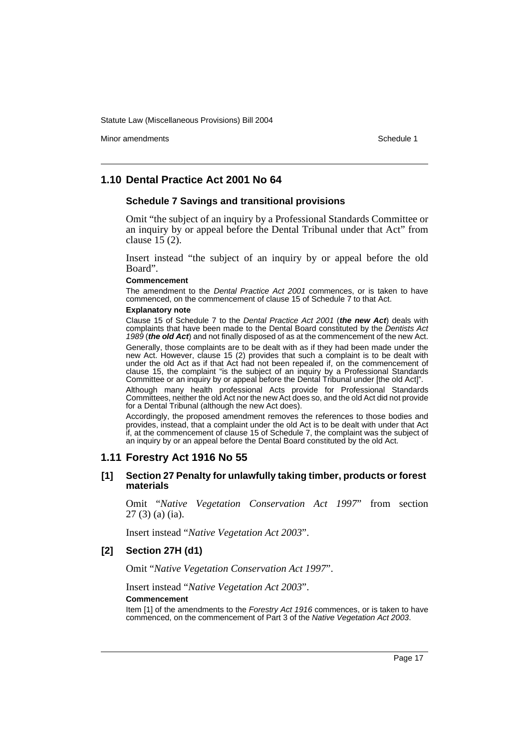Minor amendments **Schedule 1** and the state of the state of the state of the Schedule 1

# **1.10 Dental Practice Act 2001 No 64**

### **Schedule 7 Savings and transitional provisions**

Omit "the subject of an inquiry by a Professional Standards Committee or an inquiry by or appeal before the Dental Tribunal under that Act" from clause 15 (2).

Insert instead "the subject of an inquiry by or appeal before the old Board".

#### **Commencement**

The amendment to the *Dental Practice Act 2001* commences, or is taken to have commenced, on the commencement of clause 15 of Schedule 7 to that Act.

#### **Explanatory note**

Clause 15 of Schedule 7 to the *Dental Practice Act 2001* (*the new Act*) deals with complaints that have been made to the Dental Board constituted by the *Dentists Act 1989* (*the old Act*) and not finally disposed of as at the commencement of the new Act.

Generally, those complaints are to be dealt with as if they had been made under the new Act. However, clause 15 (2) provides that such a complaint is to be dealt with under the old Act as if that Act had not been repealed if, on the commencement of clause 15, the complaint "is the subject of an inquiry by a Professional Standards Committee or an inquiry by or appeal before the Dental Tribunal under [the old Act]".

Although many health professional Acts provide for Professional Standards Committees, neither the old Act nor the new Act does so, and the old Act did not provide for a Dental Tribunal (although the new Act does).

Accordingly, the proposed amendment removes the references to those bodies and provides, instead, that a complaint under the old Act is to be dealt with under that Act if, at the commencement of clause 15 of Schedule 7, the complaint was the subject of an inquiry by or an appeal before the Dental Board constituted by the old Act.

# **1.11 Forestry Act 1916 No 55**

### **[1] Section 27 Penalty for unlawfully taking timber, products or forest materials**

Omit "*Native Vegetation Conservation Act 1997*" from section 27 (3) (a) (ia).

Insert instead "*Native Vegetation Act 2003*".

# **[2] Section 27H (d1)**

Omit "*Native Vegetation Conservation Act 1997*".

Insert instead "*Native Vegetation Act 2003*".

#### **Commencement**

Item [1] of the amendments to the *Forestry Act 1916* commences, or is taken to have commenced, on the commencement of Part 3 of the *Native Vegetation Act 2003*.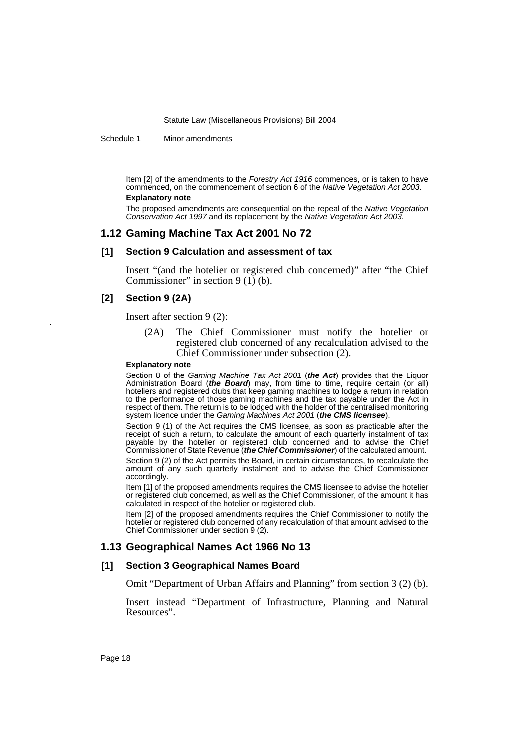Schedule 1 Minor amendments

Item [2] of the amendments to the *Forestry Act 1916* commences, or is taken to have commenced, on the commencement of section 6 of the *Native Vegetation Act 2003*.

# **Explanatory note**

The proposed amendments are consequential on the repeal of the *Native Vegetation Conservation Act 1997* and its replacement by the *Native Vegetation Act 2003*.

### **1.12 Gaming Machine Tax Act 2001 No 72**

### **[1] Section 9 Calculation and assessment of tax**

Insert "(and the hotelier or registered club concerned)" after "the Chief Commissioner" in section  $9(1)$  (b).

### **[2] Section 9 (2A)**

Insert after section 9 (2):

(2A) The Chief Commissioner must notify the hotelier or registered club concerned of any recalculation advised to the Chief Commissioner under subsection (2).

#### **Explanatory note**

Section 8 of the *Gaming Machine Tax Act 2001* (*the Act*) provides that the Liquor Administration Board (*the Board*) may, from time to time, require certain (or all) hoteliers and registered clubs that keep gaming machines to lodge a return in relation to the performance of those gaming machines and the tax payable under the Act in respect of them. The return is to be lodged with the holder of the centralised monitoring system licence under the *Gaming Machines Act 2001* (*the CMS licensee*).

Section 9 (1) of the Act requires the CMS licensee, as soon as practicable after the receipt of such a return, to calculate the amount of each quarterly instalment of tax payable by the hotelier or registered club concerned and to advise the Chief Commissioner of State Revenue (*the Chief Commissioner*) of the calculated amount.

Section 9 (2) of the Act permits the Board, in certain circumstances, to recalculate the amount of any such quarterly instalment and to advise the Chief Commissioner accordingly.

Item [1] of the proposed amendments requires the CMS licensee to advise the hotelier or registered club concerned, as well as the Chief Commissioner, of the amount it has calculated in respect of the hotelier or registered club.

Item [2] of the proposed amendments requires the Chief Commissioner to notify the hotelier or registered club concerned of any recalculation of that amount advised to the Chief Commissioner under section 9 (2).

# **1.13 Geographical Names Act 1966 No 13**

### **[1] Section 3 Geographical Names Board**

Omit "Department of Urban Affairs and Planning" from section 3 (2) (b).

Insert instead "Department of Infrastructure, Planning and Natural Resources".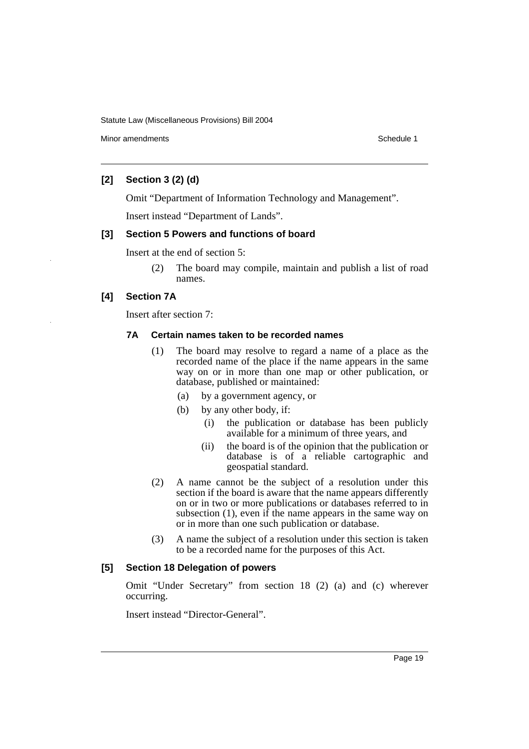Minor amendments **Schedule 1** and the state of the state of the state of the Schedule 1

# **[2] Section 3 (2) (d)**

Omit "Department of Information Technology and Management".

Insert instead "Department of Lands".

# **[3] Section 5 Powers and functions of board**

Insert at the end of section 5:

(2) The board may compile, maintain and publish a list of road names.

# **[4] Section 7A**

Insert after section 7:

### **7A Certain names taken to be recorded names**

- (1) The board may resolve to regard a name of a place as the recorded name of the place if the name appears in the same way on or in more than one map or other publication, or database, published or maintained:
	- (a) by a government agency, or
	- (b) by any other body, if:
		- (i) the publication or database has been publicly available for a minimum of three years, and
		- (ii) the board is of the opinion that the publication or database is of a reliable cartographic and geospatial standard.
- (2) A name cannot be the subject of a resolution under this section if the board is aware that the name appears differently on or in two or more publications or databases referred to in subsection (1), even if the name appears in the same way on or in more than one such publication or database.
- (3) A name the subject of a resolution under this section is taken to be a recorded name for the purposes of this Act.

# **[5] Section 18 Delegation of powers**

Omit "Under Secretary" from section 18 (2) (a) and (c) wherever occurring.

Insert instead "Director-General".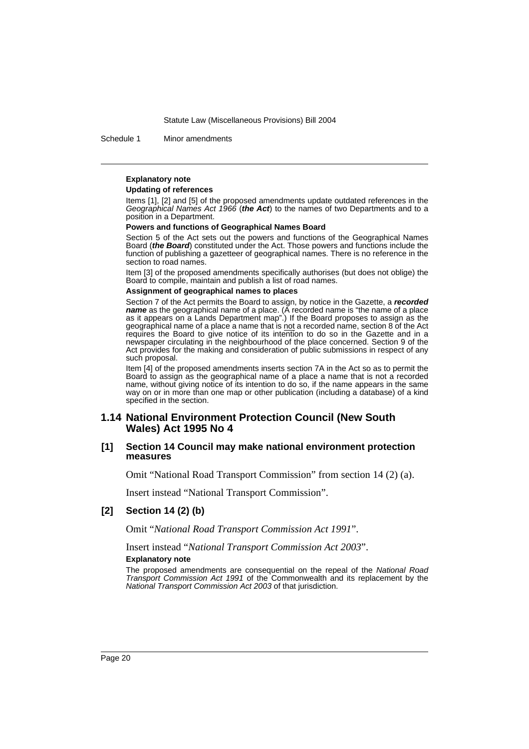Schedule 1 Minor amendments

### **Explanatory note**

#### **Updating of references**

Items [1], [2] and [5] of the proposed amendments update outdated references in the *Geographical Names Act 1966* (*the Act*) to the names of two Departments and to a position in a Department.

#### **Powers and functions of Geographical Names Board**

Section 5 of the Act sets out the powers and functions of the Geographical Names Board (*the Board*) constituted under the Act. Those powers and functions include the function of publishing a gazetteer of geographical names. There is no reference in the section to road names.

Item [3] of the proposed amendments specifically authorises (but does not oblige) the Board to compile, maintain and publish a list of road names.

#### **Assignment of geographical names to places**

Section 7 of the Act permits the Board to assign, by notice in the Gazette, a *recorded name* as the geographical name of a place. (A recorded name is "the name of a place as it appears on a Lands Department map".) If the Board proposes to assign as the geographical name of a place a name that is not a recorded name, section 8 of the Act requires the Board to give notice of its intention to do so in the Gazette and in a newspaper circulating in the neighbourhood of the place concerned. Section 9 of the Act provides for the making and consideration of public submissions in respect of any such proposal.

Item [4] of the proposed amendments inserts section 7A in the Act so as to permit the Board to assign as the geographical name of a place a name that is not a recorded name, without giving notice of its intention to do so, if the name appears in the same way on or in more than one map or other publication (including a database) of a kind specified in the section.

# **1.14 National Environment Protection Council (New South Wales) Act 1995 No 4**

### **[1] Section 14 Council may make national environment protection measures**

Omit "National Road Transport Commission" from section 14 (2) (a).

Insert instead "National Transport Commission".

### **[2] Section 14 (2) (b)**

Omit "*National Road Transport Commission Act 1991*".

Insert instead "*National Transport Commission Act 2003*". **Explanatory note**

The proposed amendments are consequential on the repeal of the *National Road Transport Commission Act 1991* of the Commonwealth and its replacement by the *National Transport Commission Act 2003* of that jurisdiction.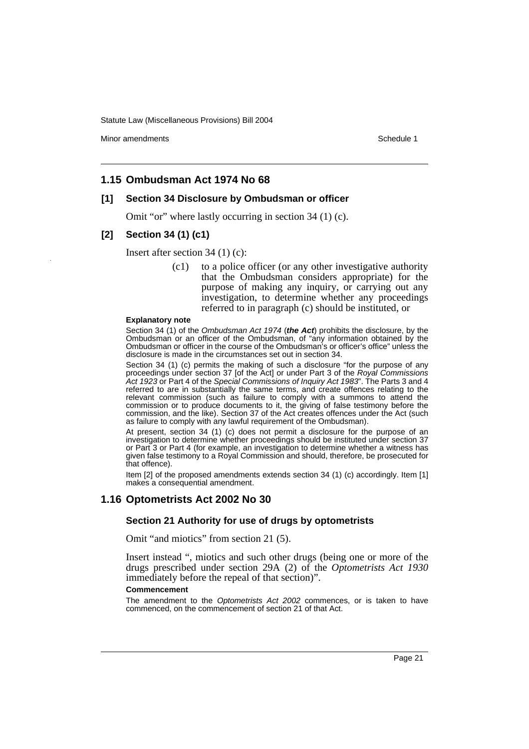Minor amendments **Schedule 1** and the state of the state of the state of the Schedule 1

# **1.15 Ombudsman Act 1974 No 68**

# **[1] Section 34 Disclosure by Ombudsman or officer**

Omit "or" where lastly occurring in section 34 (1) (c).

### **[2] Section 34 (1) (c1)**

Insert after section 34 (1) (c):

(c1) to a police officer (or any other investigative authority that the Ombudsman considers appropriate) for the purpose of making any inquiry, or carrying out any investigation, to determine whether any proceedings referred to in paragraph (c) should be instituted, or

#### **Explanatory note**

Section 34 (1) of the *Ombudsman Act 1974* (*the Act*) prohibits the disclosure, by the Ombudsman or an officer of the Ombudsman, of "any information obtained by the Ombudsman or officer in the course of the Ombudsman's or officer's office" unless the disclosure is made in the circumstances set out in section 34.

Section 34 (1) (c) permits the making of such a disclosure "for the purpose of any proceedings under section 37 [of the Act] or under Part 3 of the *Royal Commissions Act 1923* or Part 4 of the *Special Commissions of Inquiry Act 1983*". The Parts 3 and 4 referred to are in substantially the same terms, and create offences relating to the relevant commission (such as failure to comply with a summons to attend the commission or to produce documents to it, the giving of false testimony before the commission, and the like). Section 37 of the Act creates offences under the Act (such as failure to comply with any lawful requirement of the Ombudsman).

At present, section 34 (1) (c) does not permit a disclosure for the purpose of an investigation to determine whether proceedings should be instituted under section 37 or Part 3 or Part 4 (for example, an investigation to determine whether a witness has given false testimony to a Royal Commission and should, therefore, be prosecuted for that offence).

Item [2] of the proposed amendments extends section 34 (1) (c) accordingly. Item [1] makes a consequential amendment.

### **1.16 Optometrists Act 2002 No 30**

# **Section 21 Authority for use of drugs by optometrists**

Omit "and miotics" from section 21 (5).

Insert instead ", miotics and such other drugs (being one or more of the drugs prescribed under section 29A (2) of the *Optometrists Act 1930* immediately before the repeal of that section)".

#### **Commencement**

The amendment to the *Optometrists Act 2002* commences, or is taken to have commenced, on the commencement of section 21 of that Act.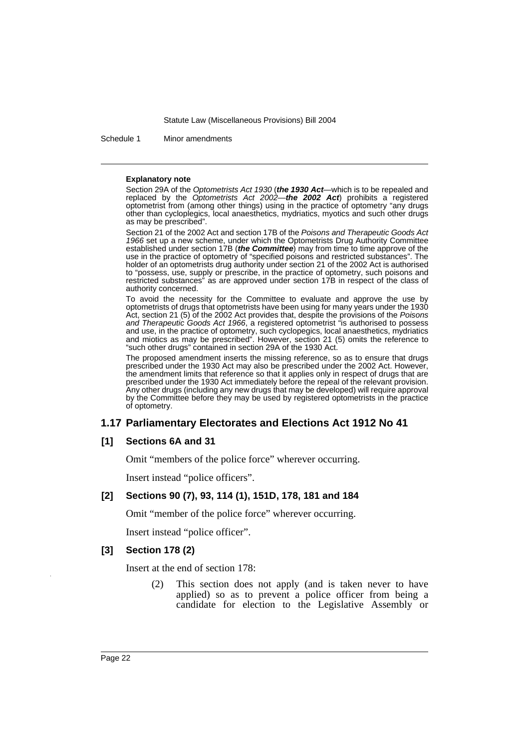Schedule 1 Minor amendments

#### **Explanatory note**

Section 29A of the *Optometrists Act 1930* (*the 1930 Act*—which is to be repealed and replaced by the *Optometrists Act 2002*—*the 2002 Act*) prohibits a registered optometrist from (among other things) using in the practice of optometry "any drugs other than cycloplegics, local anaesthetics, mydriatics, myotics and such other drugs as may be prescribed".

Section 21 of the 2002 Act and section 17B of the *Poisons and Therapeutic Goods Act 1966* set up a new scheme, under which the Optometrists Drug Authority Committee established under section 17B (*the Committee*) may from time to time approve of the use in the practice of optometry of "specified poisons and restricted substances". The holder of an optometrists drug authority under section 21 of the 2002 Act is authorised to "possess, use, supply or prescribe, in the practice of optometry, such poisons and restricted substances" as are approved under section 17B in respect of the class of authority concerned.

To avoid the necessity for the Committee to evaluate and approve the use by optometrists of drugs that optometrists have been using for many years under the 1930 Act, section 21 (5) of the 2002 Act provides that, despite the provisions of the *Poisons and Therapeutic Goods Act 1966*, a registered optometrist "is authorised to possess and use, in the practice of optometry, such cyclopegics, local anaesthetics, mydriatics and miotics as may be prescribed". However, section 21 (5) omits the reference to "such other drugs" contained in section 29A of the 1930 Act.

The proposed amendment inserts the missing reference, so as to ensure that drugs prescribed under the 1930 Act may also be prescribed under the 2002 Act. However, the amendment limits that reference so that it applies only in respect of drugs that are prescribed under the 1930 Act immediately before the repeal of the relevant provision. Any other drugs (including any new drugs that may be developed) will require approval by the Committee before they may be used by registered optometrists in the practice of optometry.

# **1.17 Parliamentary Electorates and Elections Act 1912 No 41**

# **[1] Sections 6A and 31**

Omit "members of the police force" wherever occurring.

Insert instead "police officers".

# **[2] Sections 90 (7), 93, 114 (1), 151D, 178, 181 and 184**

Omit "member of the police force" wherever occurring.

Insert instead "police officer".

### **[3] Section 178 (2)**

Insert at the end of section 178:

(2) This section does not apply (and is taken never to have applied) so as to prevent a police officer from being a candidate for election to the Legislative Assembly or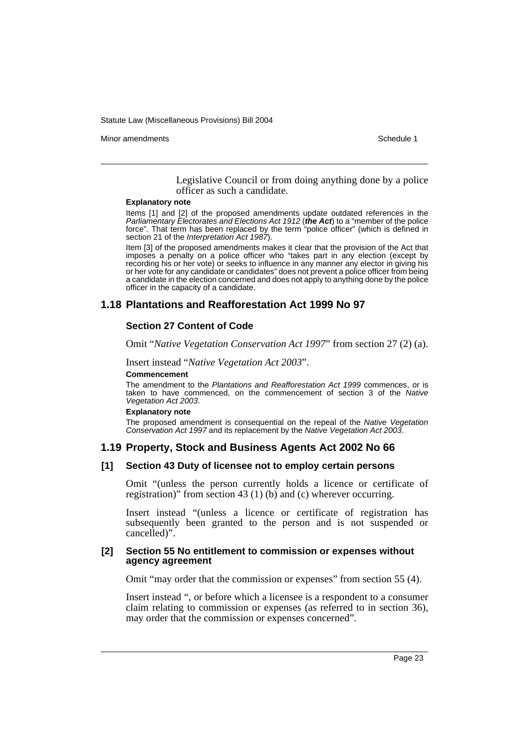Minor amendments **Schedule 1** and the state of the state of the state of the Schedule 1

Legislative Council or from doing anything done by a police officer as such a candidate.

#### **Explanatory note**

Items [1] and [2] of the proposed amendments update outdated references in the *Parliamentary Electorates and Elections Act 1912* (*the Act*) to a "member of the police force". That term has been replaced by the term "police officer" (which is defined in section 21 of the *Interpretation Act 1987*).

Item [3] of the proposed amendments makes it clear that the provision of the Act that imposes a penalty on a police officer who "takes part in any election (except by recording his or her vote) or seeks to influence in any manner any elector in giving his or her vote for any candidate or candidates" does not prevent a police officer from being a candidate in the election concerned and does not apply to anything done by the police officer in the capacity of a candidate.

# **1.18 Plantations and Reafforestation Act 1999 No 97**

# **Section 27 Content of Code**

Omit "*Native Vegetation Conservation Act 1997*" from section 27 (2) (a).

Insert instead "*Native Vegetation Act 2003*".

### **Commencement**

The amendment to the *Plantations and Reafforestation Act 1999* commences, or is taken to have commenced, on the commencement of section 3 of the *Native Vegetation Act 2003*.

#### **Explanatory note**

The proposed amendment is consequential on the repeal of the *Native Vegetation Conservation Act 1997* and its replacement by the *Native Vegetation Act 2003*.

# **1.19 Property, Stock and Business Agents Act 2002 No 66**

### **[1] Section 43 Duty of licensee not to employ certain persons**

Omit "(unless the person currently holds a licence or certificate of registration)" from section 43 (1) (b) and (c) wherever occurring.

Insert instead "(unless a licence or certificate of registration has subsequently been granted to the person and is not suspended or cancelled)".

### **[2] Section 55 No entitlement to commission or expenses without agency agreement**

Omit "may order that the commission or expenses" from section 55 (4).

Insert instead ", or before which a licensee is a respondent to a consumer claim relating to commission or expenses (as referred to in section 36), may order that the commission or expenses concerned".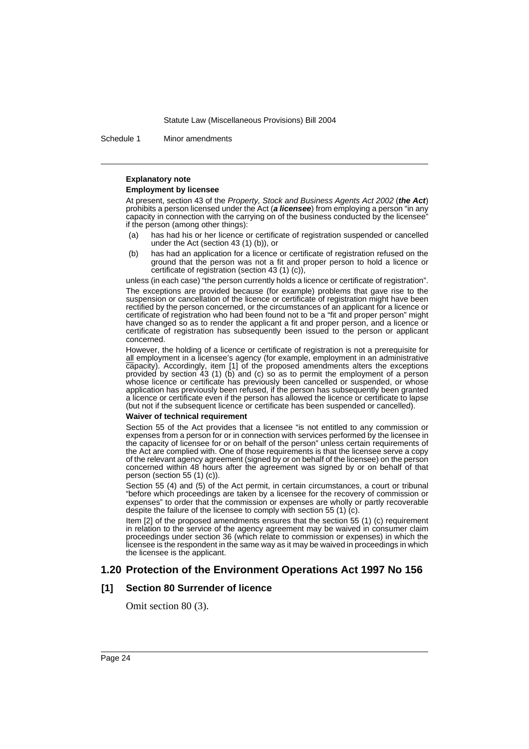Schedule 1 Minor amendments

#### **Explanatory note**

#### **Employment by licensee**

At present, section 43 of the *Property, Stock and Business Agents Act 2002* (*the Act*) prohibits a person licensed under the Act (*a licensee*) from employing a person "in any capacity in connection with the carrying on of the business conducted by the licensee" if the person (among other things):

- (a) has had his or her licence or certificate of registration suspended or cancelled under the Act (section 43 (1) (b)), or
- (b) has had an application for a licence or certificate of registration refused on the ground that the person was not a fit and proper person to hold a licence or certificate of registration (section 43 (1) (c)),

unless (in each case) "the person currently holds a licence or certificate of registration".

The exceptions are provided because (for example) problems that gave rise to the suspension or cancellation of the licence or certificate of registration might have been rectified by the person concerned, or the circumstances of an applicant for a licence or certificate of registration who had been found not to be a "fit and proper person" might have changed so as to render the applicant a fit and proper person, and a licence or certificate of registration has subsequently been issued to the person or applicant concerned.

However, the holding of a licence or certificate of registration is not a prerequisite for all employment in a licensee's agency (for example, employment in an administrative capacity). Accordingly, item [1] of the proposed amendments alters the exceptions provided by section 43 (1) (b) and (c) so as to permit the employment of a person whose licence or certificate has previously been cancelled or suspended, or whose application has previously been refused, if the person has subsequently been granted a licence or certificate even if the person has allowed the licence or certificate to lapse (but not if the subsequent licence or certificate has been suspended or cancelled).

#### **Waiver of technical requirement**

Section 55 of the Act provides that a licensee "is not entitled to any commission or expenses from a person for or in connection with services performed by the licensee in the capacity of licensee for or on behalf of the person" unless certain requirements of the Act are complied with. One of those requirements is that the licensee serve a copy of the relevant agency agreement (signed by or on behalf of the licensee) on the person concerned within 48 hours after the agreement was signed by or on behalf of that person (section 55 (1) (c)).

Section 55 (4) and (5) of the Act permit, in certain circumstances, a court or tribunal "before which proceedings are taken by a licensee for the recovery of commission or expenses" to order that the commission or expenses are wholly or partly recoverable despite the failure of the licensee to comply with section 55 (1) (c).

Item [2] of the proposed amendments ensures that the section 55 (1) (c) requirement in relation to the service of the agency agreement may be waived in consumer claim proceedings under section 36 (which relate to commission or expenses) in which the licensee is the respondent in the same way as it may be waived in proceedings in which the licensee is the applicant.

# **1.20 Protection of the Environment Operations Act 1997 No 156**

### **[1] Section 80 Surrender of licence**

Omit section 80 (3).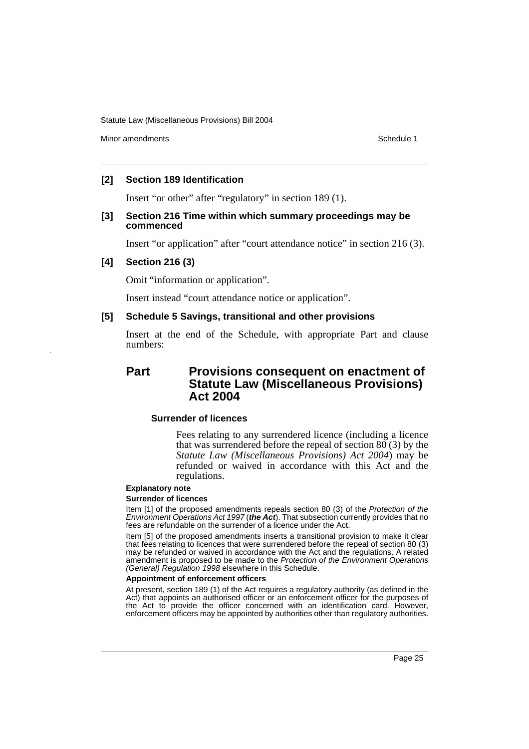Minor amendments **Schedule 1** and the state of the state of the state of the Schedule 1

# **[2] Section 189 Identification**

Insert "or other" after "regulatory" in section 189 (1).

# **[3] Section 216 Time within which summary proceedings may be commenced**

Insert "or application" after "court attendance notice" in section 216 (3).

# **[4] Section 216 (3)**

Omit "information or application".

Insert instead "court attendance notice or application".

# **[5] Schedule 5 Savings, transitional and other provisions**

Insert at the end of the Schedule, with appropriate Part and clause numbers:

# **Part Provisions consequent on enactment of Statute Law (Miscellaneous Provisions) Act 2004**

# **Surrender of licences**

Fees relating to any surrendered licence (including a licence that was surrendered before the repeal of section  $80(3)$  by the *Statute Law (Miscellaneous Provisions) Act 2004*) may be refunded or waived in accordance with this Act and the regulations.

#### **Explanatory note**

#### **Surrender of licences**

Item [1] of the proposed amendments repeals section 80 (3) of the *Protection of the Environment Operations Act 1997* (*the Act*). That subsection currently provides that no fees are refundable on the surrender of a licence under the Act.

Item [5] of the proposed amendments inserts a transitional provision to make it clear that fees relating to licences that were surrendered before the repeal of section 80 (3) may be refunded or waived in accordance with the Act and the regulations. A related amendment is proposed to be made to the *Protection of the Environment Operations (General) Regulation 1998* elsewhere in this Schedule.

#### **Appointment of enforcement officers**

At present, section 189 (1) of the Act requires a regulatory authority (as defined in the Act) that appoints an authorised officer or an enforcement officer for the purposes of the Act to provide the officer concerned with an identification card. However, enforcement officers may be appointed by authorities other than regulatory authorities.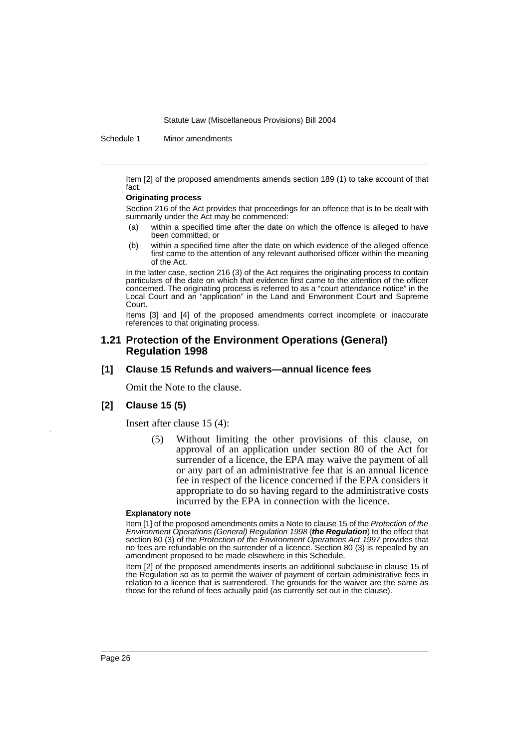Schedule 1 Minor amendments

Item [2] of the proposed amendments amends section 189 (1) to take account of that fact.

#### **Originating process**

Section 216 of the Act provides that proceedings for an offence that is to be dealt with summarily under the Act may be commenced:

- (a) within a specified time after the date on which the offence is alleged to have been committed, or
- (b) within a specified time after the date on which evidence of the alleged offence first came to the attention of any relevant authorised officer within the meaning of the Act.

In the latter case, section 216 (3) of the Act requires the originating process to contain particulars of the date on which that evidence first came to the attention of the officer concerned. The originating process is referred to as a "court attendance notice" in the Local Court and an "application" in the Land and Environment Court and Supreme Court.

Items [3] and [4] of the proposed amendments correct incomplete or inaccurate references to that originating process.

### **1.21 Protection of the Environment Operations (General) Regulation 1998**

### **[1] Clause 15 Refunds and waivers—annual licence fees**

Omit the Note to the clause.

# **[2] Clause 15 (5)**

Insert after clause 15 (4):

(5) Without limiting the other provisions of this clause, on approval of an application under section 80 of the Act for surrender of a licence, the EPA may waive the payment of all or any part of an administrative fee that is an annual licence fee in respect of the licence concerned if the EPA considers it appropriate to do so having regard to the administrative costs incurred by the EPA in connection with the licence.

### **Explanatory note**

Item [1] of the proposed amendments omits a Note to clause 15 of the *Protection of the Environment Operations (General) Regulation 1998* (*the Regulation*) to the effect that section 80 (3) of the *Protection of the Environment Operations Act 1997* provides that no fees are refundable on the surrender of a licence. Section 80 (3) is repealed by an amendment proposed to be made elsewhere in this Schedule.

Item [2] of the proposed amendments inserts an additional subclause in clause 15 of the Regulation so as to permit the waiver of payment of certain administrative fees in relation to a licence that is surrendered. The grounds for the waiver are the same as those for the refund of fees actually paid (as currently set out in the clause).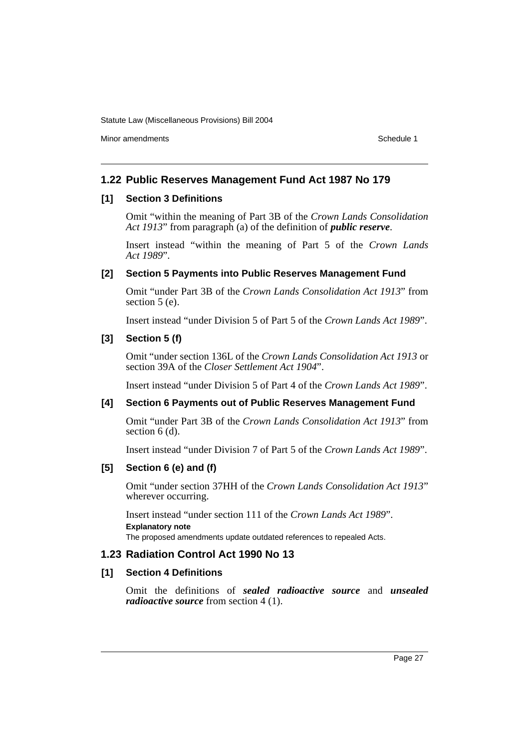Minor amendments **Schedule 1** and the state of the state of the state of the Schedule 1

# **1.22 Public Reserves Management Fund Act 1987 No 179**

# **[1] Section 3 Definitions**

Omit "within the meaning of Part 3B of the *Crown Lands Consolidation Act 1913*" from paragraph (a) of the definition of *public reserve*.

Insert instead "within the meaning of Part 5 of the *Crown Lands Act 1989*".

# **[2] Section 5 Payments into Public Reserves Management Fund**

Omit "under Part 3B of the *Crown Lands Consolidation Act 1913*" from section 5 (e).

Insert instead "under Division 5 of Part 5 of the *Crown Lands Act 1989*".

# **[3] Section 5 (f)**

Omit "under section 136L of the *Crown Lands Consolidation Act 1913* or section 39A of the *Closer Settlement Act 1904*".

Insert instead "under Division 5 of Part 4 of the *Crown Lands Act 1989*".

# **[4] Section 6 Payments out of Public Reserves Management Fund**

Omit "under Part 3B of the *Crown Lands Consolidation Act 1913*" from section 6 (d).

Insert instead "under Division 7 of Part 5 of the *Crown Lands Act 1989*".

# **[5] Section 6 (e) and (f)**

Omit "under section 37HH of the *Crown Lands Consolidation Act 1913*" wherever occurring.

Insert instead "under section 111 of the *Crown Lands Act 1989*". **Explanatory note**

The proposed amendments update outdated references to repealed Acts.

# **1.23 Radiation Control Act 1990 No 13**

# **[1] Section 4 Definitions**

Omit the definitions of *sealed radioactive source* and *unsealed radioactive source* from section 4 (1).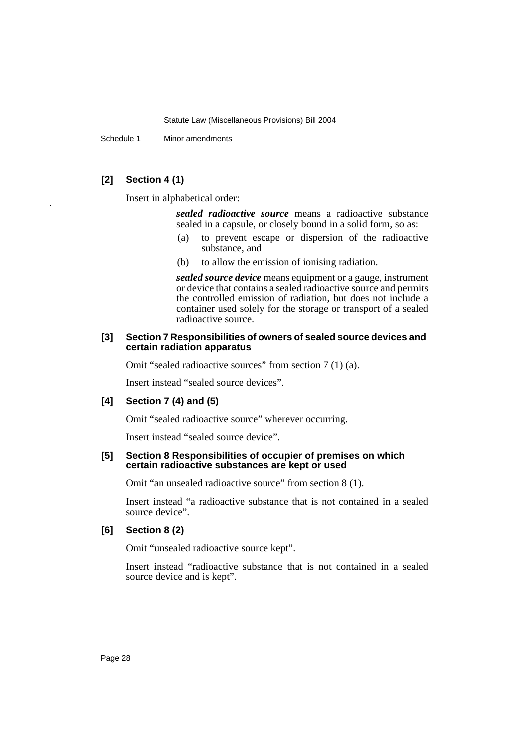Schedule 1 Minor amendments

# **[2] Section 4 (1)**

Insert in alphabetical order:

*sealed radioactive source* means a radioactive substance sealed in a capsule, or closely bound in a solid form, so as:

- (a) to prevent escape or dispersion of the radioactive substance, and
- (b) to allow the emission of ionising radiation.

*sealed source device* means equipment or a gauge, instrument or device that contains a sealed radioactive source and permits the controlled emission of radiation, but does not include a container used solely for the storage or transport of a sealed radioactive source.

# **[3] Section 7 Responsibilities of owners of sealed source devices and certain radiation apparatus**

Omit "sealed radioactive sources" from section 7 (1) (a).

Insert instead "sealed source devices".

# **[4] Section 7 (4) and (5)**

Omit "sealed radioactive source" wherever occurring.

Insert instead "sealed source device".

# **[5] Section 8 Responsibilities of occupier of premises on which certain radioactive substances are kept or used**

Omit "an unsealed radioactive source" from section 8 (1).

Insert instead "a radioactive substance that is not contained in a sealed source device".

# **[6] Section 8 (2)**

Omit "unsealed radioactive source kept".

Insert instead "radioactive substance that is not contained in a sealed source device and is kept".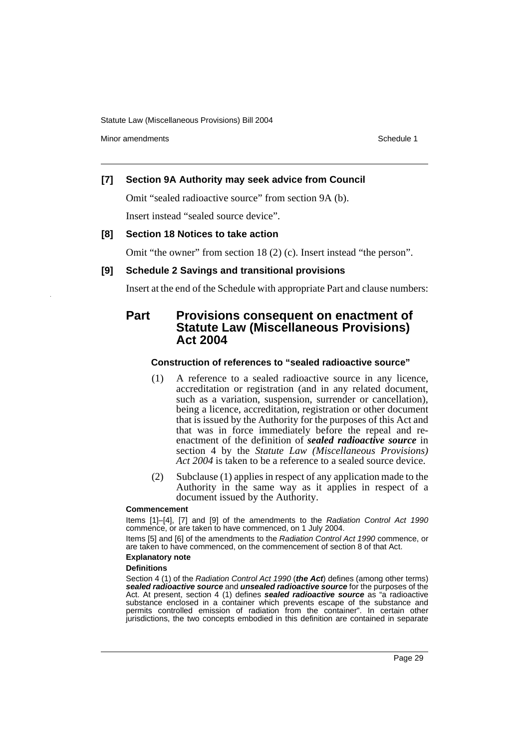Minor amendments **Schedule 1** and the state of the state of the state of the Schedule 1

# **[7] Section 9A Authority may seek advice from Council**

Omit "sealed radioactive source" from section 9A (b).

Insert instead "sealed source device".

### **[8] Section 18 Notices to take action**

Omit "the owner" from section 18 (2) (c). Insert instead "the person".

### **[9] Schedule 2 Savings and transitional provisions**

Insert at the end of the Schedule with appropriate Part and clause numbers:

# **Part Provisions consequent on enactment of Statute Law (Miscellaneous Provisions) Act 2004**

### **Construction of references to "sealed radioactive source"**

- (1) A reference to a sealed radioactive source in any licence, accreditation or registration (and in any related document, such as a variation, suspension, surrender or cancellation), being a licence, accreditation, registration or other document that is issued by the Authority for the purposes of this Act and that was in force immediately before the repeal and reenactment of the definition of *sealed radioactive source* in section 4 by the *Statute Law (Miscellaneous Provisions) Act 2004* is taken to be a reference to a sealed source device.
- (2) Subclause (1) applies in respect of any application made to the Authority in the same way as it applies in respect of a document issued by the Authority.

#### **Commencement**

Items [1]–[4], [7] and [9] of the amendments to the *Radiation Control Act 1990* commence, or are taken to have commenced, on 1 July 2004.

Items [5] and [6] of the amendments to the *Radiation Control Act 1990* commence, or are taken to have commenced, on the commencement of section 8 of that Act.

#### **Explanatory note**

### **Definitions**

Section 4 (1) of the *Radiation Control Act 1990* (*the Act*) defines (among other terms) *sealed radioactive source* and *unsealed radioactive source* for the purposes of the Act. At present, section 4 (1) defines *sealed radioactive source* as "a radioactive substance enclosed in a container which prevents escape of the substance and permits controlled emission of radiation from the container". In certain other jurisdictions, the two concepts embodied in this definition are contained in separate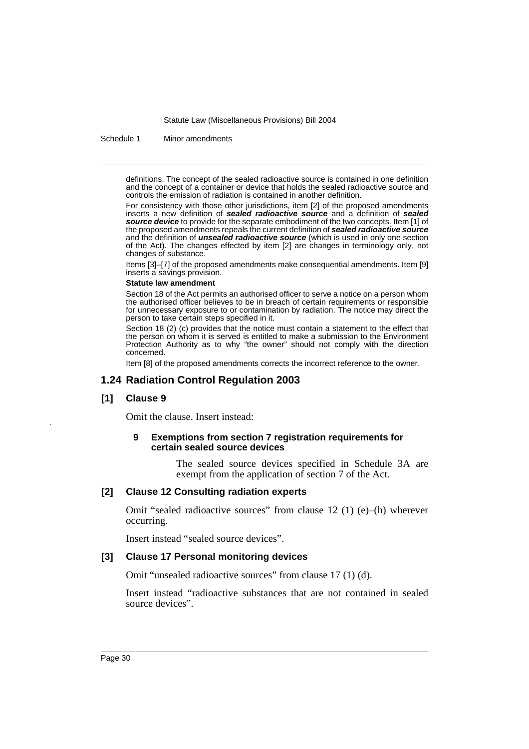Schedule 1 Minor amendments

definitions. The concept of the sealed radioactive source is contained in one definition and the concept of a container or device that holds the sealed radioactive source and controls the emission of radiation is contained in another definition.

For consistency with those other jurisdictions, item [2] of the proposed amendments inserts a new definition of *sealed radioactive source* and a definition of *sealed source device* to provide for the separate embodiment of the two concepts. Item [1] of the proposed amendments repeals the current definition of *sealed radioactive source* and the definition of *unsealed radioactive source* (which is used in only one section of the Act). The changes effected by item [2] are changes in terminology only, not changes of substance.

Items [3]–[7] of the proposed amendments make consequential amendments. Item [9] inserts a savings provision.

### **Statute law amendment**

Section 18 of the Act permits an authorised officer to serve a notice on a person whom the authorised officer believes to be in breach of certain requirements or responsible for unnecessary exposure to or contamination by radiation. The notice may direct the person to take certain steps specified in it.

Section 18 (2) (c) provides that the notice must contain a statement to the effect that the person on whom it is served is entitled to make a submission to the Environment Protection Authority as to why "the owner" should not comply with the direction concerned.

Item [8] of the proposed amendments corrects the incorrect reference to the owner.

# **1.24 Radiation Control Regulation 2003**

# **[1] Clause 9**

Omit the clause. Insert instead:

### **9 Exemptions from section 7 registration requirements for certain sealed source devices**

The sealed source devices specified in Schedule 3A are exempt from the application of section 7 of the Act.

### **[2] Clause 12 Consulting radiation experts**

Omit "sealed radioactive sources" from clause 12 (1) (e)–(h) wherever occurring.

Insert instead "sealed source devices".

### **[3] Clause 17 Personal monitoring devices**

Omit "unsealed radioactive sources" from clause 17 (1) (d).

Insert instead "radioactive substances that are not contained in sealed source devices".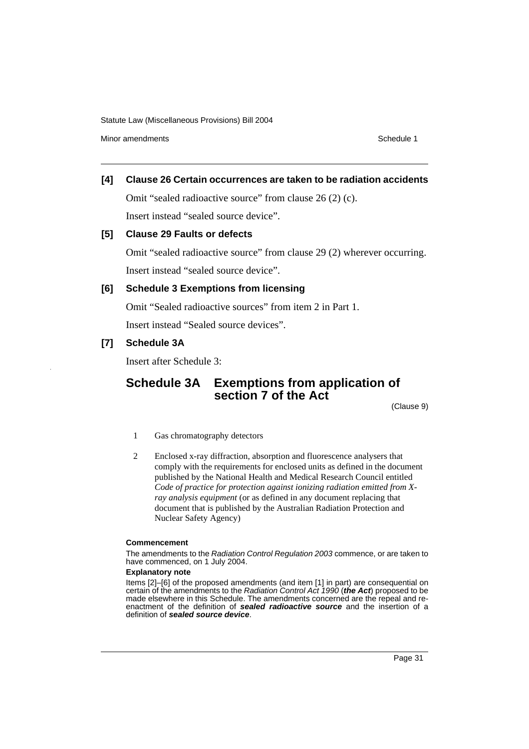Minor amendments **Schedule 1** and the state of the state of the state of the Schedule 1

# **[4] Clause 26 Certain occurrences are taken to be radiation accidents**

Omit "sealed radioactive source" from clause 26 (2) (c).

Insert instead "sealed source device".

### **[5] Clause 29 Faults or defects**

Omit "sealed radioactive source" from clause 29 (2) wherever occurring. Insert instead "sealed source device".

# **[6] Schedule 3 Exemptions from licensing**

Omit "Sealed radioactive sources" from item 2 in Part 1. Insert instead "Sealed source devices".

# **[7] Schedule 3A**

Insert after Schedule 3:

# **Schedule 3A Exemptions from application of section 7 of the Act**

(Clause 9)

- 1 Gas chromatography detectors
- 2 Enclosed x-ray diffraction, absorption and fluorescence analysers that comply with the requirements for enclosed units as defined in the document published by the National Health and Medical Research Council entitled *Code of practice for protection against ionizing radiation emitted from Xray analysis equipment* (or as defined in any document replacing that document that is published by the Australian Radiation Protection and Nuclear Safety Agency)

#### **Commencement**

The amendments to the *Radiation Control Regulation 2003* commence, or are taken to have commenced, on 1 July 2004.

### **Explanatory note**

Items [2]–[6] of the proposed amendments (and item [1] in part) are consequential on certain of the amendments to the *Radiation Control Act 1990* (*the Act*) proposed to be made elsewhere in this Schedule. The amendments concerned are the repeal and reenactment of the definition of *sealed radioactive source* and the insertion of a definition of *sealed source device*.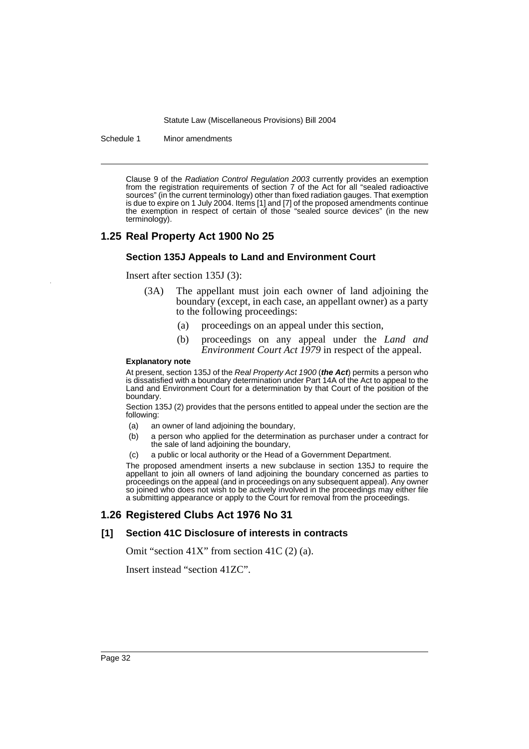Schedule 1 Minor amendments

Clause 9 of the *Radiation Control Regulation 2003* currently provides an exemption from the registration requirements of section 7 of the Act for all "sealed radioactive sources" (in the current terminology) other than fixed radiation gauges. That exemption is due to expire on 1 July 2004. Items [1] and [7] of the proposed amendments continue the exemption in respect of certain of those "sealed source devices" (in the new terminology).

# **1.25 Real Property Act 1900 No 25**

### **Section 135J Appeals to Land and Environment Court**

Insert after section 135J (3):

- (3A) The appellant must join each owner of land adjoining the boundary (except, in each case, an appellant owner) as a party to the following proceedings:
	- (a) proceedings on an appeal under this section,
	- (b) proceedings on any appeal under the *Land and Environment Court Act 1979* in respect of the appeal.

### **Explanatory note**

At present, section 135J of the *Real Property Act 1900* (*the Act*) permits a person who is dissatisfied with a boundary determination under Part 14A of the Act to appeal to the Land and Environment Court for a determination by that Court of the position of the boundary.

Section 135J (2) provides that the persons entitled to appeal under the section are the following:

- (a) an owner of land adjoining the boundary,
- (b) a person who applied for the determination as purchaser under a contract for the sale of land adjoining the boundary,
- (c) a public or local authority or the Head of a Government Department.

The proposed amendment inserts a new subclause in section 135J to require the appellant to join all owners of land adjoining the boundary concerned as parties to proceedings on the appeal (and in proceedings on any subsequent appeal). Any owner so joined who does not wish to be actively involved in the proceedings may either file a submitting appearance or apply to the Court for removal from the proceedings.

# **1.26 Registered Clubs Act 1976 No 31**

# **[1] Section 41C Disclosure of interests in contracts**

Omit "section  $41X$ " from section  $41C(2)$  (a).

Insert instead "section 41ZC".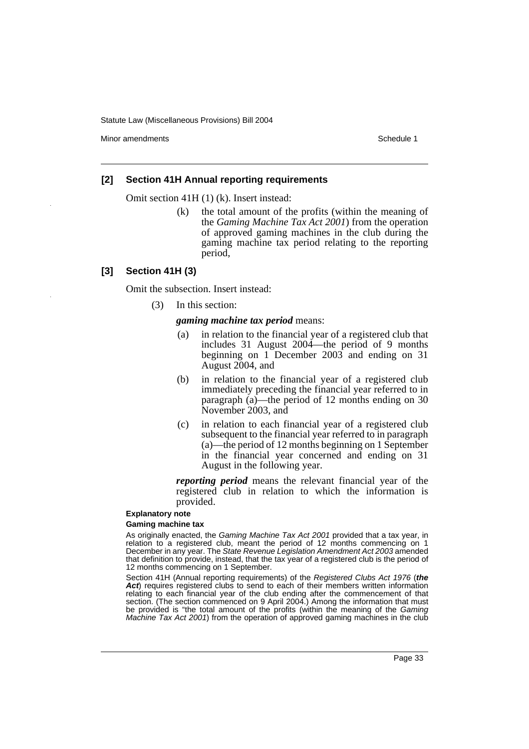Minor amendments **Schedule 1** and the state of the state of the state of the Schedule 1

### **[2] Section 41H Annual reporting requirements**

Omit section 41H (1) (k). Insert instead:

(k) the total amount of the profits (within the meaning of the *Gaming Machine Tax Act 2001*) from the operation of approved gaming machines in the club during the gaming machine tax period relating to the reporting period,

### **[3] Section 41H (3)**

Omit the subsection. Insert instead:

(3) In this section:

*gaming machine tax period* means:

- (a) in relation to the financial year of a registered club that includes 31 August 2004—the period of 9 months beginning on 1 December 2003 and ending on 31 August 2004, and
- (b) in relation to the financial year of a registered club immediately preceding the financial year referred to in paragraph (a)—the period of 12 months ending on 30 November 2003, and
- (c) in relation to each financial year of a registered club subsequent to the financial year referred to in paragraph (a)—the period of 12 months beginning on 1 September in the financial year concerned and ending on 31 August in the following year.

*reporting period* means the relevant financial year of the registered club in relation to which the information is provided.

### **Explanatory note**

### **Gaming machine tax**

As originally enacted, the *Gaming Machine Tax Act 2001* provided that a tax year, in relation to a registered club, meant the period of 12 months commencing on 1 December in any year. The *State Revenue Legislation Amendment Act 2003* amended that definition to provide, instead, that the tax year of a registered club is the period of 12 months commencing on 1 September.

Section 41H (Annual reporting requirements) of the *Registered Clubs Act 1976* (*the Act*) requires registered clubs to send to each of their members written information relating to each financial year of the club ending after the commencement of that section. (The section commenced on 9 April 2004.) Among the information that must be provided is "the total amount of the profits (within the meaning of the *Gaming Machine Tax Act 2001*) from the operation of approved gaming machines in the club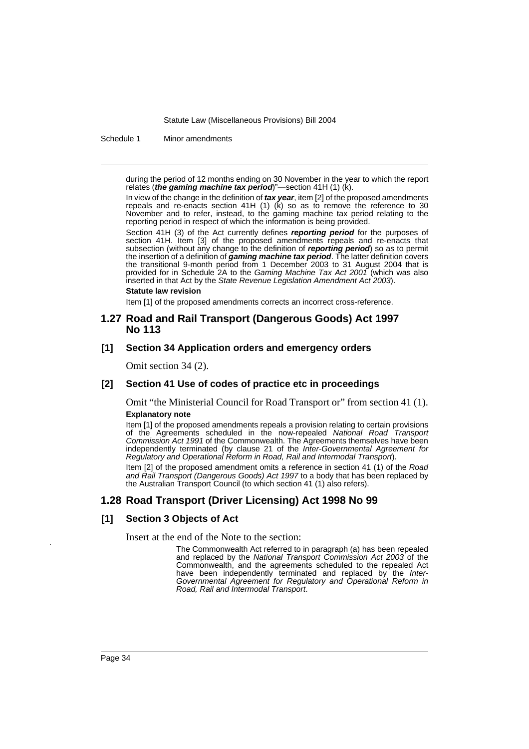Schedule 1 Minor amendments

during the period of 12 months ending on 30 November in the year to which the report relates (*the gaming machine tax period*)"—section 41H (1) (k).

In view of the change in the definition of *tax year*, item [2] of the proposed amendments repeals and re-enacts section 41H (1) (k) so as to remove the reference to 30 November and to refer, instead, to the gaming machine tax period relating to the reporting period in respect of which the information is being provided.

Section 41H (3) of the Act currently defines *reporting period* for the purposes of section 41H. Item [3] of the proposed amendments repeals and re-enacts that subsection (without any change to the definition of *reporting period*) so as to permit the insertion of a definition of *gaming machine tax period*. The latter definition covers the transitional 9-month period from 1 December 2003 to 31 August 2004 that is provided for in Schedule 2A to the *Gaming Machine Tax Act 2001* (which was also inserted in that Act by the *State Revenue Legislation Amendment Act 2003*).

#### **Statute law revision**

Item [1] of the proposed amendments corrects an incorrect cross-reference.

# **1.27 Road and Rail Transport (Dangerous Goods) Act 1997 No 113**

### **[1] Section 34 Application orders and emergency orders**

Omit section 34 (2).

### **[2] Section 41 Use of codes of practice etc in proceedings**

Omit "the Ministerial Council for Road Transport or" from section 41 (1). **Explanatory note**

Item [1] of the proposed amendments repeals a provision relating to certain provisions of the Agreements scheduled in the now-repealed *National Road Transport Commission Act 1991* of the Commonwealth. The Agreements themselves have been independently terminated (by clause 21 of the *Inter-Governmental Agreement for Regulatory and Operational Reform in Road, Rail and Intermodal Transport*).

Item [2] of the proposed amendment omits a reference in section 41 (1) of the *Road and Rail Transport (Dangerous Goods) Act 1997* to a body that has been replaced by the Australian Transport Council (to which section 41 (1) also refers).

# **1.28 Road Transport (Driver Licensing) Act 1998 No 99**

### **[1] Section 3 Objects of Act**

Insert at the end of the Note to the section:

The Commonwealth Act referred to in paragraph (a) has been repealed and replaced by the *National Transport Commission Act 2003* of the Commonwealth, and the agreements scheduled to the repealed Act have been independently terminated and replaced by the *Inter-Governmental Agreement for Regulatory and Operational Reform in Road, Rail and Intermodal Transport*.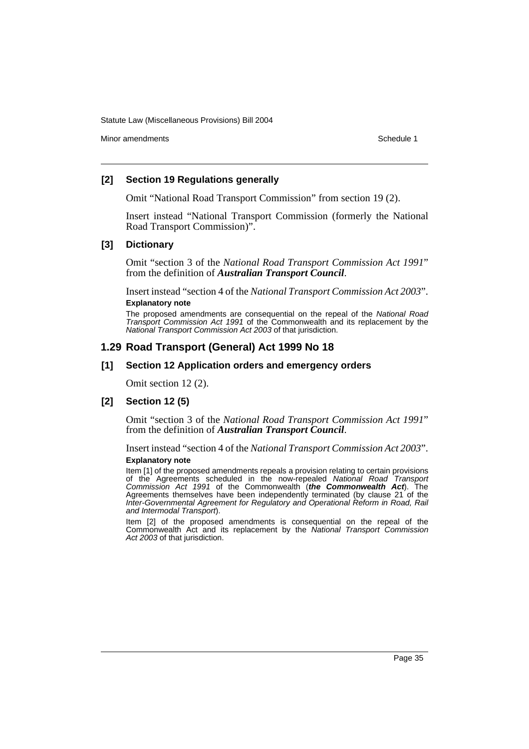Minor amendments **Schedule 1** and the state of the state of the state of the Schedule 1

### **[2] Section 19 Regulations generally**

Omit "National Road Transport Commission" from section 19 (2).

Insert instead "National Transport Commission (formerly the National Road Transport Commission)".

### **[3] Dictionary**

Omit "section 3 of the *National Road Transport Commission Act 1991*" from the definition of *Australian Transport Council*.

Insert instead "section 4 of the *National Transport Commission Act 2003*". **Explanatory note**

The proposed amendments are consequential on the repeal of the *National Road Transport Commission Act 1991* of the Commonwealth and its replacement by the *National Transport Commission Act 2003* of that jurisdiction.

### **1.29 Road Transport (General) Act 1999 No 18**

### **[1] Section 12 Application orders and emergency orders**

Omit section 12 (2).

#### **[2] Section 12 (5)**

Omit "section 3 of the *National Road Transport Commission Act 1991*" from the definition of *Australian Transport Council*.

Insert instead "section 4 of the *National Transport Commission Act 2003*".

### **Explanatory note**

Item [1] of the proposed amendments repeals a provision relating to certain provisions of the Agreements scheduled in the now-repealed *National Road Transport Commission Act 1991* of the Commonwealth (*the Commonwealth Act*). The Agreements themselves have been independently terminated (by clause 21 of the *Inter-Governmental Agreement for Regulatory and Operational Reform in Road, Rail and Intermodal Transport*).

Item [2] of the proposed amendments is consequential on the repeal of the Commonwealth Act and its replacement by the *National Transport Commission Act 2003* of that jurisdiction.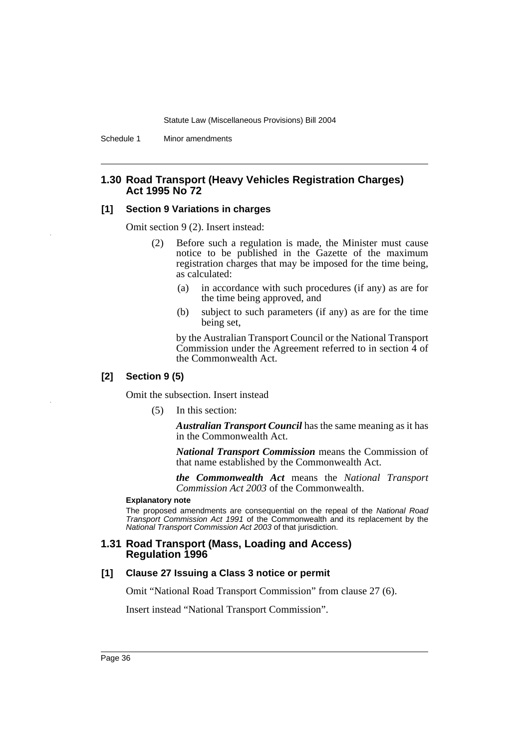Schedule 1 Minor amendments

### **1.30 Road Transport (Heavy Vehicles Registration Charges) Act 1995 No 72**

### **[1] Section 9 Variations in charges**

Omit section 9 (2). Insert instead:

- (2) Before such a regulation is made, the Minister must cause notice to be published in the Gazette of the maximum registration charges that may be imposed for the time being, as calculated:
	- (a) in accordance with such procedures (if any) as are for the time being approved, and
	- (b) subject to such parameters (if any) as are for the time being set,

by the Australian Transport Council or the National Transport Commission under the Agreement referred to in section 4 of the Commonwealth Act.

### **[2] Section 9 (5)**

Omit the subsection. Insert instead

(5) In this section:

*Australian Transport Council* has the same meaning as it has in the Commonwealth Act.

*National Transport Commission* means the Commission of that name established by the Commonwealth Act.

*the Commonwealth Act* means the *National Transport Commission Act 2003* of the Commonwealth.

#### **Explanatory note**

The proposed amendments are consequential on the repeal of the *National Road Transport Commission Act 1991* of the Commonwealth and its replacement by the *National Transport Commission Act 2003* of that jurisdiction.

### **1.31 Road Transport (Mass, Loading and Access) Regulation 1996**

### **[1] Clause 27 Issuing a Class 3 notice or permit**

Omit "National Road Transport Commission" from clause 27 (6).

Insert instead "National Transport Commission".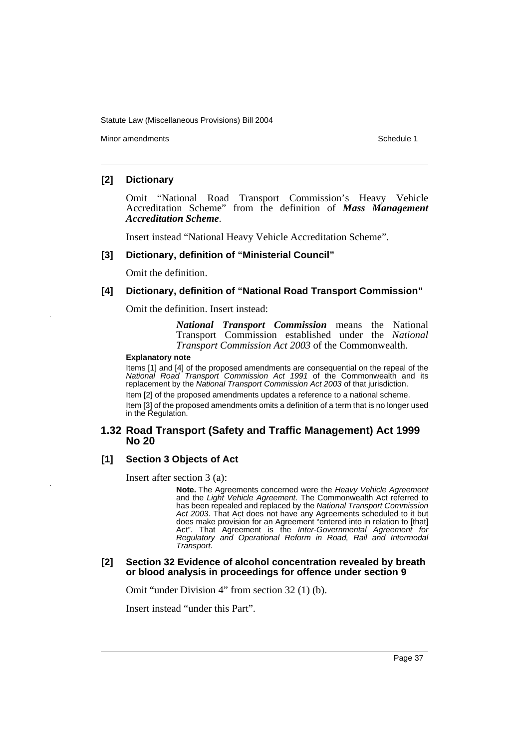Minor amendments **Schedule 1** and the state of the state of the state of the Schedule 1

### **[2] Dictionary**

Omit "National Road Transport Commission's Heavy Vehicle Accreditation Scheme" from the definition of *Mass Management Accreditation Scheme*.

Insert instead "National Heavy Vehicle Accreditation Scheme".

### **[3] Dictionary, definition of "Ministerial Council"**

Omit the definition.

### **[4] Dictionary, definition of "National Road Transport Commission"**

Omit the definition. Insert instead:

*National Transport Commission* means the National Transport Commission established under the *National Transport Commission Act 2003* of the Commonwealth.

#### **Explanatory note**

Items [1] and [4] of the proposed amendments are consequential on the repeal of the *National Road Transport Commission Act 1991* of the Commonwealth and its replacement by the *National Transport Commission Act 2003* of that jurisdiction.

Item [2] of the proposed amendments updates a reference to a national scheme. Item [3] of the proposed amendments omits a definition of a term that is no longer used in the Regulation.

### **1.32 Road Transport (Safety and Traffic Management) Act 1999 No 20**

## **[1] Section 3 Objects of Act**

Insert after section 3 (a):

**Note.** The Agreements concerned were the *Heavy Vehicle Agreement* and the *Light Vehicle Agreement*. The Commonwealth Act referred to has been repealed and replaced by the *National Transport Commission* Act 2003. That Act does not have any Agreements scheduled to it but does make provision for an Agreement "entered into in relation to [that] Act". That Agreement is the *Inter-Governmental Agreement for Regulatory and Operational Reform in Road, Rail and Intermodal Transport*.

### **[2] Section 32 Evidence of alcohol concentration revealed by breath or blood analysis in proceedings for offence under section 9**

Omit "under Division 4" from section 32 (1) (b).

Insert instead "under this Part".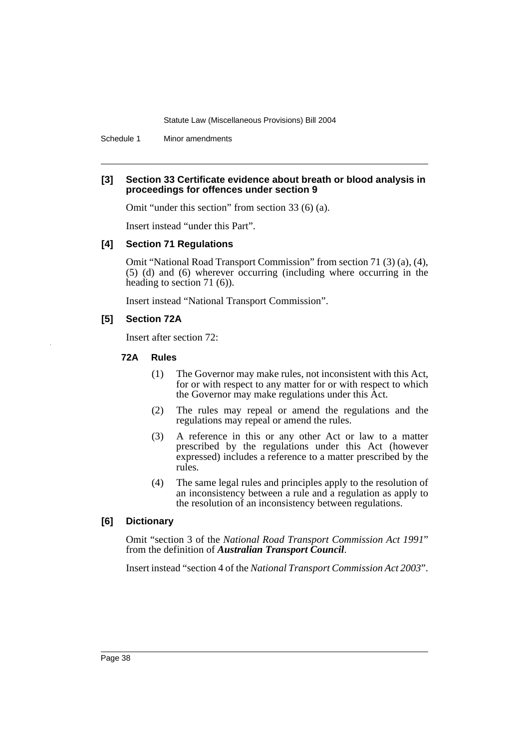Schedule 1 Minor amendments

### **[3] Section 33 Certificate evidence about breath or blood analysis in proceedings for offences under section 9**

Omit "under this section" from section 33 (6) (a).

Insert instead "under this Part".

### **[4] Section 71 Regulations**

Omit "National Road Transport Commission" from section 71 (3) (a), (4), (5) (d) and (6) wherever occurring (including where occurring in the heading to section 71 (6)).

Insert instead "National Transport Commission".

### **[5] Section 72A**

Insert after section 72:

### **72A Rules**

- (1) The Governor may make rules, not inconsistent with this Act, for or with respect to any matter for or with respect to which the Governor may make regulations under this Act.
- (2) The rules may repeal or amend the regulations and the regulations may repeal or amend the rules.
- (3) A reference in this or any other Act or law to a matter prescribed by the regulations under this Act (however expressed) includes a reference to a matter prescribed by the rules.
- (4) The same legal rules and principles apply to the resolution of an inconsistency between a rule and a regulation as apply to the resolution of an inconsistency between regulations.

### **[6] Dictionary**

Omit "section 3 of the *National Road Transport Commission Act 1991*" from the definition of *Australian Transport Council*.

Insert instead "section 4 of the *National Transport Commission Act 2003*".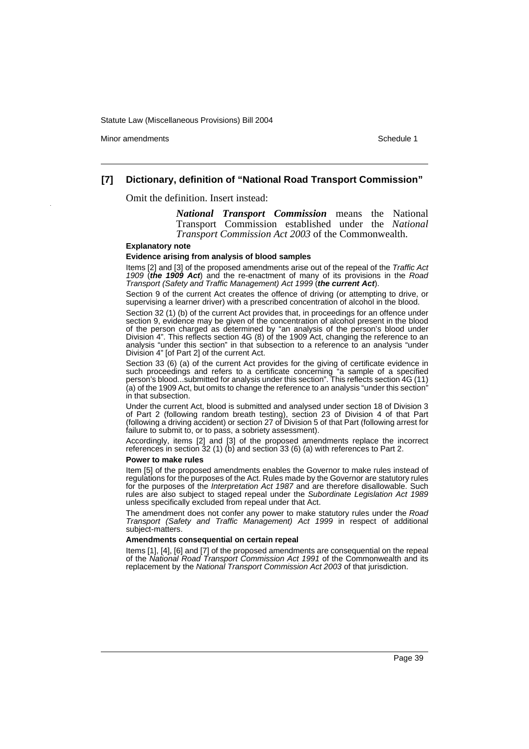Minor amendments **Schedule 1** and the state of the state of the state of the Schedule 1

### **[7] Dictionary, definition of "National Road Transport Commission"**

Omit the definition. Insert instead:

*National Transport Commission* means the National Transport Commission established under the *National Transport Commission Act 2003* of the Commonwealth.

#### **Explanatory note**

#### **Evidence arising from analysis of blood samples**

Items [2] and [3] of the proposed amendments arise out of the repeal of the *Traffic Act 1909* (*the 1909 Act*) and the re-enactment of many of its provisions in the *Road Transport (Safety and Traffic Management) Act 1999* (*the current Act*).

Section 9 of the current Act creates the offence of driving (or attempting to drive, or supervising a learner driver) with a prescribed concentration of alcohol in the blood.

Section 32 (1) (b) of the current Act provides that, in proceedings for an offence under section 9, evidence may be given of the concentration of alcohol present in the blood of the person charged as determined by "an analysis of the person's blood under Division 4". This reflects section 4G (8) of the 1909 Act, changing the reference to an analysis "under this section" in that subsection to a reference to an analysis "under Division 4" [of Part 2] of the current Act.

Section 33 (6) (a) of the current Act provides for the giving of certificate evidence in such proceedings and refers to a certificate concerning "a sample of a specified person's blood...submitted for analysis under this section". This reflects section 4G (11) (a) of the 1909 Act, but omits to change the reference to an analysis "under this section" in that subsection.

Under the current Act, blood is submitted and analysed under section 18 of Division 3 of Part 2 (following random breath testing), section 23 of Division 4 of that Part (following a driving accident) or section 27 of Division 5 of that Part (following arrest for failure to submit to, or to pass, a sobriety assessment).

Accordingly, items [2] and [3] of the proposed amendments replace the incorrect references in section 32 (1) (b) and section 33 (6) (a) with references to Part 2.

#### **Power to make rules**

Item [5] of the proposed amendments enables the Governor to make rules instead of regulations for the purposes of the Act. Rules made by the Governor are statutory rules for the purposes of the *Interpretation Act 1987* and are therefore disallowable. Such rules are also subject to staged repeal under the *Subordinate Legislation Act 1989* unless specifically excluded from repeal under that Act.

The amendment does not confer any power to make statutory rules under the *Road Transport (Safety and Traffic Management) Act 1999* in respect of additional subject-matters.

#### **Amendments consequential on certain repeal**

Items [1], [4], [6] and [7] of the proposed amendments are consequential on the repeal of the *National Road Transport Commission Act 1991* of the Commonwealth and its replacement by the *National Transport Commission Act 2003* of that jurisdiction.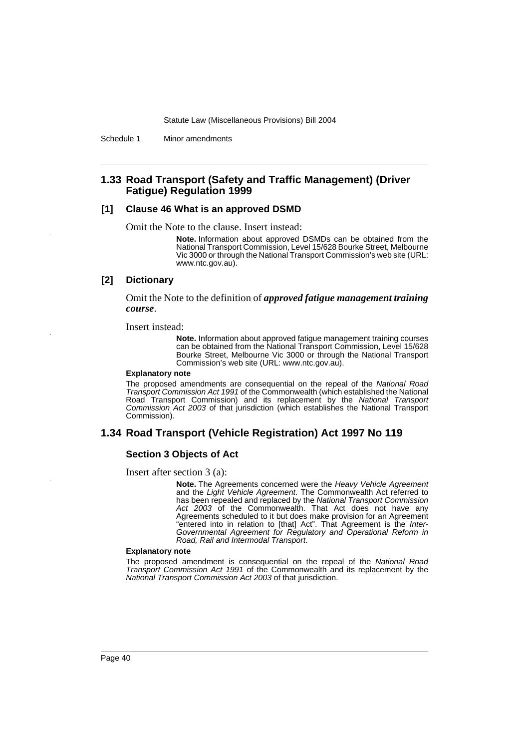Schedule 1 Minor amendments

### **1.33 Road Transport (Safety and Traffic Management) (Driver Fatigue) Regulation 1999**

### **[1] Clause 46 What is an approved DSMD**

Omit the Note to the clause. Insert instead:

**Note.** Information about approved DSMDs can be obtained from the National Transport Commission, Level 15/628 Bourke Street, Melbourne Vic 3000 or through the National Transport Commission's web site (URL: www.ntc.gov.au).

### **[2] Dictionary**

Omit the Note to the definition of *approved fatigue management training course*.

Insert instead:

**Note.** Information about approved fatigue management training courses can be obtained from the National Transport Commission, Level 15/628 Bourke Street, Melbourne Vic 3000 or through the National Transport Commission's web site (URL: www.ntc.gov.au).

#### **Explanatory note**

The proposed amendments are consequential on the repeal of the *National Road Transport Commission Act 1991* of the Commonwealth (which established the National Road Transport Commission) and its replacement by the *National Transport Commission Act 2003* of that jurisdiction (which establishes the National Transport Commission).

### **1.34 Road Transport (Vehicle Registration) Act 1997 No 119**

### **Section 3 Objects of Act**

Insert after section 3 (a):

**Note.** The Agreements concerned were the *Heavy Vehicle Agreement* and the *Light Vehicle Agreement*. The Commonwealth Act referred to has been repealed and replaced by the *National Transport Commission Act 2003* of the Commonwealth. That Act does not have any Agreements scheduled to it but does make provision for an Agreement "entered into in relation to [that] Act". That Agreement is the *Inter-Governmental Agreement for Regulatory and Operational Reform in Road, Rail and Intermodal Transport*.

#### **Explanatory note**

The proposed amendment is consequential on the repeal of the *National Road Transport Commission Act 1991* of the Commonwealth and its replacement by the *National Transport Commission Act 2003* of that jurisdiction.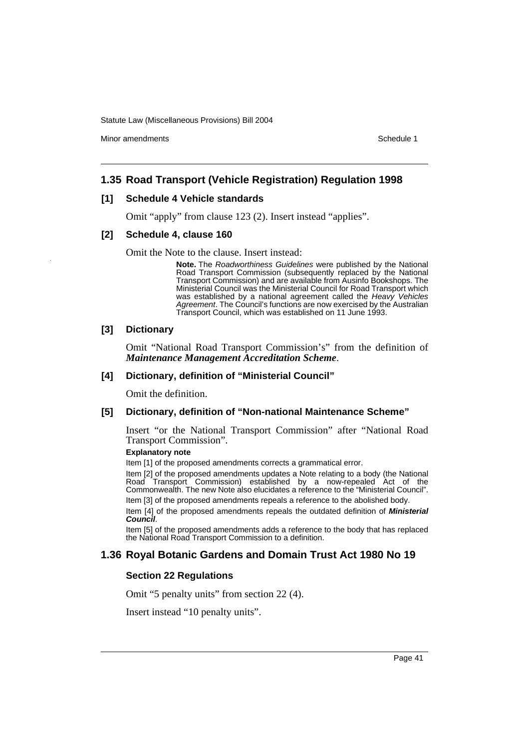Minor amendments **Schedule 1** and the state of the state of the state of the Schedule 1

## **1.35 Road Transport (Vehicle Registration) Regulation 1998**

### **[1] Schedule 4 Vehicle standards**

Omit "apply" from clause 123 (2). Insert instead "applies".

### **[2] Schedule 4, clause 160**

Omit the Note to the clause. Insert instead:

**Note.** The *Roadworthiness Guidelines* were published by the National Road Transport Commission (subsequently replaced by the National Transport Commission) and are available from Ausinfo Bookshops. The Ministerial Council was the Ministerial Council for Road Transport which was established by a national agreement called the *Heavy Vehicles Agreement*. The Council's functions are now exercised by the Australian Transport Council, which was established on 11 June 1993.

### **[3] Dictionary**

Omit "National Road Transport Commission's" from the definition of *Maintenance Management Accreditation Scheme*.

### **[4] Dictionary, definition of "Ministerial Council"**

Omit the definition.

### **[5] Dictionary, definition of "Non-national Maintenance Scheme"**

Insert "or the National Transport Commission" after "National Road Transport Commission".

### **Explanatory note**

Item [1] of the proposed amendments corrects a grammatical error.

Item [2] of the proposed amendments updates a Note relating to a body (the National Road Transport Commission) established by a now-repealed Act of the Commonwealth. The new Note also elucidates a reference to the "Ministerial Council". Item [3] of the proposed amendments repeals a reference to the abolished body.

Item [4] of the proposed amendments repeals the outdated definition of *Ministerial Council*.

Item [5] of the proposed amendments adds a reference to the body that has replaced the National Road Transport Commission to a definition.

## **1.36 Royal Botanic Gardens and Domain Trust Act 1980 No 19**

### **Section 22 Regulations**

Omit "5 penalty units" from section 22 (4).

Insert instead "10 penalty units".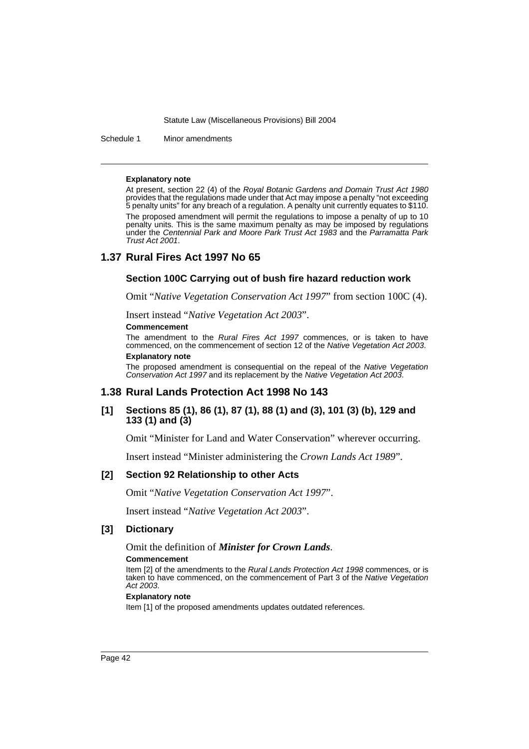Schedule 1 Minor amendments

#### **Explanatory note**

At present, section 22 (4) of the *Royal Botanic Gardens and Domain Trust Act 1980* provides that the regulations made under that Act may impose a penalty "not exceeding 5 penalty units" for any breach of a regulation. A penalty unit currently equates to \$110. The proposed amendment will permit the regulations to impose a penalty of up to 10 penalty units. This is the same maximum penalty as may be imposed by regulations under the *Centennial Park and Moore Park Trust Act 1983* and the *Parramatta Park Trust Act 2001*.

### **1.37 Rural Fires Act 1997 No 65**

### **Section 100C Carrying out of bush fire hazard reduction work**

Omit "*Native Vegetation Conservation Act 1997*" from section 100C (4).

Insert instead "*Native Vegetation Act 2003*".

#### **Commencement**

The amendment to the *Rural Fires Act 1997* commences, or is taken to have commenced, on the commencement of section 12 of the *Native Vegetation Act 2003*. **Explanatory note**

The proposed amendment is consequential on the repeal of the *Native Vegetation Conservation Act 1997* and its replacement by the *Native Vegetation Act 2003*.

#### **1.38 Rural Lands Protection Act 1998 No 143**

### **[1] Sections 85 (1), 86 (1), 87 (1), 88 (1) and (3), 101 (3) (b), 129 and 133 (1) and (3)**

Omit "Minister for Land and Water Conservation" wherever occurring.

Insert instead "Minister administering the *Crown Lands Act 1989*".

#### **[2] Section 92 Relationship to other Acts**

Omit "*Native Vegetation Conservation Act 1997*".

Insert instead "*Native Vegetation Act 2003*".

### **[3] Dictionary**

### Omit the definition of *Minister for Crown Lands*.

#### **Commencement**

Item [2] of the amendments to the *Rural Lands Protection Act 1998* commences, or is taken to have commenced, on the commencement of Part 3 of the *Native Vegetation Act 2003*.

### **Explanatory note**

Item [1] of the proposed amendments updates outdated references.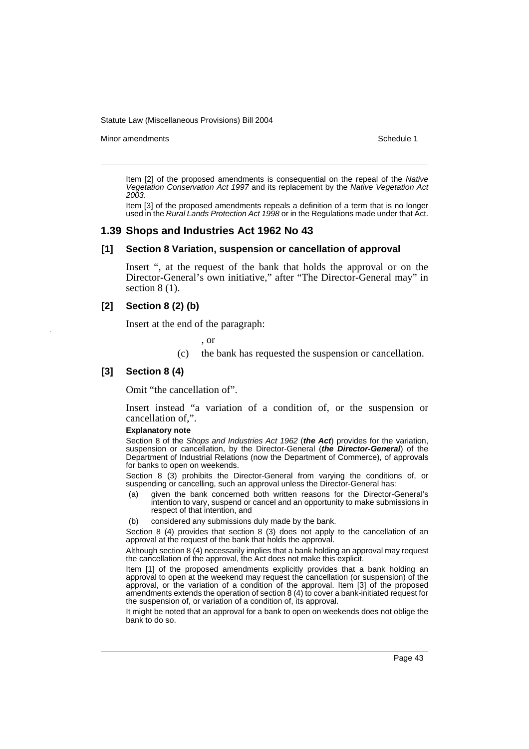Minor amendments **Schedule 1** and the state of the state of the state of the Schedule 1

Item [2] of the proposed amendments is consequential on the repeal of the *Native Vegetation Conservation Act 1997* and its replacement by the *Native Vegetation Act 2003*.

Item [3] of the proposed amendments repeals a definition of a term that is no longer used in the *Rural Lands Protection Act 1998* or in the Regulations made under that Act.

### **1.39 Shops and Industries Act 1962 No 43**

## **[1] Section 8 Variation, suspension or cancellation of approval**

Insert ", at the request of the bank that holds the approval or on the Director-General's own initiative," after "The Director-General may" in section 8 (1).

### **[2] Section 8 (2) (b)**

Insert at the end of the paragraph:

, or

(c) the bank has requested the suspension or cancellation.

### **[3] Section 8 (4)**

Omit "the cancellation of".

Insert instead "a variation of a condition of, or the suspension or cancellation of,".

#### **Explanatory note**

Section 8 of the *Shops and Industries Act 1962* (*the Act*) provides for the variation, suspension or cancellation, by the Director-General (*the Director-General*) of the Department of Industrial Relations (now the Department of Commerce), of approvals for banks to open on weekends.

Section 8 (3) prohibits the Director-General from varying the conditions of, or suspending or cancelling, such an approval unless the Director-General has:

- (a) given the bank concerned both written reasons for the Director-General's intention to vary, suspend or cancel and an opportunity to make submissions in respect of that intention, and
- (b) considered any submissions duly made by the bank.

Section 8 (4) provides that section 8 (3) does not apply to the cancellation of an approval at the request of the bank that holds the approval.

Although section 8 (4) necessarily implies that a bank holding an approval may request the cancellation of the approval, the Act does not make this explicit.

Item [1] of the proposed amendments explicitly provides that a bank holding an approval to open at the weekend may request the cancellation (or suspension) of the approval, or the variation of a condition of the approval. Item [3] of the proposed amendments extends the operation of section 8 (4) to cover a bank-initiated request for the suspension of, or variation of a condition of, its approval.

It might be noted that an approval for a bank to open on weekends does not oblige the bank to do so.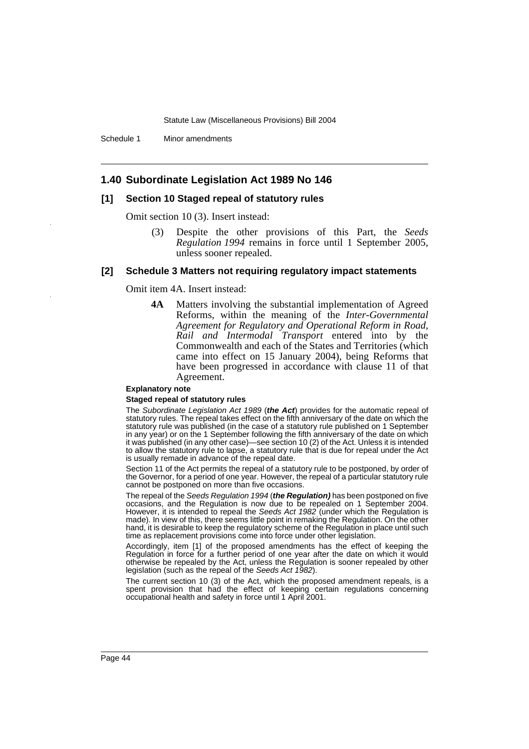Schedule 1 Minor amendments

### **1.40 Subordinate Legislation Act 1989 No 146**

### **[1] Section 10 Staged repeal of statutory rules**

Omit section 10 (3). Insert instead:

(3) Despite the other provisions of this Part, the *Seeds Regulation 1994* remains in force until 1 September 2005, unless sooner repealed.

### **[2] Schedule 3 Matters not requiring regulatory impact statements**

#### Omit item 4A. Insert instead:

**4A** Matters involving the substantial implementation of Agreed Reforms, within the meaning of the *Inter-Governmental Agreement for Regulatory and Operational Reform in Road, Rail and Intermodal Transport* entered into by the Commonwealth and each of the States and Territories (which came into effect on 15 January 2004), being Reforms that have been progressed in accordance with clause 11 of that Agreement.

#### **Explanatory note**

#### **Staged repeal of statutory rules**

The *Subordinate Legislation Act 1989* (*the Act*) provides for the automatic repeal of statutory rules. The repeal takes effect on the fifth anniversary of the date on which the statutory rule was published (in the case of a statutory rule published on 1 September in any year) or on the 1 September following the fifth anniversary of the date on which it was published (in any other case)—see section 10 (2) of the Act. Unless it is intended to allow the statutory rule to lapse, a statutory rule that is due for repeal under the Act is usually remade in advance of the repeal date.

Section 11 of the Act permits the repeal of a statutory rule to be postponed, by order of the Governor, for a period of one year. However, the repeal of a particular statutory rule cannot be postponed on more than five occasions.

The repeal of the *Seeds Regulation 1994* (*the Regulation)* has been postponed on five occasions, and the Regulation is now due to be repealed on 1 September 2004. However, it is intended to repeal the *Seeds Act 1982* (under which the Regulation is made). In view of this, there seems little point in remaking the Regulation. On the other hand, it is desirable to keep the regulatory scheme of the Regulation in place until such time as replacement provisions come into force under other legislation.

Accordingly, item [1] of the proposed amendments has the effect of keeping the Regulation in force for a further period of one year after the date on which it would otherwise be repealed by the Act, unless the Regulation is sooner repealed by other legislation (such as the repeal of the *Seeds Act 1982*).

The current section 10 (3) of the Act, which the proposed amendment repeals, is a spent provision that had the effect of keeping certain regulations concerning occupational health and safety in force until 1 April 2001.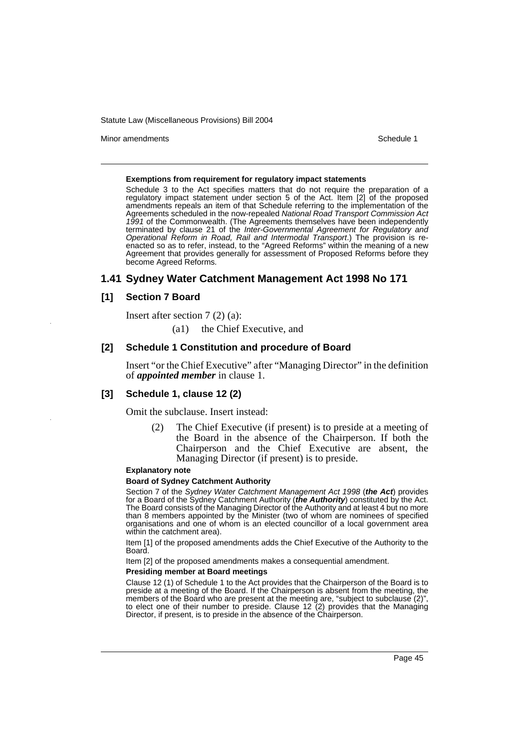Minor amendments **Schedule 1** and the state of the state of the state of the Schedule 1

#### **Exemptions from requirement for regulatory impact statements**

Schedule 3 to the Act specifies matters that do not require the preparation of a regulatory impact statement under section 5 of the Act. Item [2] of the proposed amendments repeals an item of that Schedule referring to the implementation of the Agreements scheduled in the now-repealed *National Road Transport Commission Act 1991* of the Commonwealth. (The Agreements themselves have been independently terminated by clause 21 of the *Inter-Governmental Agreement for Regulatory and Operational Reform in Road, Rail and Intermodal Transport*.) The provision is reenacted so as to refer, instead, to the "Agreed Reforms" within the meaning of a new Agreement that provides generally for assessment of Proposed Reforms before they become Agreed Reforms.

## **1.41 Sydney Water Catchment Management Act 1998 No 171**

### **[1] Section 7 Board**

Insert after section 7 (2) (a):

(a1) the Chief Executive, and

### **[2] Schedule 1 Constitution and procedure of Board**

Insert "or the Chief Executive" after "Managing Director" in the definition of *appointed member* in clause 1.

### **[3] Schedule 1, clause 12 (2)**

Omit the subclause. Insert instead:

(2) The Chief Executive (if present) is to preside at a meeting of the Board in the absence of the Chairperson. If both the Chairperson and the Chief Executive are absent, the Managing Director (if present) is to preside.

#### **Explanatory note**

#### **Board of Sydney Catchment Authority**

Section 7 of the *Sydney Water Catchment Management Act 1998* (*the Act*) provides for a Board of the Sydney Catchment Authority (*the Authority*) constituted by the Act. The Board consists of the Managing Director of the Authority and at least 4 but no more than 8 members appointed by the Minister (two of whom are nominees of specified organisations and one of whom is an elected councillor of a local government area within the catchment area).

Item [1] of the proposed amendments adds the Chief Executive of the Authority to the Board.

Item [2] of the proposed amendments makes a consequential amendment.

#### **Presiding member at Board meetings**

Clause 12 (1) of Schedule 1 to the Act provides that the Chairperson of the Board is to preside at a meeting of the Board. If the Chairperson is absent from the meeting, the members of the Board who are present at the meeting are, "subject to subclause (2)", to elect one of their number to preside. Clause 12 (2) provides that the Managing Director, if present, is to preside in the absence of the Chairperson.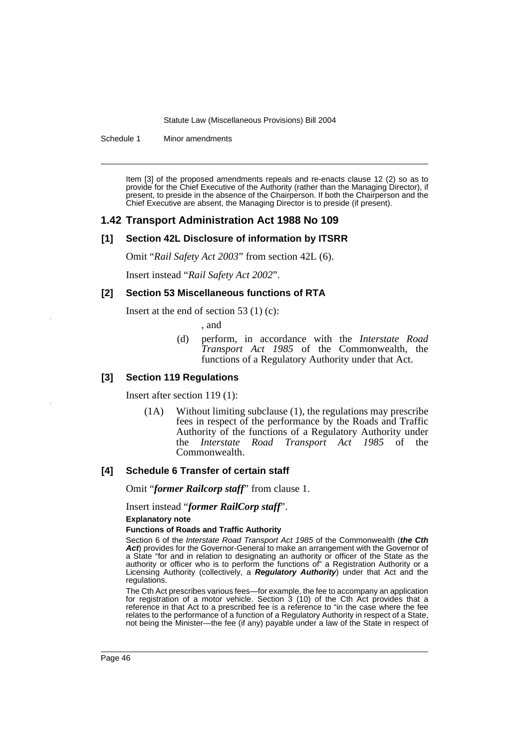Schedule 1 Minor amendments

Item [3] of the proposed amendments repeals and re-enacts clause 12 (2) so as to provide for the Chief Executive of the Authority (rather than the Managing Director), if present, to preside in the absence of the Chairperson. If both the Chairperson and the Chief Executive are absent, the Managing Director is to preside (if present).

### **1.42 Transport Administration Act 1988 No 109**

### **[1] Section 42L Disclosure of information by ITSRR**

Omit "*Rail Safety Act 2003*" from section 42L (6).

Insert instead "*Rail Safety Act 2002*".

### **[2] Section 53 Miscellaneous functions of RTA**

Insert at the end of section 53 $(1)(c)$ :

, and

(d) perform, in accordance with the *Interstate Road Transport Act 1985* of the Commonwealth, the functions of a Regulatory Authority under that Act.

### **[3] Section 119 Regulations**

Insert after section 119 (1):

(1A) Without limiting subclause (1), the regulations may prescribe fees in respect of the performance by the Roads and Traffic Authority of the functions of a Regulatory Authority under the *Interstate Road Transport Act 1985* of the Commonwealth.

### **[4] Schedule 6 Transfer of certain staff**

Omit "*former Railcorp staff*" from clause 1.

Insert instead "*former RailCorp staff*".

**Explanatory note**

#### **Functions of Roads and Traffic Authority**

Section 6 of the *Interstate Road Transport Act 1985* of the Commonwealth (*the Cth* Act) provides for the Governor-General to make an arrangement with the Governor of a State "for and in relation to designating an authority or officer of the State as the authority or officer who is to perform the functions of" a Registration Authority or a Licensing Authority (collectively, a *Regulatory Authority*) under that Act and the regulations.

The Cth Act prescribes various fees—for example, the fee to accompany an application for registration of a motor vehicle. Section 3 (10) of the Cth Act provides that a reference in that Act to a prescribed fee is a reference to "in the case where the fee relates to the performance of a function of a Regulatory Authority in respect of a State, not being the Minister—the fee (if any) payable under a law of the State in respect of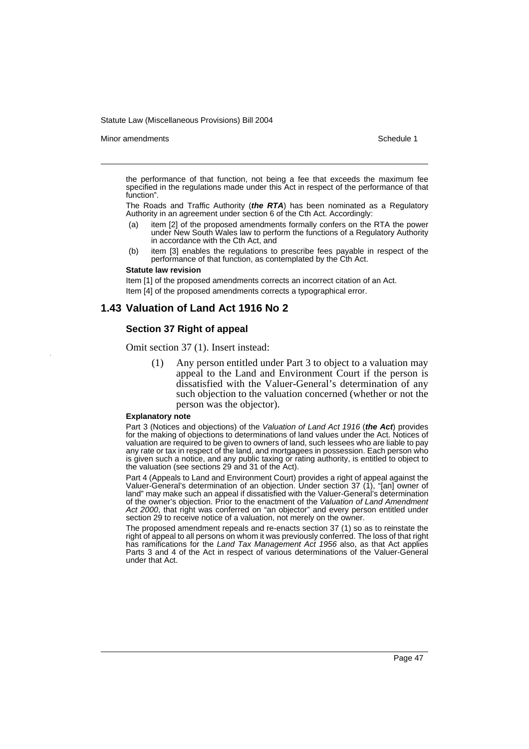Minor amendments **Schedule 1** and the state of the state of the state of the Schedule 1

the performance of that function, not being a fee that exceeds the maximum fee specified in the regulations made under this Act in respect of the performance of that function".

The Roads and Traffic Authority (*the RTA*) has been nominated as a Regulatory Authority in an agreement under section 6 of the Cth Act. Accordingly:

- item [2] of the proposed amendments formally confers on the RTA the power under New South Wales law to perform the functions of a Regulatory Authority in accordance with the Cth Act, and
- (b) item [3] enables the regulations to prescribe fees payable in respect of the performance of that function, as contemplated by the Cth Act.

#### **Statute law revision**

Item [1] of the proposed amendments corrects an incorrect citation of an Act. Item [4] of the proposed amendments corrects a typographical error.

### **1.43 Valuation of Land Act 1916 No 2**

### **Section 37 Right of appeal**

Omit section 37 (1). Insert instead:

(1) Any person entitled under Part 3 to object to a valuation may appeal to the Land and Environment Court if the person is dissatisfied with the Valuer-General's determination of any such objection to the valuation concerned (whether or not the person was the objector).

#### **Explanatory note**

Part 3 (Notices and objections) of the *Valuation of Land Act 1916* (*the Act*) provides for the making of objections to determinations of land values under the Act. Notices of valuation are required to be given to owners of land, such lessees who are liable to pay any rate or tax in respect of the land, and mortgagees in possession. Each person who is given such a notice, and any public taxing or rating authority, is entitled to object to the valuation (see sections 29 and 31 of the Act).

Part 4 (Appeals to Land and Environment Court) provides a right of appeal against the Valuer-General's determination of an objection. Under section 37 (1), "[an] owner of land" may make such an appeal if dissatisfied with the Valuer-General's determination of the owner's objection. Prior to the enactment of the *Valuation of Land Amendment Act 2000*, that right was conferred on "an objector" and every person entitled under section 29 to receive notice of a valuation, not merely on the owner.

The proposed amendment repeals and re-enacts section 37 (1) so as to reinstate the right of appeal to all persons on whom it was previously conferred. The loss of that right has ramifications for the *Land Tax Management Act 1956* also, as that Act applies Parts 3 and 4 of the Act in respect of various determinations of the Valuer-General under that Act.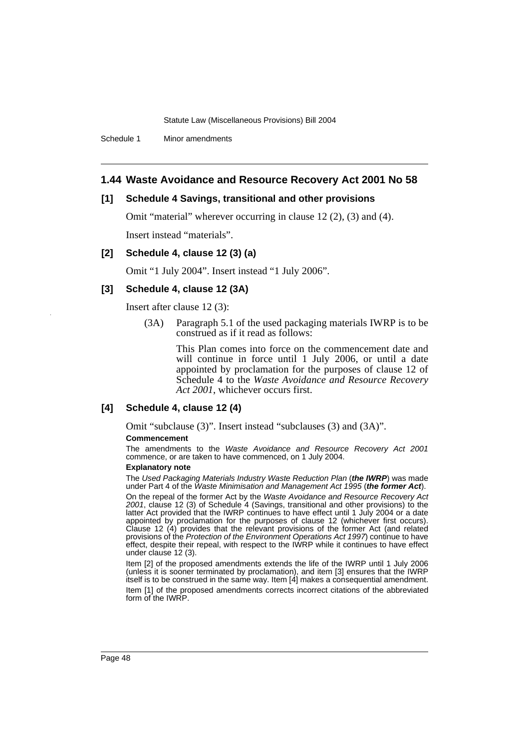Schedule 1 Minor amendments

### **1.44 Waste Avoidance and Resource Recovery Act 2001 No 58**

### **[1] Schedule 4 Savings, transitional and other provisions**

Omit "material" wherever occurring in clause 12 (2), (3) and (4). Insert instead "materials".

### **[2] Schedule 4, clause 12 (3) (a)**

Omit "1 July 2004". Insert instead "1 July 2006".

### **[3] Schedule 4, clause 12 (3A)**

Insert after clause 12 (3):

(3A) Paragraph 5.1 of the used packaging materials IWRP is to be construed as if it read as follows:

> This Plan comes into force on the commencement date and will continue in force until 1 July 2006, or until a date appointed by proclamation for the purposes of clause 12 of Schedule 4 to the *Waste Avoidance and Resource Recovery Act 2001*, whichever occurs first.

### **[4] Schedule 4, clause 12 (4)**

Omit "subclause (3)". Insert instead "subclauses (3) and (3A)".

#### **Commencement**

The amendments to the *Waste Avoidance and Resource Recovery Act 2001* commence, or are taken to have commenced, on 1 July 2004.

### **Explanatory note**

The *Used Packaging Materials Industry Waste Reduction Plan* (*the IWRP*) was made under Part 4 of the *Waste Minimisation and Management Act 1995* (*the former Act*).

On the repeal of the former Act by the *Waste Avoidance and Resource Recovery Act 2001*, clause 12 (3) of Schedule 4 (Savings, transitional and other provisions) to the latter Act provided that the IWRP continues to have effect until 1 July 2004 or a date appointed by proclamation for the purposes of clause 12 (whichever first occurs). Clause 12 (4) provides that the relevant provisions of the former Act (and related provisions of the *Protection of the Environment Operations Act 1997*) continue to have effect, despite their repeal, with respect to the IWRP while it continues to have effect under clause 12 (3).

Item [2] of the proposed amendments extends the life of the IWRP until 1 July 2006 (unless it is sooner terminated by proclamation), and item [3] ensures that the IWRP itself is to be construed in the same way. Item [4] makes a consequential amendment. Item [1] of the proposed amendments corrects incorrect citations of the abbreviated form of the IWRP.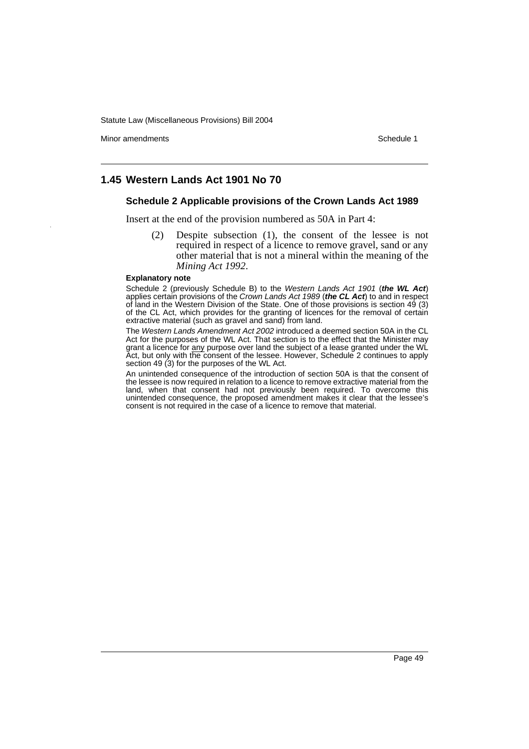Minor amendments **Schedule 1** and the state of the state of the state of the Schedule 1

## **1.45 Western Lands Act 1901 No 70**

### **Schedule 2 Applicable provisions of the Crown Lands Act 1989**

Insert at the end of the provision numbered as 50A in Part 4:

(2) Despite subsection (1), the consent of the lessee is not required in respect of a licence to remove gravel, sand or any other material that is not a mineral within the meaning of the *Mining Act 1992*.

#### **Explanatory note**

Schedule 2 (previously Schedule B) to the *Western Lands Act 1901* (*the WL Act*) applies certain provisions of the *Crown Lands Act 1989* (*the CL Act*) to and in respect of land in the Western Division of the State. One of those provisions is section 49 (3) of the CL Act, which provides for the granting of licences for the removal of certain extractive material (such as gravel and sand) from land.

The *Western Lands Amendment Act 2002* introduced a deemed section 50A in the CL Act for the purposes of the WL Act. That section is to the effect that the Minister may grant a licence for **any purpose over land the subject of a lease granted under the WL** Act, but only with the consent of the lessee. However, Schedule 2 continues to apply section 49 (3) for the purposes of the WL Act.

An unintended consequence of the introduction of section 50A is that the consent of the lessee is now required in relation to a licence to remove extractive material from the land, when that consent had not previously been required. To overcome this unintended consequence, the proposed amendment makes it clear that the lessee's consent is not required in the case of a licence to remove that material.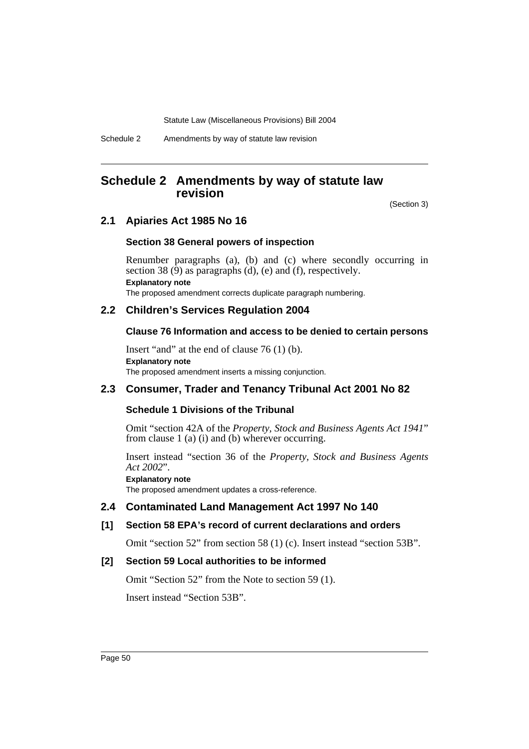Schedule 2 Amendments by way of statute law revision

## **Schedule 2 Amendments by way of statute law revision**

(Section 3)

## **2.1 Apiaries Act 1985 No 16**

### **Section 38 General powers of inspection**

Renumber paragraphs (a), (b) and (c) where secondly occurring in section 38  $(\overline{9})$  as paragraphs  $(d)$ ,  $(e)$  and  $(f)$ , respectively. **Explanatory note** The proposed amendment corrects duplicate paragraph numbering.

## **2.2 Children's Services Regulation 2004**

### **Clause 76 Information and access to be denied to certain persons**

Insert "and" at the end of clause 76 (1) (b). **Explanatory note** The proposed amendment inserts a missing conjunction.

## **2.3 Consumer, Trader and Tenancy Tribunal Act 2001 No 82**

### **Schedule 1 Divisions of the Tribunal**

Omit "section 42A of the *Property, Stock and Business Agents Act 1941*" from clause 1 (a) (i) and (b) wherever occurring.

Insert instead "section 36 of the *Property, Stock and Business Agents Act 2002*".

### **Explanatory note**

The proposed amendment updates a cross-reference.

### **2.4 Contaminated Land Management Act 1997 No 140**

## **[1] Section 58 EPA's record of current declarations and orders**

Omit "section 52" from section 58 (1) (c). Insert instead "section 53B".

## **[2] Section 59 Local authorities to be informed**

Omit "Section 52" from the Note to section 59 (1). Insert instead "Section 53B".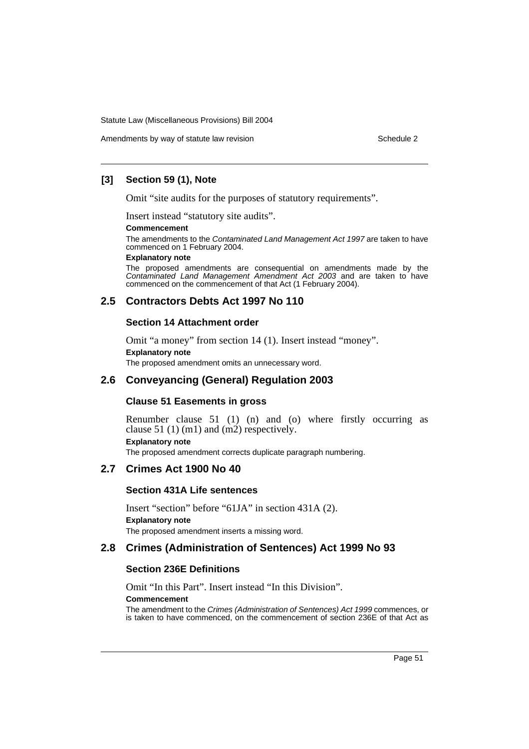Amendments by way of statute law revision example 2

## **[3] Section 59 (1), Note**

Omit "site audits for the purposes of statutory requirements".

Insert instead "statutory site audits".

#### **Commencement**

The amendments to the *Contaminated Land Management Act 1997* are taken to have commenced on 1 February 2004.

#### **Explanatory note**

The proposed amendments are consequential on amendments made by the *Contaminated Land Management Amendment Act 2003* and are taken to have commenced on the commencement of that Act (1 February 2004).

## **2.5 Contractors Debts Act 1997 No 110**

### **Section 14 Attachment order**

Omit "a money" from section 14 (1). Insert instead "money". **Explanatory note** The proposed amendment omits an unnecessary word.

## **2.6 Conveyancing (General) Regulation 2003**

### **Clause 51 Easements in gross**

Renumber clause 51 (1) (n) and (o) where firstly occurring as clause 51 (1) (m1) and (m2) respectively. **Explanatory note** The proposed amendment corrects duplicate paragraph numbering.

## **2.7 Crimes Act 1900 No 40**

### **Section 431A Life sentences**

Insert "section" before "61JA" in section 431A (2). **Explanatory note** The proposed amendment inserts a missing word.

## **2.8 Crimes (Administration of Sentences) Act 1999 No 93**

### **Section 236E Definitions**

Omit "In this Part". Insert instead "In this Division".

### **Commencement**

The amendment to the *Crimes (Administration of Sentences) Act 1999* commences, or is taken to have commenced, on the commencement of section 236E of that Act as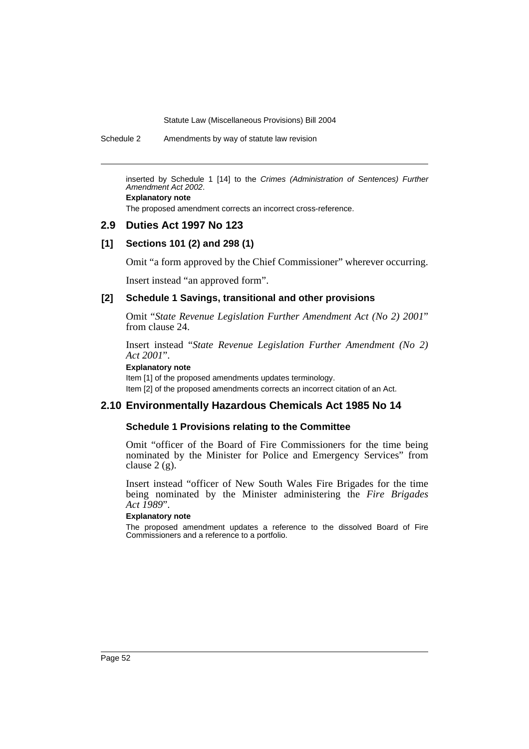Schedule 2 Amendments by way of statute law revision

inserted by Schedule 1 [14] to the *Crimes (Administration of Sentences) Further Amendment Act 2002*.

**Explanatory note**

The proposed amendment corrects an incorrect cross-reference.

## **2.9 Duties Act 1997 No 123**

### **[1] Sections 101 (2) and 298 (1)**

Omit "a form approved by the Chief Commissioner" wherever occurring.

Insert instead "an approved form".

### **[2] Schedule 1 Savings, transitional and other provisions**

Omit "*State Revenue Legislation Further Amendment Act (No 2) 2001*" from clause 24.

Insert instead "*State Revenue Legislation Further Amendment (No 2) Act 2001*".

#### **Explanatory note**

Item [1] of the proposed amendments updates terminology. Item [2] of the proposed amendments corrects an incorrect citation of an Act.

## **2.10 Environmentally Hazardous Chemicals Act 1985 No 14**

### **Schedule 1 Provisions relating to the Committee**

Omit "officer of the Board of Fire Commissioners for the time being nominated by the Minister for Police and Emergency Services" from clause 2 (g).

Insert instead "officer of New South Wales Fire Brigades for the time being nominated by the Minister administering the *Fire Brigades Act 1989*".

### **Explanatory note**

The proposed amendment updates a reference to the dissolved Board of Fire Commissioners and a reference to a portfolio.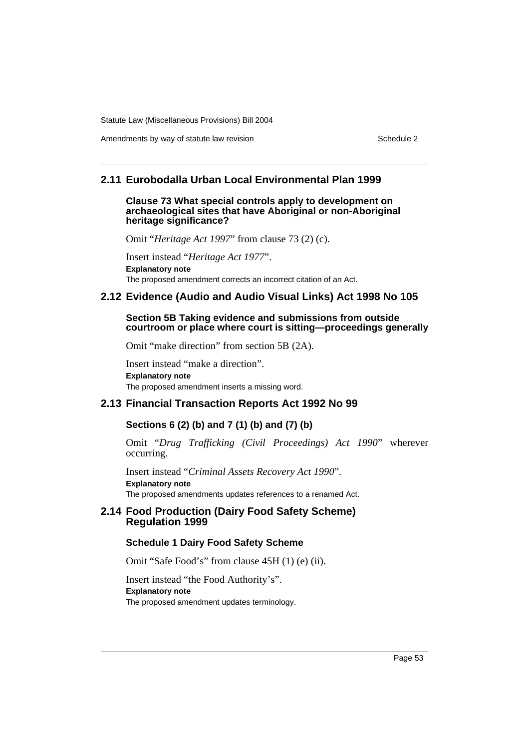Amendments by way of statute law revision example 2

## **2.11 Eurobodalla Urban Local Environmental Plan 1999**

### **Clause 73 What special controls apply to development on archaeological sites that have Aboriginal or non-Aboriginal heritage significance?**

Omit "*Heritage Act 1997*" from clause 73 (2) (c).

Insert instead "*Heritage Act 1977*". **Explanatory note** The proposed amendment corrects an incorrect citation of an Act.

## **2.12 Evidence (Audio and Audio Visual Links) Act 1998 No 105**

### **Section 5B Taking evidence and submissions from outside courtroom or place where court is sitting—proceedings generally**

Omit "make direction" from section 5B (2A).

Insert instead "make a direction". **Explanatory note** The proposed amendment inserts a missing word.

## **2.13 Financial Transaction Reports Act 1992 No 99**

## **Sections 6 (2) (b) and 7 (1) (b) and (7) (b)**

Omit "*Drug Trafficking (Civil Proceedings) Act 1990*" wherever occurring.

Insert instead "*Criminal Assets Recovery Act 1990*". **Explanatory note** The proposed amendments updates references to a renamed Act.

## **2.14 Food Production (Dairy Food Safety Scheme) Regulation 1999**

## **Schedule 1 Dairy Food Safety Scheme**

Omit "Safe Food's" from clause 45H (1) (e) (ii).

Insert instead "the Food Authority's". **Explanatory note** The proposed amendment updates terminology.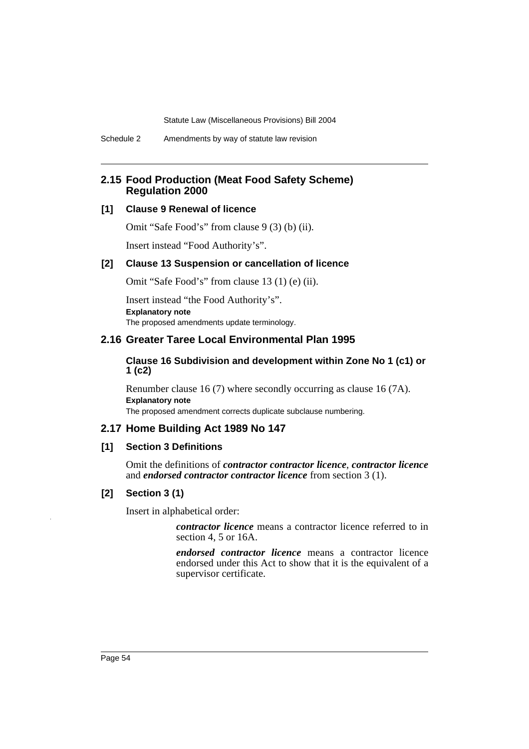Schedule 2 Amendments by way of statute law revision

## **2.15 Food Production (Meat Food Safety Scheme) Regulation 2000**

## **[1] Clause 9 Renewal of licence**

Omit "Safe Food's" from clause 9 (3) (b) (ii).

Insert instead "Food Authority's".

### **[2] Clause 13 Suspension or cancellation of licence**

Omit "Safe Food's" from clause 13 (1) (e) (ii).

Insert instead "the Food Authority's". **Explanatory note** The proposed amendments update terminology.

### **2.16 Greater Taree Local Environmental Plan 1995**

### **Clause 16 Subdivision and development within Zone No 1 (c1) or 1 (c2)**

Renumber clause 16 (7) where secondly occurring as clause 16 (7A). **Explanatory note**

The proposed amendment corrects duplicate subclause numbering.

## **2.17 Home Building Act 1989 No 147**

### **[1] Section 3 Definitions**

Omit the definitions of *contractor contractor licence*, *contractor licence* and *endorsed contractor contractor licence* from section 3 (1).

### **[2] Section 3 (1)**

Insert in alphabetical order:

*contractor licence* means a contractor licence referred to in section 4, 5 or 16A.

*endorsed contractor licence* means a contractor licence endorsed under this Act to show that it is the equivalent of a supervisor certificate.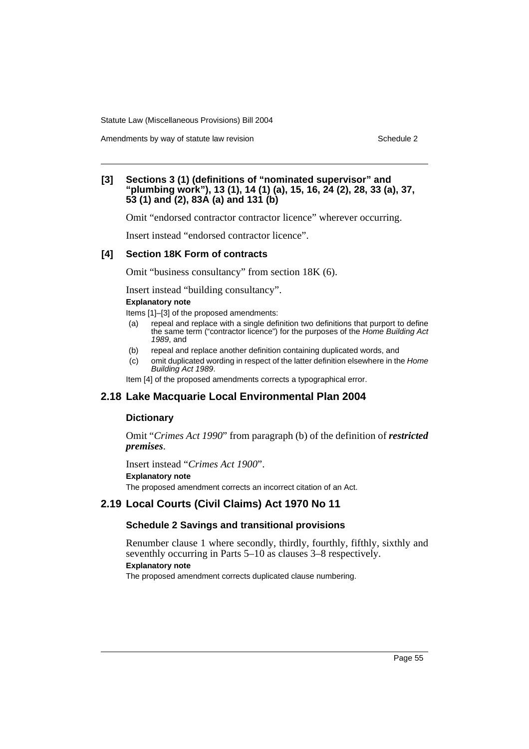Amendments by way of statute law revision example 2

### **[3] Sections 3 (1) (definitions of "nominated supervisor" and "plumbing work"), 13 (1), 14 (1) (a), 15, 16, 24 (2), 28, 33 (a), 37, 53 (1) and (2), 83A (a) and 131 (b)**

Omit "endorsed contractor contractor licence" wherever occurring.

Insert instead "endorsed contractor licence".

### **[4] Section 18K Form of contracts**

Omit "business consultancy" from section 18K (6).

Insert instead "building consultancy".

### **Explanatory note**

Items [1]–[3] of the proposed amendments:

- (a) repeal and replace with a single definition two definitions that purport to define the same term ("contractor licence") for the purposes of the *Home Building Act 1989*, and
- (b) repeal and replace another definition containing duplicated words, and
- (c) omit duplicated wording in respect of the latter definition elsewhere in the *Home Building Act 1989*.

Item [4] of the proposed amendments corrects a typographical error.

## **2.18 Lake Macquarie Local Environmental Plan 2004**

### **Dictionary**

Omit "*Crimes Act 1990*" from paragraph (b) of the definition of *restricted premises*.

Insert instead "*Crimes Act 1900*". **Explanatory note** The proposed amendment corrects an incorrect citation of an Act.

## **2.19 Local Courts (Civil Claims) Act 1970 No 11**

## **Schedule 2 Savings and transitional provisions**

Renumber clause 1 where secondly, thirdly, fourthly, fifthly, sixthly and seventhly occurring in Parts 5–10 as clauses 3–8 respectively. **Explanatory note**

The proposed amendment corrects duplicated clause numbering.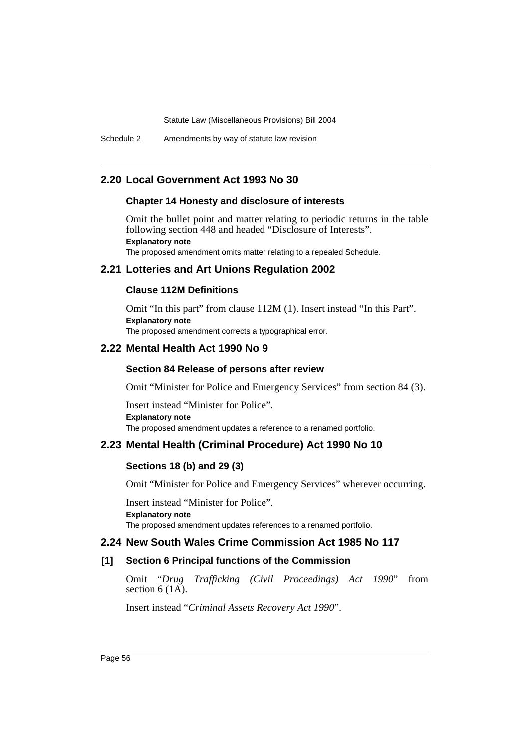Schedule 2 Amendments by way of statute law revision

## **2.20 Local Government Act 1993 No 30**

### **Chapter 14 Honesty and disclosure of interests**

Omit the bullet point and matter relating to periodic returns in the table following section 448 and headed "Disclosure of Interests". **Explanatory note**

The proposed amendment omits matter relating to a repealed Schedule.

## **2.21 Lotteries and Art Unions Regulation 2002**

### **Clause 112M Definitions**

Omit "In this part" from clause 112M (1). Insert instead "In this Part". **Explanatory note** The proposed amendment corrects a typographical error.

### **2.22 Mental Health Act 1990 No 9**

### **Section 84 Release of persons after review**

Omit "Minister for Police and Emergency Services" from section 84 (3).

Insert instead "Minister for Police". **Explanatory note** The proposed amendment updates a reference to a renamed portfolio.

## **2.23 Mental Health (Criminal Procedure) Act 1990 No 10**

### **Sections 18 (b) and 29 (3)**

Omit "Minister for Police and Emergency Services" wherever occurring.

Insert instead "Minister for Police". **Explanatory note** The proposed amendment updates references to a renamed portfolio.

### **2.24 New South Wales Crime Commission Act 1985 No 117**

### **[1] Section 6 Principal functions of the Commission**

Omit "*Drug Trafficking (Civil Proceedings) Act 1990*" from section  $6(1\overline{A})$ .

Insert instead "*Criminal Assets Recovery Act 1990*".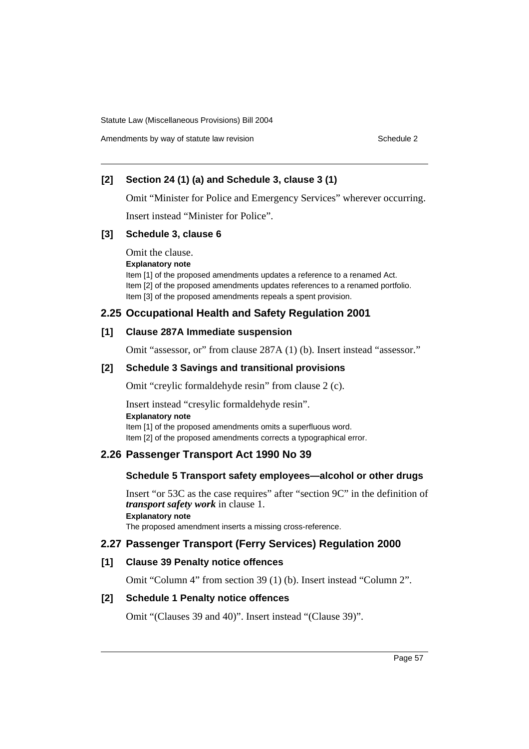Amendments by way of statute law revision example 2

## **[2] Section 24 (1) (a) and Schedule 3, clause 3 (1)**

Omit "Minister for Police and Emergency Services" wherever occurring.

Insert instead "Minister for Police".

## **[3] Schedule 3, clause 6**

Omit the clause.

**Explanatory note**

Item [1] of the proposed amendments updates a reference to a renamed Act. Item [2] of the proposed amendments updates references to a renamed portfolio. Item [3] of the proposed amendments repeals a spent provision.

## **2.25 Occupational Health and Safety Regulation 2001**

## **[1] Clause 287A Immediate suspension**

Omit "assessor, or" from clause 287A (1) (b). Insert instead "assessor."

## **[2] Schedule 3 Savings and transitional provisions**

Omit "creylic formaldehyde resin" from clause 2 (c).

Insert instead "cresylic formaldehyde resin". **Explanatory note** Item [1] of the proposed amendments omits a superfluous word. Item [2] of the proposed amendments corrects a typographical error.

## **2.26 Passenger Transport Act 1990 No 39**

## **Schedule 5 Transport safety employees—alcohol or other drugs**

Insert "or 53C as the case requires" after "section 9C" in the definition of *transport safety work* in clause 1. **Explanatory note** The proposed amendment inserts a missing cross-reference.

## **2.27 Passenger Transport (Ferry Services) Regulation 2000**

## **[1] Clause 39 Penalty notice offences**

Omit "Column 4" from section 39 (1) (b). Insert instead "Column 2".

## **[2] Schedule 1 Penalty notice offences**

Omit "(Clauses 39 and 40)". Insert instead "(Clause 39)".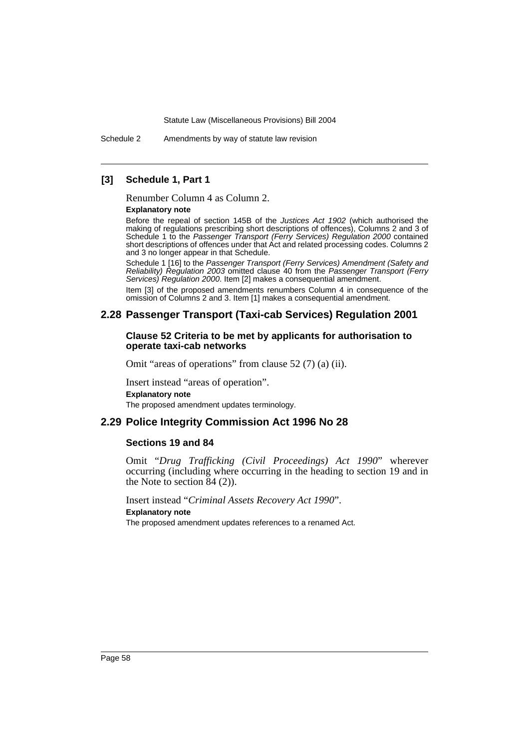Schedule 2 Amendments by way of statute law revision

### **[3] Schedule 1, Part 1**

Renumber Column 4 as Column 2.

#### **Explanatory note**

Before the repeal of section 145B of the *Justices Act 1902* (which authorised the making of regulations prescribing short descriptions of offences), Columns 2 and 3 of Schedule 1 to the *Passenger Transport (Ferry Services) Regulation 2000* contained short descriptions of offences under that Act and related processing codes. Columns 2 and 3 no longer appear in that Schedule.

Schedule 1 [16] to the *Passenger Transport (Ferry Services) Amendment (Safety and Reliability) Regulation 2003* omitted clause 40 from the *Passenger Transport (Ferry Services) Regulation 2000*. Item [2] makes a consequential amendment.

Item [3] of the proposed amendments renumbers Column 4 in consequence of the omission of Columns 2 and 3. Item [1] makes a consequential amendment.

### **2.28 Passenger Transport (Taxi-cab Services) Regulation 2001**

### **Clause 52 Criteria to be met by applicants for authorisation to operate taxi-cab networks**

Omit "areas of operations" from clause 52 (7) (a) (ii).

Insert instead "areas of operation". **Explanatory note** The proposed amendment updates terminology.

### **2.29 Police Integrity Commission Act 1996 No 28**

### **Sections 19 and 84**

Omit "*Drug Trafficking (Civil Proceedings) Act 1990*" wherever occurring (including where occurring in the heading to section 19 and in the Note to section  $84(2)$ ).

Insert instead "*Criminal Assets Recovery Act 1990*".

#### **Explanatory note**

The proposed amendment updates references to a renamed Act.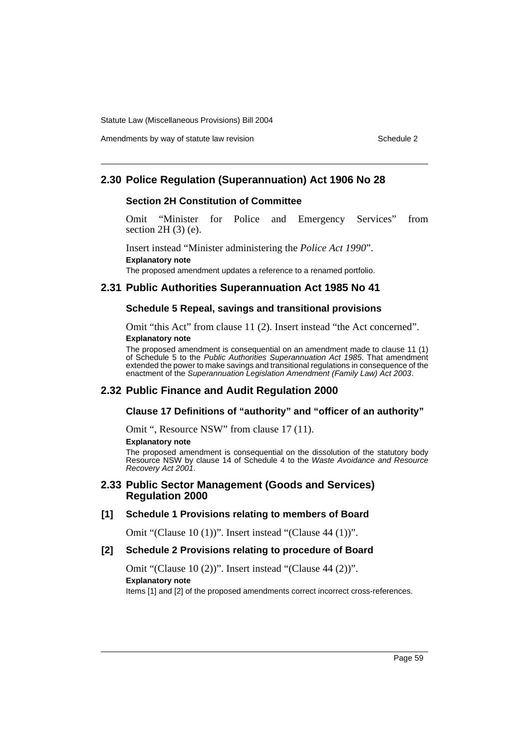## **2.30 Police Regulation (Superannuation) Act 1906 No 28**

### **Section 2H Constitution of Committee**

Omit "Minister for Police and Emergency Services" from section 2H (3) (e).

Insert instead "Minister administering the *Police Act 1990*". **Explanatory note**

The proposed amendment updates a reference to a renamed portfolio.

## **2.31 Public Authorities Superannuation Act 1985 No 41**

### **Schedule 5 Repeal, savings and transitional provisions**

Omit "this Act" from clause 11 (2). Insert instead "the Act concerned". **Explanatory note**

The proposed amendment is consequential on an amendment made to clause 11 (1) of Schedule 5 to the *Public Authorities Superannuation Act 1985*. That amendment extended the power to make savings and transitional regulations in consequence of the enactment of the *Superannuation Legislation Amendment (Family Law) Act 2003*.

### **2.32 Public Finance and Audit Regulation 2000**

### **Clause 17 Definitions of "authority" and "officer of an authority"**

Omit ", Resource NSW" from clause 17 (11).

#### **Explanatory note**

The proposed amendment is consequential on the dissolution of the statutory body Resource NSW by clause 14 of Schedule 4 to the *Waste Avoidance and Resource Recovery Act 2001*.

### **2.33 Public Sector Management (Goods and Services) Regulation 2000**

### **[1] Schedule 1 Provisions relating to members of Board**

Omit "(Clause 10 (1))". Insert instead "(Clause 44 (1))".

#### **[2] Schedule 2 Provisions relating to procedure of Board**

Omit "(Clause 10 (2))". Insert instead "(Clause 44 (2))". **Explanatory note** Items [1] and [2] of the proposed amendments correct incorrect cross-references.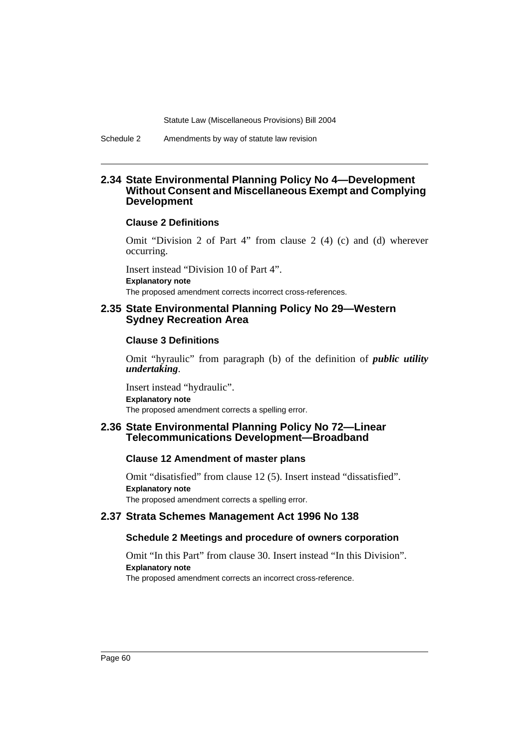Schedule 2 Amendments by way of statute law revision

### **2.34 State Environmental Planning Policy No 4—Development Without Consent and Miscellaneous Exempt and Complying Development**

### **Clause 2 Definitions**

Omit "Division 2 of Part 4" from clause 2 (4) (c) and (d) wherever occurring.

Insert instead "Division 10 of Part 4". **Explanatory note** The proposed amendment corrects incorrect cross-references.

### **2.35 State Environmental Planning Policy No 29—Western Sydney Recreation Area**

### **Clause 3 Definitions**

Omit "hyraulic" from paragraph (b) of the definition of *public utility undertaking*.

Insert instead "hydraulic". **Explanatory note** The proposed amendment corrects a spelling error.

### **2.36 State Environmental Planning Policy No 72—Linear Telecommunications Development—Broadband**

### **Clause 12 Amendment of master plans**

Omit "disatisfied" from clause 12 (5). Insert instead "dissatisfied". **Explanatory note** The proposed amendment corrects a spelling error.

## **2.37 Strata Schemes Management Act 1996 No 138**

### **Schedule 2 Meetings and procedure of owners corporation**

Omit "In this Part" from clause 30. Insert instead "In this Division". **Explanatory note**

The proposed amendment corrects an incorrect cross-reference.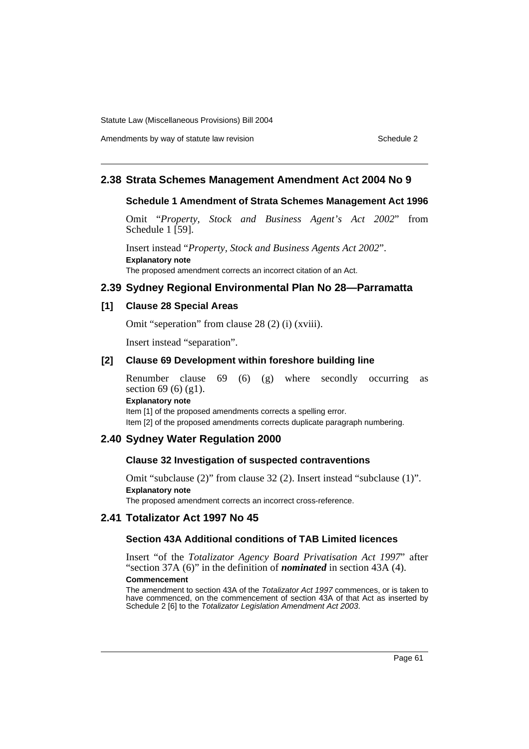## Amendments by way of statute law revision Schedule 2 and Schedule 2

## **2.38 Strata Schemes Management Amendment Act 2004 No 9**

## **Schedule 1 Amendment of Strata Schemes Management Act 1996**

Omit "*Property, Stock and Business Agent's Act 2002*" from Schedule  $1$  [59].

Insert instead "*Property, Stock and Business Agents Act 2002*". **Explanatory note** The proposed amendment corrects an incorrect citation of an Act.

## **2.39 Sydney Regional Environmental Plan No 28—Parramatta**

## **[1] Clause 28 Special Areas**

Omit "seperation" from clause 28 (2) (i) (xviii).

Insert instead "separation".

## **[2] Clause 69 Development within foreshore building line**

Renumber clause 69 (6) (g) where secondly occurring as section 69 (6) (g1). **Explanatory note**

Item [1] of the proposed amendments corrects a spelling error. Item [2] of the proposed amendments corrects duplicate paragraph numbering.

## **2.40 Sydney Water Regulation 2000**

## **Clause 32 Investigation of suspected contraventions**

Omit "subclause (2)" from clause 32 (2). Insert instead "subclause (1)". **Explanatory note** The proposed amendment corrects an incorrect cross-reference.

## **2.41 Totalizator Act 1997 No 45**

## **Section 43A Additional conditions of TAB Limited licences**

Insert "of the *Totalizator Agency Board Privatisation Act 1997*" after "section 37A (6)" in the definition of *nominated* in section 43A (4).

### **Commencement**

The amendment to section 43A of the *Totalizator Act 1997* commences, or is taken to have commenced, on the commencement of section 43A of that Act as inserted by Schedule 2 [6] to the *Totalizator Legislation Amendment Act 2003*.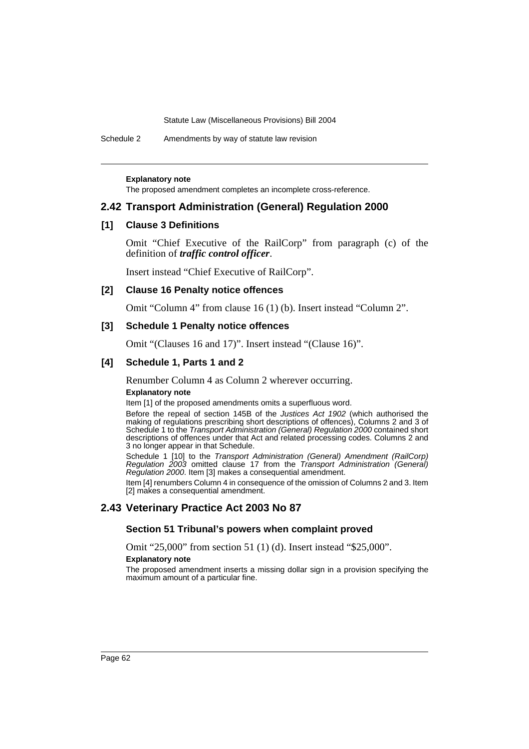Schedule 2 Amendments by way of statute law revision

**Explanatory note**

The proposed amendment completes an incomplete cross-reference.

### **2.42 Transport Administration (General) Regulation 2000**

### **[1] Clause 3 Definitions**

Omit "Chief Executive of the RailCorp" from paragraph (c) of the definition of *traffic control officer*.

Insert instead "Chief Executive of RailCorp".

### **[2] Clause 16 Penalty notice offences**

Omit "Column 4" from clause 16 (1) (b). Insert instead "Column 2".

### **[3] Schedule 1 Penalty notice offences**

Omit "(Clauses 16 and 17)". Insert instead "(Clause 16)".

### **[4] Schedule 1, Parts 1 and 2**

Renumber Column 4 as Column 2 wherever occurring.

#### **Explanatory note**

Item [1] of the proposed amendments omits a superfluous word.

Before the repeal of section 145B of the *Justices Act 1902* (which authorised the making of regulations prescribing short descriptions of offences), Columns 2 and 3 of Schedule 1 to the *Transport Administration (General) Regulation 2000* contained short descriptions of offences under that Act and related processing codes. Columns 2 and 3 no longer appear in that Schedule.

Schedule 1 [10] to the *Transport Administration (General) Amendment (RailCorp) Regulation 2003* omitted clause 17 from the *Transport Administration (General) Regulation 2000*. Item [3] makes a consequential amendment.

Item [4] renumbers Column 4 in consequence of the omission of Columns 2 and 3. Item [2] makes a consequential amendment.

### **2.43 Veterinary Practice Act 2003 No 87**

### **Section 51 Tribunal's powers when complaint proved**

Omit "25,000" from section 51 (1) (d). Insert instead "\$25,000".

#### **Explanatory note**

The proposed amendment inserts a missing dollar sign in a provision specifying the maximum amount of a particular fine.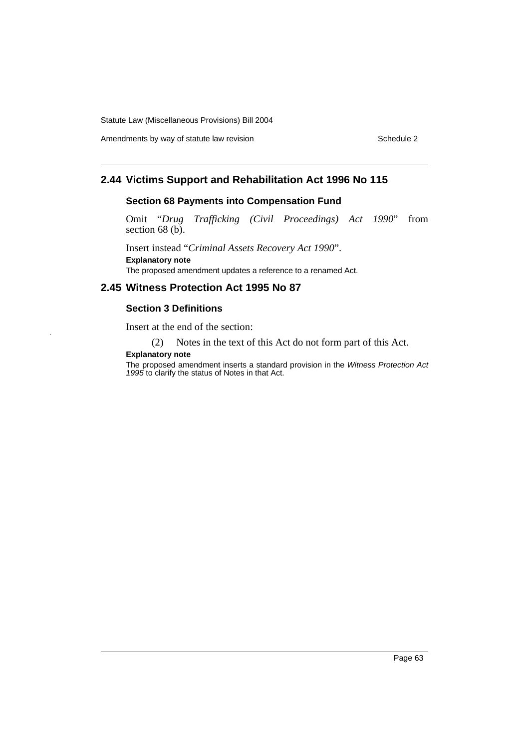Amendments by way of statute law revision example 2 Schedule 2

## **2.44 Victims Support and Rehabilitation Act 1996 No 115**

## **Section 68 Payments into Compensation Fund**

Omit "*Drug Trafficking (Civil Proceedings) Act 1990*" from section 68 (b).

Insert instead "*Criminal Assets Recovery Act 1990*". **Explanatory note**

The proposed amendment updates a reference to a renamed Act.

## **2.45 Witness Protection Act 1995 No 87**

## **Section 3 Definitions**

Insert at the end of the section:

(2) Notes in the text of this Act do not form part of this Act.

### **Explanatory note**

The proposed amendment inserts a standard provision in the *Witness Protection Act 1995* to clarify the status of Notes in that Act.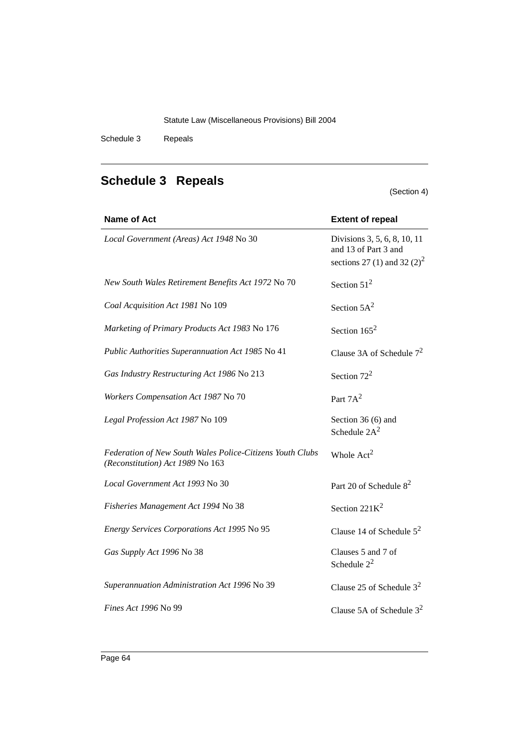Schedule 3 Repeals

# **Schedule 3 Repeals**

(Section 4)

| <b>Name of Act</b>                                                                            | <b>Extent of repeal</b>                                                                         |
|-----------------------------------------------------------------------------------------------|-------------------------------------------------------------------------------------------------|
| Local Government (Areas) Act 1948 No 30                                                       | Divisions 3, 5, 6, 8, 10, 11<br>and 13 of Part 3 and<br>sections 27 (1) and 32 (2) <sup>2</sup> |
| New South Wales Retirement Benefits Act 1972 No 70                                            | Section $51^2$                                                                                  |
| Coal Acquisition Act 1981 No 109                                                              | Section $5A^2$                                                                                  |
| Marketing of Primary Products Act 1983 No 176                                                 | Section $165^2$                                                                                 |
| Public Authorities Superannuation Act 1985 No 41                                              | Clause 3A of Schedule $7^2$                                                                     |
| Gas Industry Restructuring Act 1986 No 213                                                    | Section $72^2$                                                                                  |
| Workers Compensation Act 1987 No 70                                                           | Part $7A^2$                                                                                     |
| Legal Profession Act 1987 No 109                                                              | Section 36 (6) and<br>Schedule $2A^2$                                                           |
| Federation of New South Wales Police-Citizens Youth Clubs<br>(Reconstitution) Act 1989 No 163 | Whole Act <sup>2</sup>                                                                          |
| Local Government Act 1993 No 30                                                               | Part 20 of Schedule 8 <sup>2</sup>                                                              |
| Fisheries Management Act 1994 No 38                                                           | Section $221K^2$                                                                                |
| Energy Services Corporations Act 1995 No 95                                                   | Clause 14 of Schedule $5^2$                                                                     |
| Gas Supply Act 1996 No 38                                                                     | Clauses 5 and 7 of<br>Schedule $2^2$                                                            |
| Superannuation Administration Act 1996 No 39                                                  | Clause 25 of Schedule $3^2$                                                                     |
| Fines Act 1996 No 99                                                                          | Clause 5A of Schedule $3^2$                                                                     |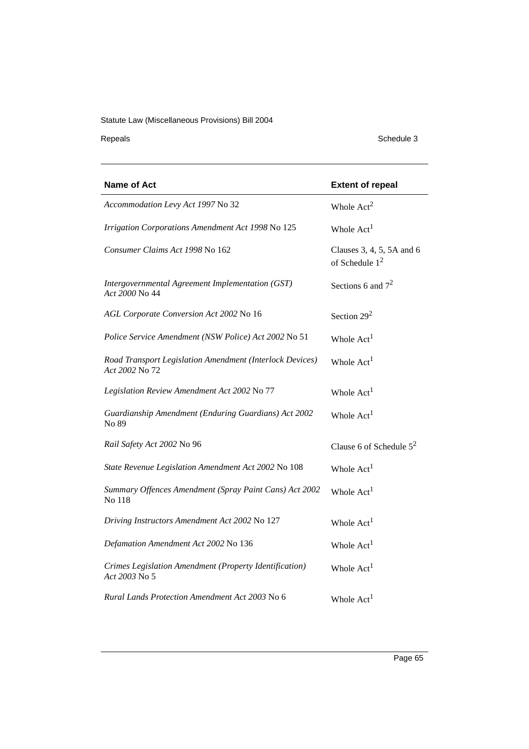Repeals Schedule 3

| <b>Name of Act</b>                                                         | <b>Extent of repeal</b>                       |
|----------------------------------------------------------------------------|-----------------------------------------------|
| Accommodation Levy Act 1997 No 32                                          | Whole $Act2$                                  |
| Irrigation Corporations Amendment Act 1998 No 125                          | Whole Act <sup>1</sup>                        |
| Consumer Claims Act 1998 No 162                                            | Clauses 3, 4, 5, 5A and 6<br>of Schedule $12$ |
| Intergovernmental Agreement Implementation (GST)<br>Act 2000 No 44         | Sections 6 and $7^2$                          |
| AGL Corporate Conversion Act 2002 No 16                                    | Section $29^2$                                |
| Police Service Amendment (NSW Police) Act 2002 No 51                       | Whole $Act1$                                  |
| Road Transport Legislation Amendment (Interlock Devices)<br>Act 2002 No 72 | Whole Act <sup>1</sup>                        |
| Legislation Review Amendment Act 2002 No 77                                | Whole Act <sup>1</sup>                        |
| Guardianship Amendment (Enduring Guardians) Act 2002<br>No 89              | Whole Act <sup>1</sup>                        |
| Rail Safety Act 2002 No 96                                                 | Clause 6 of Schedule $5^2$                    |
| State Revenue Legislation Amendment Act 2002 No 108                        | Whole Act <sup>1</sup>                        |
| Summary Offences Amendment (Spray Paint Cans) Act 2002<br>No 118           | Whole Act <sup>1</sup>                        |
| Driving Instructors Amendment Act 2002 No 127                              | Whole Act <sup>1</sup>                        |
| Defamation Amendment Act 2002 No 136                                       | Whole Act <sup>1</sup>                        |
| Crimes Legislation Amendment (Property Identification)<br>Act 2003 No 5    | Whole Act <sup>1</sup>                        |
| Rural Lands Protection Amendment Act 2003 No 6                             | Whole Act <sup>1</sup>                        |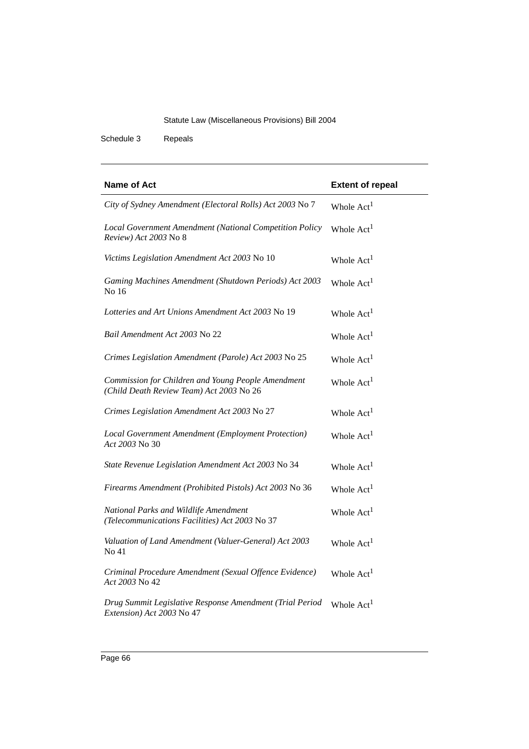Schedule 3 Repeals

| Name of Act                                                                                    | <b>Extent of repeal</b> |
|------------------------------------------------------------------------------------------------|-------------------------|
| City of Sydney Amendment (Electoral Rolls) Act 2003 No 7                                       | Whole Act <sup>1</sup>  |
| Local Government Amendment (National Competition Policy<br>Review) Act 2003 No 8               | Whole Act <sup>1</sup>  |
| Victims Legislation Amendment Act 2003 No 10                                                   | Whole Act <sup>1</sup>  |
| Gaming Machines Amendment (Shutdown Periods) Act 2003<br>No 16                                 | Whole Act <sup>1</sup>  |
| Lotteries and Art Unions Amendment Act 2003 No 19                                              | Whole Act <sup>1</sup>  |
| Bail Amendment Act 2003 No 22                                                                  | Whole Act <sup>1</sup>  |
| Crimes Legislation Amendment (Parole) Act 2003 No 25                                           | Whole Act <sup>1</sup>  |
| Commission for Children and Young People Amendment<br>(Child Death Review Team) Act 2003 No 26 | Whole Act <sup>1</sup>  |
| Crimes Legislation Amendment Act 2003 No 27                                                    | Whole Act <sup>1</sup>  |
| Local Government Amendment (Employment Protection)<br>Act 2003 No 30                           | Whole Act <sup>1</sup>  |
| State Revenue Legislation Amendment Act 2003 No 34                                             | Whole Act <sup>1</sup>  |
| Firearms Amendment (Prohibited Pistols) Act 2003 No 36                                         | Whole Act <sup>1</sup>  |
| National Parks and Wildlife Amendment<br>(Telecommunications Facilities) Act 2003 No 37        | Whole Act <sup>1</sup>  |
| Valuation of Land Amendment (Valuer-General) Act 2003<br>No 41                                 | Whole Act <sup>1</sup>  |
| Criminal Procedure Amendment (Sexual Offence Evidence)<br>Act 2003 No 42                       | Whole Act <sup>1</sup>  |
| Drug Summit Legislative Response Amendment (Trial Period<br>Extension) Act 2003 No 47          | Whole $Act1$            |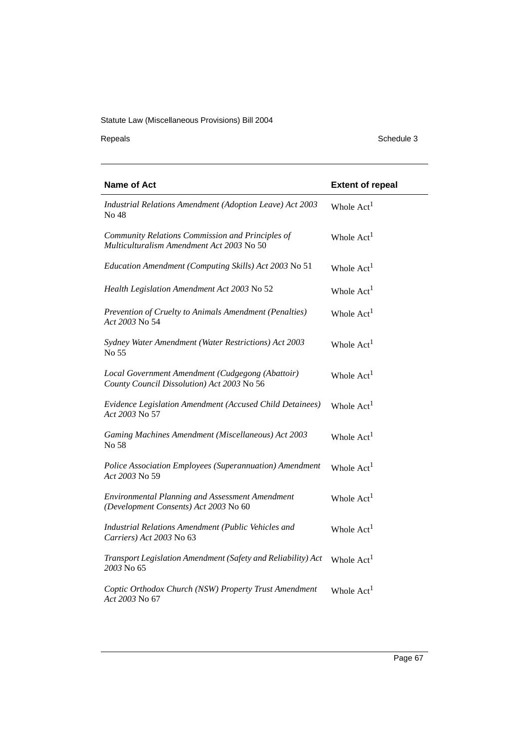Repeals Schedule 3

| <b>Name of Act</b>                                                                              | <b>Extent of repeal</b> |
|-------------------------------------------------------------------------------------------------|-------------------------|
| Industrial Relations Amendment (Adoption Leave) Act 2003<br>No 48                               | Whole Act <sup>1</sup>  |
| Community Relations Commission and Principles of<br>Multiculturalism Amendment Act 2003 No 50   | Whole Act <sup>1</sup>  |
| Education Amendment (Computing Skills) Act 2003 No 51                                           | Whole Act <sup>1</sup>  |
| Health Legislation Amendment Act 2003 No 52                                                     | Whole Act <sup>1</sup>  |
| Prevention of Cruelty to Animals Amendment (Penalties)<br>Act 2003 No 54                        | Whole Act <sup>1</sup>  |
| Sydney Water Amendment (Water Restrictions) Act 2003<br>No 55                                   | Whole Act <sup>1</sup>  |
| Local Government Amendment (Cudgegong (Abattoir)<br>County Council Dissolution) Act 2003 No 56  | Whole Act <sup>1</sup>  |
| Evidence Legislation Amendment (Accused Child Detainees)<br>Act 2003 No 57                      | Whole Act <sup>1</sup>  |
| Gaming Machines Amendment (Miscellaneous) Act 2003<br>No 58                                     | Whole Act <sup>1</sup>  |
| Police Association Employees (Superannuation) Amendment<br>Act 2003 No 59                       | Whole Act <sup>1</sup>  |
| <b>Environmental Planning and Assessment Amendment</b><br>(Development Consents) Act 2003 No 60 | Whole Act <sup>1</sup>  |
| Industrial Relations Amendment (Public Vehicles and<br>Carriers) Act 2003 No 63                 | Whole Act <sup>1</sup>  |
| Transport Legislation Amendment (Safety and Reliability) Act<br>2003 No 65                      | Whole Act <sup>1</sup>  |
| Coptic Orthodox Church (NSW) Property Trust Amendment<br>Act 2003 No 67                         | Whole Act <sup>1</sup>  |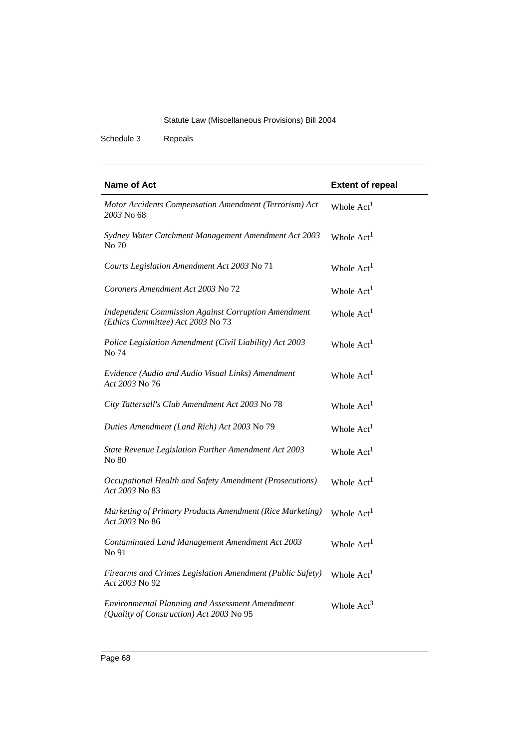Schedule 3 Repeals

| <b>Name of Act</b>                                                                                 | <b>Extent of repeal</b> |
|----------------------------------------------------------------------------------------------------|-------------------------|
| Motor Accidents Compensation Amendment (Terrorism) Act<br>2003 No 68                               | Whole Act <sup>1</sup>  |
| Sydney Water Catchment Management Amendment Act 2003<br>No 70                                      | Whole Act <sup>1</sup>  |
| Courts Legislation Amendment Act 2003 No 71                                                        | Whole Act <sup>1</sup>  |
| Coroners Amendment Act 2003 No 72                                                                  | Whole Act <sup>1</sup>  |
| <b>Independent Commission Against Corruption Amendment</b><br>(Ethics Committee) Act 2003 No 73    | Whole Act <sup>1</sup>  |
| Police Legislation Amendment (Civil Liability) Act 2003<br>No 74                                   | Whole $Act1$            |
| Evidence (Audio and Audio Visual Links) Amendment<br>Act 2003 No 76                                | Whole $Act1$            |
| City Tattersall's Club Amendment Act 2003 No 78                                                    | Whole Act <sup>1</sup>  |
| Duties Amendment (Land Rich) Act 2003 No 79                                                        | Whole Act <sup>1</sup>  |
| State Revenue Legislation Further Amendment Act 2003<br>No 80                                      | Whole Act <sup>1</sup>  |
| Occupational Health and Safety Amendment (Prosecutions)<br>Act 2003 No 83                          | Whole Act <sup>1</sup>  |
| Marketing of Primary Products Amendment (Rice Marketing)<br>Act 2003 No 86                         | Whole $Act1$            |
| Contaminated Land Management Amendment Act 2003<br>No 91                                           | Whole $Act1$            |
| Firearms and Crimes Legislation Amendment (Public Safety)<br>Act 2003 No 92                        | Whole Act <sup>1</sup>  |
| <b>Environmental Planning and Assessment Amendment</b><br>(Quality of Construction) Act 2003 No 95 | Whole $Act3$            |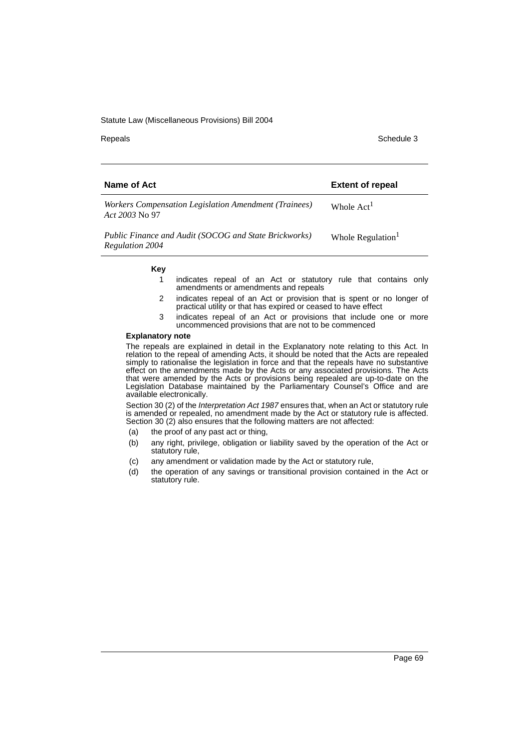Repeals **Schedule 3** Schedule 3

| Name of Act                                                                     | <b>Extent of repeal</b>       |
|---------------------------------------------------------------------------------|-------------------------------|
| Workers Compensation Legislation Amendment (Trainees)<br>Act 2003 No. 97        | Whole Act <sup>1</sup>        |
| Public Finance and Audit (SOCOG and State Brickworks)<br><b>Regulation 2004</b> | Whole Regulation <sup>1</sup> |

#### **Key**

- 1 indicates repeal of an Act or statutory rule that contains only amendments or amendments and repeals
- 2 indicates repeal of an Act or provision that is spent or no longer of practical utility or that has expired or ceased to have effect
- 3 indicates repeal of an Act or provisions that include one or more uncommenced provisions that are not to be commenced

### **Explanatory note**

The repeals are explained in detail in the Explanatory note relating to this Act. In relation to the repeal of amending Acts, it should be noted that the Acts are repealed simply to rationalise the legislation in force and that the repeals have no substantive effect on the amendments made by the Acts or any associated provisions. The Acts that were amended by the Acts or provisions being repealed are up-to-date on the Legislation Database maintained by the Parliamentary Counsel's Office and are available electronically.

Section 30 (2) of the *Interpretation Act 1987* ensures that, when an Act or statutory rule is amended or repealed, no amendment made by the Act or statutory rule is affected. Section 30 (2) also ensures that the following matters are not affected:

- (a) the proof of any past act or thing,
- (b) any right, privilege, obligation or liability saved by the operation of the Act or statutory rule,
- (c) any amendment or validation made by the Act or statutory rule,
- (d) the operation of any savings or transitional provision contained in the Act or statutory rule.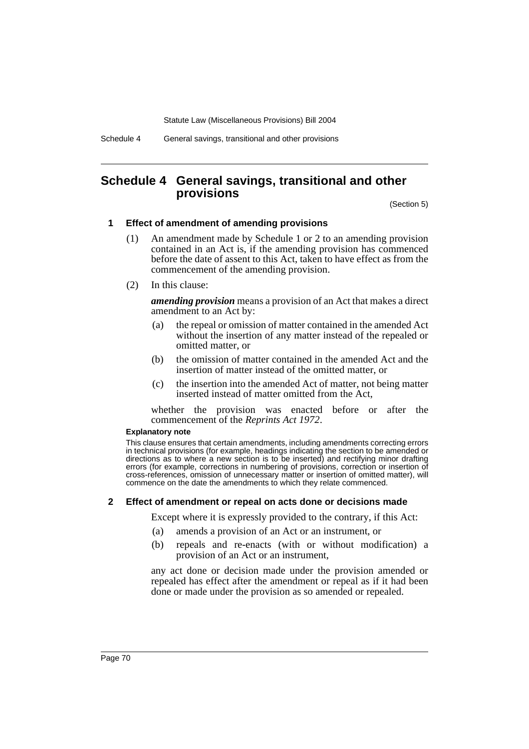Schedule 4 General savings, transitional and other provisions

## **Schedule 4 General savings, transitional and other provisions**

(Section 5)

### **1 Effect of amendment of amending provisions**

- (1) An amendment made by Schedule 1 or 2 to an amending provision contained in an Act is, if the amending provision has commenced before the date of assent to this Act, taken to have effect as from the commencement of the amending provision.
- (2) In this clause:

*amending provision* means a provision of an Act that makes a direct amendment to an Act by:

- (a) the repeal or omission of matter contained in the amended Act without the insertion of any matter instead of the repealed or omitted matter, or
- (b) the omission of matter contained in the amended Act and the insertion of matter instead of the omitted matter, or
- (c) the insertion into the amended Act of matter, not being matter inserted instead of matter omitted from the Act,

whether the provision was enacted before or after the commencement of the *Reprints Act 1972*.

#### **Explanatory note**

This clause ensures that certain amendments, including amendments correcting errors in technical provisions (for example, headings indicating the section to be amended or directions as to where a new section is to be inserted) and rectifying minor drafting errors (for example, corrections in numbering of provisions, correction or insertion of cross-references, omission of unnecessary matter or insertion of omitted matter), will commence on the date the amendments to which they relate commenced.

### **2 Effect of amendment or repeal on acts done or decisions made**

Except where it is expressly provided to the contrary, if this Act:

- (a) amends a provision of an Act or an instrument, or
- (b) repeals and re-enacts (with or without modification) a provision of an Act or an instrument,

any act done or decision made under the provision amended or repealed has effect after the amendment or repeal as if it had been done or made under the provision as so amended or repealed.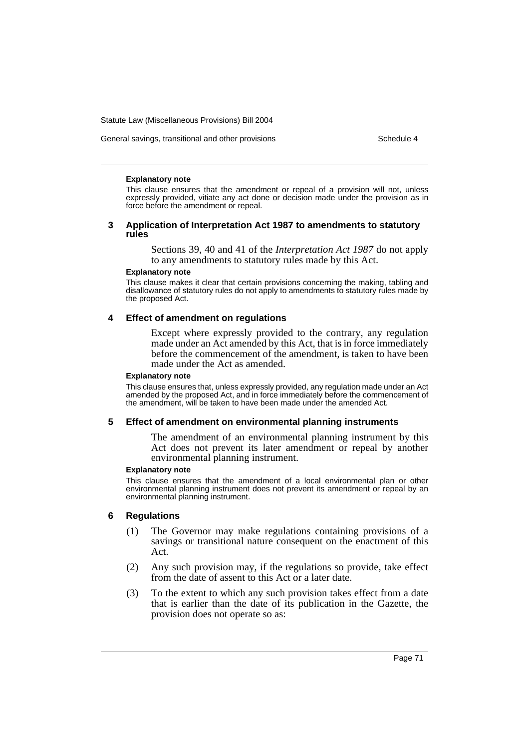General savings, transitional and other provisions Schedule 4

#### **Explanatory note**

This clause ensures that the amendment or repeal of a provision will not, unless expressly provided, vitiate any act done or decision made under the provision as in force before the amendment or repeal.

#### **3 Application of Interpretation Act 1987 to amendments to statutory rules**

Sections 39, 40 and 41 of the *Interpretation Act 1987* do not apply to any amendments to statutory rules made by this Act.

#### **Explanatory note**

This clause makes it clear that certain provisions concerning the making, tabling and disallowance of statutory rules do not apply to amendments to statutory rules made by the proposed Act.

### **4 Effect of amendment on regulations**

Except where expressly provided to the contrary, any regulation made under an Act amended by this Act, that is in force immediately before the commencement of the amendment, is taken to have been made under the Act as amended.

#### **Explanatory note**

This clause ensures that, unless expressly provided, any regulation made under an Act amended by the proposed Act, and in force immediately before the commencement of the amendment, will be taken to have been made under the amended Act.

### **5 Effect of amendment on environmental planning instruments**

The amendment of an environmental planning instrument by this Act does not prevent its later amendment or repeal by another environmental planning instrument.

#### **Explanatory note**

This clause ensures that the amendment of a local environmental plan or other environmental planning instrument does not prevent its amendment or repeal by an environmental planning instrument.

## **6 Regulations**

- (1) The Governor may make regulations containing provisions of a savings or transitional nature consequent on the enactment of this Act.
- (2) Any such provision may, if the regulations so provide, take effect from the date of assent to this Act or a later date.
- (3) To the extent to which any such provision takes effect from a date that is earlier than the date of its publication in the Gazette, the provision does not operate so as: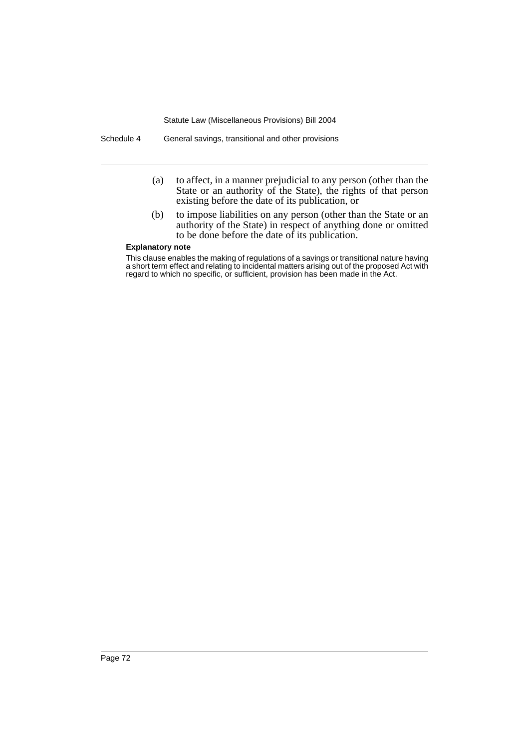Schedule 4 General savings, transitional and other provisions

- (a) to affect, in a manner prejudicial to any person (other than the State or an authority of the State), the rights of that person existing before the date of its publication, or
- (b) to impose liabilities on any person (other than the State or an authority of the State) in respect of anything done or omitted to be done before the date of its publication.

#### **Explanatory note**

This clause enables the making of regulations of a savings or transitional nature having a short term effect and relating to incidental matters arising out of the proposed Act with regard to which no specific, or sufficient, provision has been made in the Act.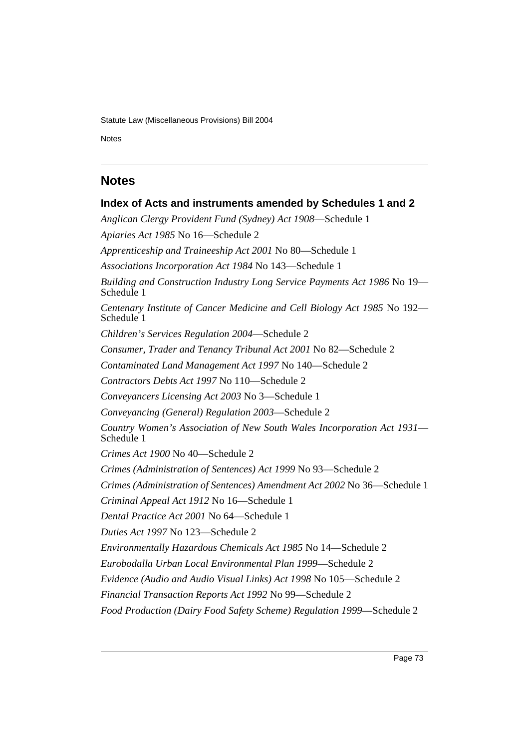Notes Schedule 4 and 200 million and 200 million and 200 million and 200 million and 200 million and 200 million

## **Notes**

# **Index of Acts and instruments amended by Schedules 1 and 2** *Anglican Clergy Provident Fund (Sydney) Act 1908*—Schedule 1 *Apiaries Act 1985* No 16—Schedule 2 *Apprenticeship and Traineeship Act 2001* No 80—Schedule 1 *Associations Incorporation Act 1984* No 143—Schedule 1 *Building and Construction Industry Long Service Payments Act 1986* No 19— Schedule 1 *Centenary Institute of Cancer Medicine and Cell Biology Act 1985* No 192— Schedule 1 *Children's Services Regulation 2004*—Schedule 2 *Consumer, Trader and Tenancy Tribunal Act 2001* No 82—Schedule 2 *Contaminated Land Management Act 1997* No 140—Schedule 2 *Contractors Debts Act 1997* No 110—Schedule 2 *Conveyancers Licensing Act 2003* No 3—Schedule 1 *Conveyancing (General) Regulation 2003*—Schedule 2 *Country Women's Association of New South Wales Incorporation Act 1931*— Schedule 1 *Crimes Act 1900* No 40—Schedule 2 *Crimes (Administration of Sentences) Act 1999* No 93—Schedule 2 *Crimes (Administration of Sentences) Amendment Act 2002* No 36—Schedule 1 *Criminal Appeal Act 1912* No 16—Schedule 1 *Dental Practice Act 2001* No 64—Schedule 1 *Duties Act 1997* No 123—Schedule 2 *Environmentally Hazardous Chemicals Act 1985* No 14—Schedule 2 *Eurobodalla Urban Local Environmental Plan 1999*—Schedule 2 *Evidence (Audio and Audio Visual Links) Act 1998* No 105—Schedule 2 *Financial Transaction Reports Act 1992* No 99—Schedule 2 *Food Production (Dairy Food Safety Scheme) Regulation 1999*—Schedule 2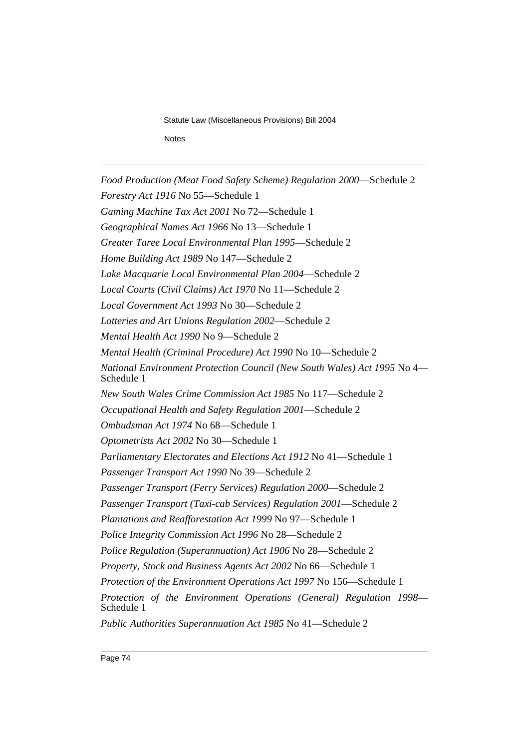Statute Law (Miscellaneous Provisions) Bill 2004 Schedule 4 Notes Notes

*Food Production (Meat Food Safety Scheme) Regulation 2000*—Schedule 2 *Forestry Act 1916* No 55—Schedule 1 *Gaming Machine Tax Act 2001* No 72—Schedule 1 *Geographical Names Act 1966* No 13—Schedule 1 *Greater Taree Local Environmental Plan 1995*—Schedule 2 *Home Building Act 1989* No 147—Schedule 2 *Lake Macquarie Local Environmental Plan 2004*—Schedule 2 *Local Courts (Civil Claims) Act 1970* No 11—Schedule 2 *Local Government Act 1993* No 30—Schedule 2 *Lotteries and Art Unions Regulation 2002*—Schedule 2 *Mental Health Act 1990* No 9—Schedule 2 *Mental Health (Criminal Procedure) Act 1990* No 10—Schedule 2 *National Environment Protection Council (New South Wales) Act 1995* No 4— Schedule 1 *New South Wales Crime Commission Act 1985* No 117—Schedule 2 *Occupational Health and Safety Regulation 2001*—Schedule 2 *Ombudsman Act 1974* No 68—Schedule 1 *Optometrists Act 2002* No 30—Schedule 1 *Parliamentary Electorates and Elections Act 1912* No 41—Schedule 1 *Passenger Transport Act 1990* No 39—Schedule 2 *Passenger Transport (Ferry Services) Regulation 2000*—Schedule 2 *Passenger Transport (Taxi-cab Services) Regulation 2001*—Schedule 2 *Plantations and Reafforestation Act 1999* No 97—Schedule 1 *Police Integrity Commission Act 1996* No 28—Schedule 2 *Police Regulation (Superannuation) Act 1906* No 28—Schedule 2 *Property, Stock and Business Agents Act 2002* No 66—Schedule 1 *Protection of the Environment Operations Act 1997* No 156—Schedule 1 *Protection of the Environment Operations (General) Regulation 1998*— Schedule 1 *Public Authorities Superannuation Act 1985* No 41—Schedule 2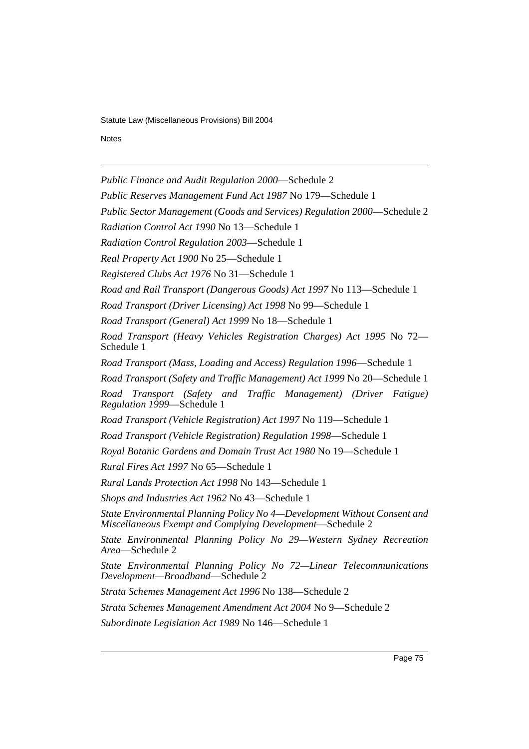Notes Schedule 4 and 200 million and 200 million and 200 million and 200 million and 200 million and 200 million

*Public Finance and Audit Regulation 2000*—Schedule 2

*Public Reserves Management Fund Act 1987* No 179—Schedule 1

*Public Sector Management (Goods and Services) Regulation 2000*—Schedule 2

*Radiation Control Act 1990* No 13—Schedule 1

*Radiation Control Regulation 2003*—Schedule 1

*Real Property Act 1900* No 25—Schedule 1

*Registered Clubs Act 1976* No 31—Schedule 1

*Road and Rail Transport (Dangerous Goods) Act 1997* No 113—Schedule 1

*Road Transport (Driver Licensing) Act 1998* No 99—Schedule 1

*Road Transport (General) Act 1999* No 18—Schedule 1

*Road Transport (Heavy Vehicles Registration Charges) Act 1995* No 72— Schedule 1

*Road Transport (Mass, Loading and Access) Regulation 1996*—Schedule 1

*Road Transport (Safety and Traffic Management) Act 1999* No 20—Schedule 1

*Road Transport (Safety and Traffic Management) (Driver Fatigue) Regulation 1999*—Schedule 1

*Road Transport (Vehicle Registration) Act 1997* No 119—Schedule 1

*Road Transport (Vehicle Registration) Regulation 1998*—Schedule 1

*Royal Botanic Gardens and Domain Trust Act 1980* No 19—Schedule 1

*Rural Fires Act 1997* No 65—Schedule 1

*Rural Lands Protection Act 1998* No 143—Schedule 1

*Shops and Industries Act 1962* No 43—Schedule 1

*State Environmental Planning Policy No 4—Development Without Consent and Miscellaneous Exempt and Complying Development*—Schedule 2

*State Environmental Planning Policy No 29—Western Sydney Recreation Area*—Schedule 2

*State Environmental Planning Policy No 72—Linear Telecommunications Development—Broadband*—Schedule 2

*Strata Schemes Management Act 1996* No 138—Schedule 2

*Strata Schemes Management Amendment Act 2004* No 9—Schedule 2

*Subordinate Legislation Act 1989* No 146—Schedule 1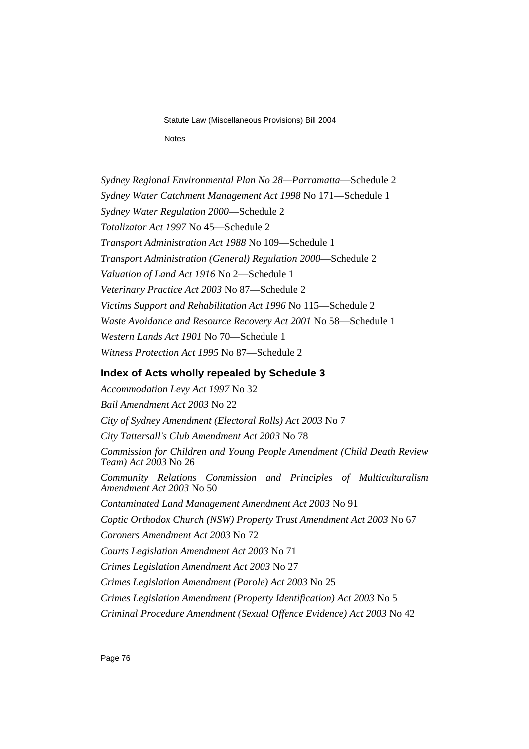Statute Law (Miscellaneous Provisions) Bill 2004 Schedule 4 Notes Notes

*Sydney Regional Environmental Plan No 28—Parramatta*—Schedule 2 *Sydney Water Catchment Management Act 1998* No 171—Schedule 1 *Sydney Water Regulation 2000*—Schedule 2 *Totalizator Act 1997* No 45—Schedule 2 *Transport Administration Act 1988* No 109—Schedule 1 *Transport Administration (General) Regulation 2000*—Schedule 2 *Valuation of Land Act 1916* No 2—Schedule 1 *Veterinary Practice Act 2003* No 87—Schedule 2 *Victims Support and Rehabilitation Act 1996* No 115—Schedule 2 *Waste Avoidance and Resource Recovery Act 2001* No 58—Schedule 1 *Western Lands Act 1901* No 70—Schedule 1 *Witness Protection Act 1995* No 87—Schedule 2

# **Index of Acts wholly repealed by Schedule 3**

*Accommodation Levy Act 1997* No 32 *Bail Amendment Act 2003* No 22 *City of Sydney Amendment (Electoral Rolls) Act 2003* No 7 *City Tattersall's Club Amendment Act 2003* No 78 *Commission for Children and Young People Amendment (Child Death Review Team) Act 2003* No 26 *Community Relations Commission and Principles of Multiculturalism Amendment Act 2003* No 50 *Contaminated Land Management Amendment Act 2003* No 91 *Coptic Orthodox Church (NSW) Property Trust Amendment Act 2003* No 67 *Coroners Amendment Act 2003* No 72 *Courts Legislation Amendment Act 2003* No 71 *Crimes Legislation Amendment Act 2003* No 27 *Crimes Legislation Amendment (Parole) Act 2003* No 25 *Crimes Legislation Amendment (Property Identification) Act 2003* No 5 *Criminal Procedure Amendment (Sexual Offence Evidence) Act 2003* No 42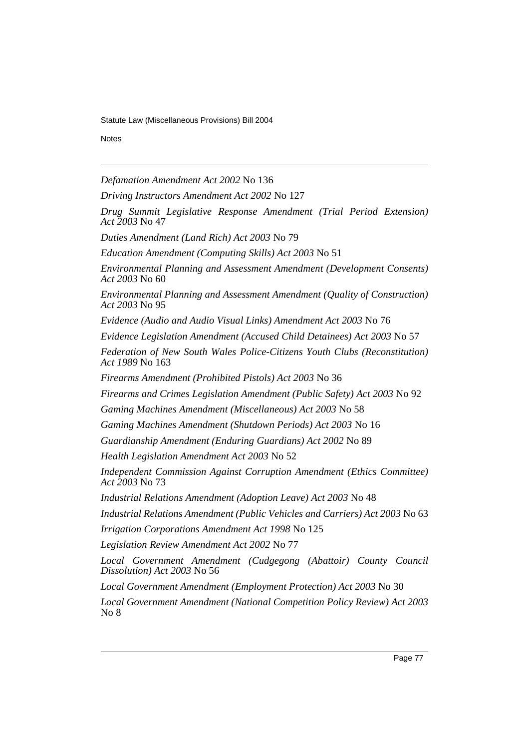Notes Schedule 4 and 200 million and 200 million and 200 million and 200 million and 200 million and 200 million

*Defamation Amendment Act 2002* No 136

*Driving Instructors Amendment Act 2002* No 127

*Drug Summit Legislative Response Amendment (Trial Period Extension) Act 2003* No 47

*Duties Amendment (Land Rich) Act 2003* No 79

*Education Amendment (Computing Skills) Act 2003* No 51

*Environmental Planning and Assessment Amendment (Development Consents) Act 2003* No 60

*Environmental Planning and Assessment Amendment (Quality of Construction) Act 2003* No 95

*Evidence (Audio and Audio Visual Links) Amendment Act 2003* No 76

*Evidence Legislation Amendment (Accused Child Detainees) Act 2003* No 57

*Federation of New South Wales Police-Citizens Youth Clubs (Reconstitution) Act 1989* No 163

*Firearms Amendment (Prohibited Pistols) Act 2003* No 36

*Firearms and Crimes Legislation Amendment (Public Safety) Act 2003* No 92

*Gaming Machines Amendment (Miscellaneous) Act 2003* No 58

*Gaming Machines Amendment (Shutdown Periods) Act 2003* No 16

*Guardianship Amendment (Enduring Guardians) Act 2002* No 89

*Health Legislation Amendment Act 2003* No 52

*Independent Commission Against Corruption Amendment (Ethics Committee) Act 2003* No 73

*Industrial Relations Amendment (Adoption Leave) Act 2003* No 48

*Industrial Relations Amendment (Public Vehicles and Carriers) Act 2003* No 63

*Irrigation Corporations Amendment Act 1998* No 125

*Legislation Review Amendment Act 2002* No 77

*Local Government Amendment (Cudgegong (Abattoir) County Council Dissolution) Act 2003* No 56

*Local Government Amendment (Employment Protection) Act 2003* No 30

*Local Government Amendment (National Competition Policy Review) Act 2003* No 8